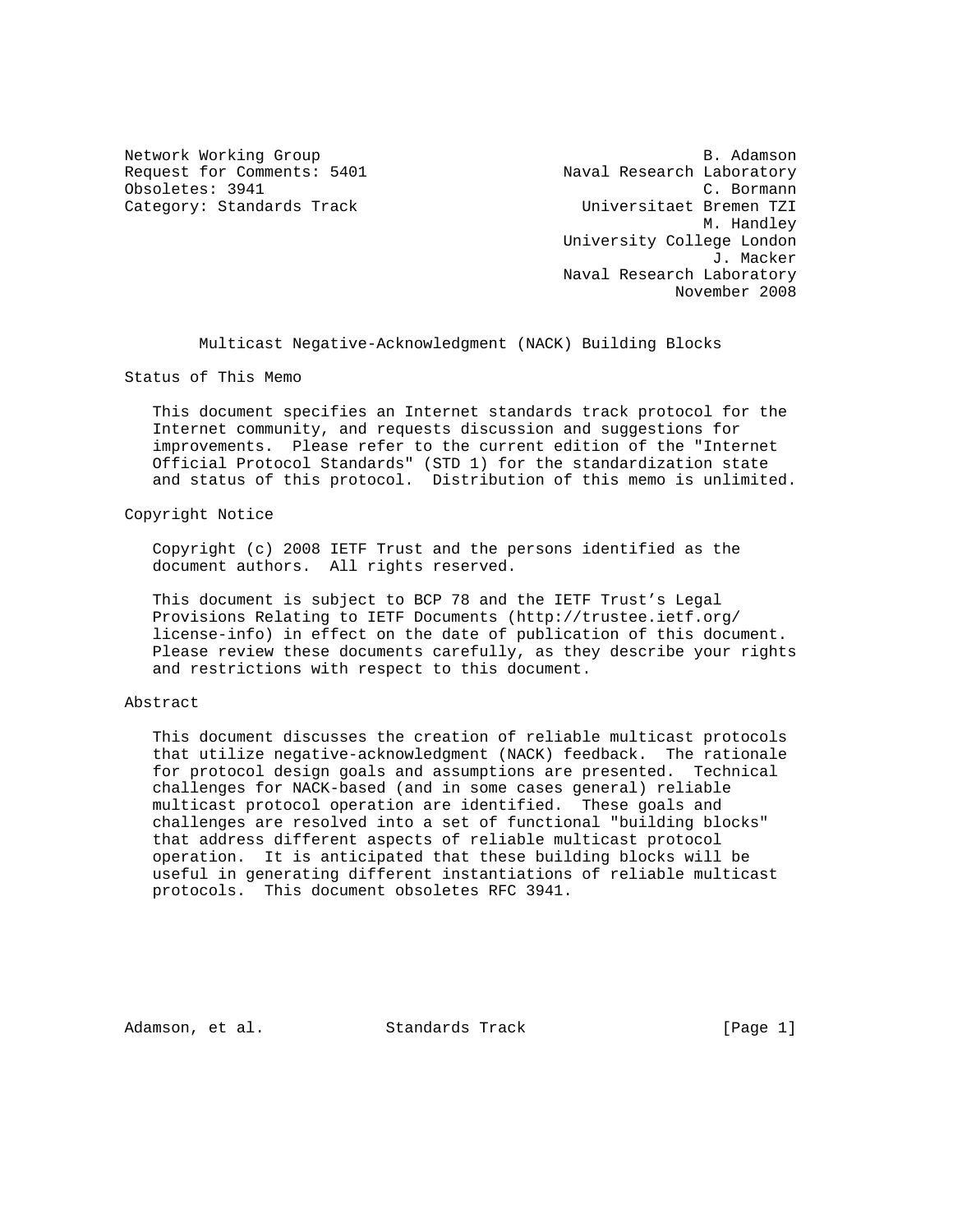Request for Comments: 5401 Naval Research Laboratory Obsoletes: 3941 C. Bormann

Network Working Group and the set of the set of the set of the set of the set of the set of the set of the set of the set of the set of the set of the set of the set of the set of the set of the set of the set of the set o Category: Standards Track and the Universitaet Bremen TZI M. Handley University College London J. Macker Naval Research Laboratory November 2008

Multicast Negative-Acknowledgment (NACK) Building Blocks

Status of This Memo

 This document specifies an Internet standards track protocol for the Internet community, and requests discussion and suggestions for improvements. Please refer to the current edition of the "Internet Official Protocol Standards" (STD 1) for the standardization state and status of this protocol. Distribution of this memo is unlimited.

#### Copyright Notice

 Copyright (c) 2008 IETF Trust and the persons identified as the document authors. All rights reserved.

 This document is subject to BCP 78 and the IETF Trust's Legal Provisions Relating to IETF Documents (http://trustee.ietf.org/ license-info) in effect on the date of publication of this document. Please review these documents carefully, as they describe your rights and restrictions with respect to this document.

### Abstract

 This document discusses the creation of reliable multicast protocols that utilize negative-acknowledgment (NACK) feedback. The rationale for protocol design goals and assumptions are presented. Technical challenges for NACK-based (and in some cases general) reliable multicast protocol operation are identified. These goals and challenges are resolved into a set of functional "building blocks" that address different aspects of reliable multicast protocol operation. It is anticipated that these building blocks will be useful in generating different instantiations of reliable multicast protocols. This document obsoletes RFC 3941.

Adamson, et al. Standards Track (Page 1)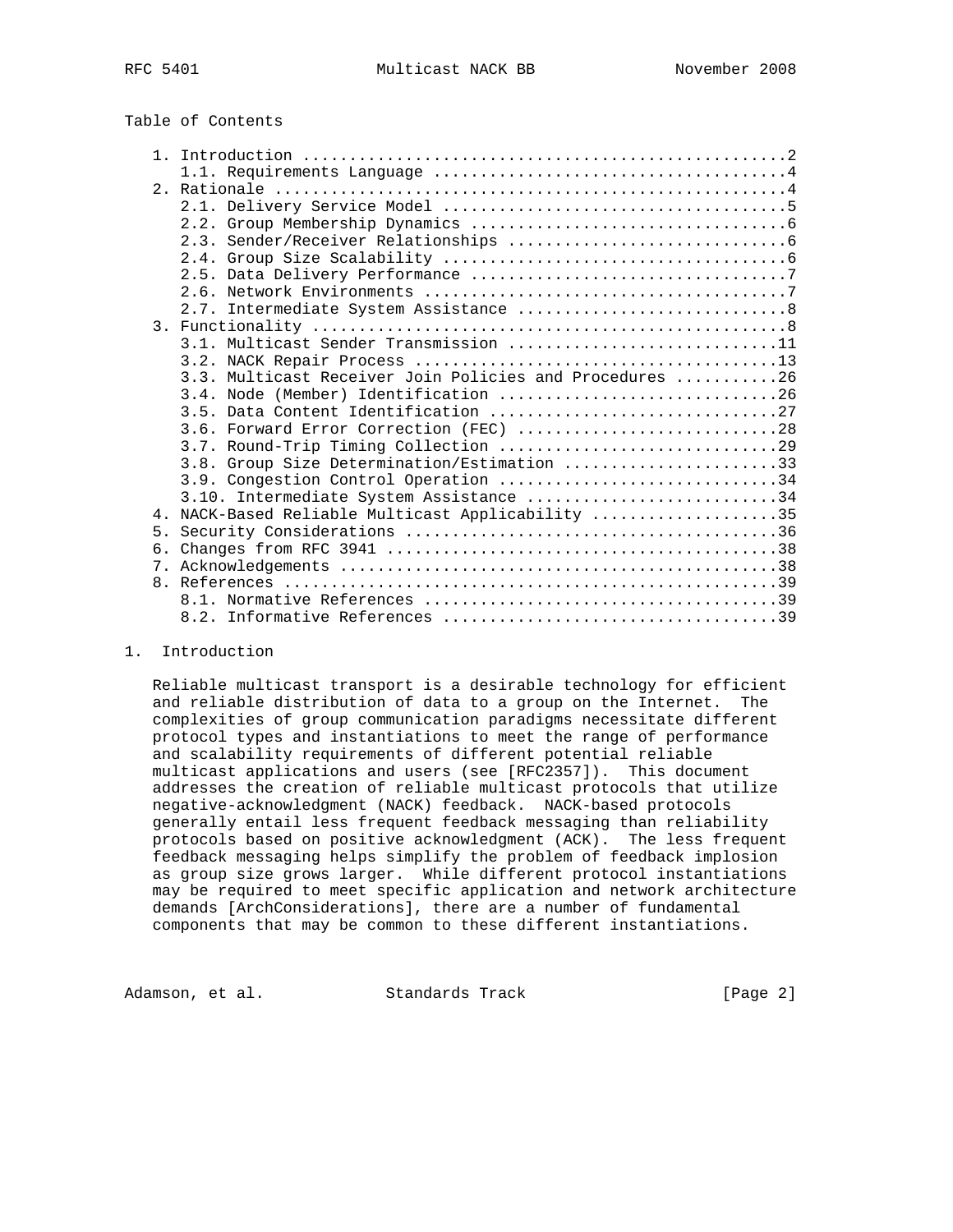# Table of Contents

|    | 3.1. Multicast Sender Transmission 11                   |
|----|---------------------------------------------------------|
|    |                                                         |
|    | 3.3. Multicast Receiver Join Policies and Procedures 26 |
|    |                                                         |
|    |                                                         |
|    | 3.6. Forward Error Correction (FEC) 28                  |
|    |                                                         |
|    | 3.8. Group Size Determination/Estimation 33             |
|    | 3.9. Congestion Control Operation 34                    |
|    | 3.10. Intermediate System Assistance 34                 |
| 4  | NACK-Based Reliable Multicast Applicability 35          |
| 5. |                                                         |
| б. |                                                         |
|    |                                                         |
|    |                                                         |
|    |                                                         |
|    |                                                         |

#### 1. Introduction

 Reliable multicast transport is a desirable technology for efficient and reliable distribution of data to a group on the Internet. The complexities of group communication paradigms necessitate different protocol types and instantiations to meet the range of performance and scalability requirements of different potential reliable multicast applications and users (see [RFC2357]). This document addresses the creation of reliable multicast protocols that utilize negative-acknowledgment (NACK) feedback. NACK-based protocols generally entail less frequent feedback messaging than reliability protocols based on positive acknowledgment (ACK). The less frequent feedback messaging helps simplify the problem of feedback implosion as group size grows larger. While different protocol instantiations may be required to meet specific application and network architecture demands [ArchConsiderations], there are a number of fundamental components that may be common to these different instantiations.

Adamson, et al. Standards Track (Page 2)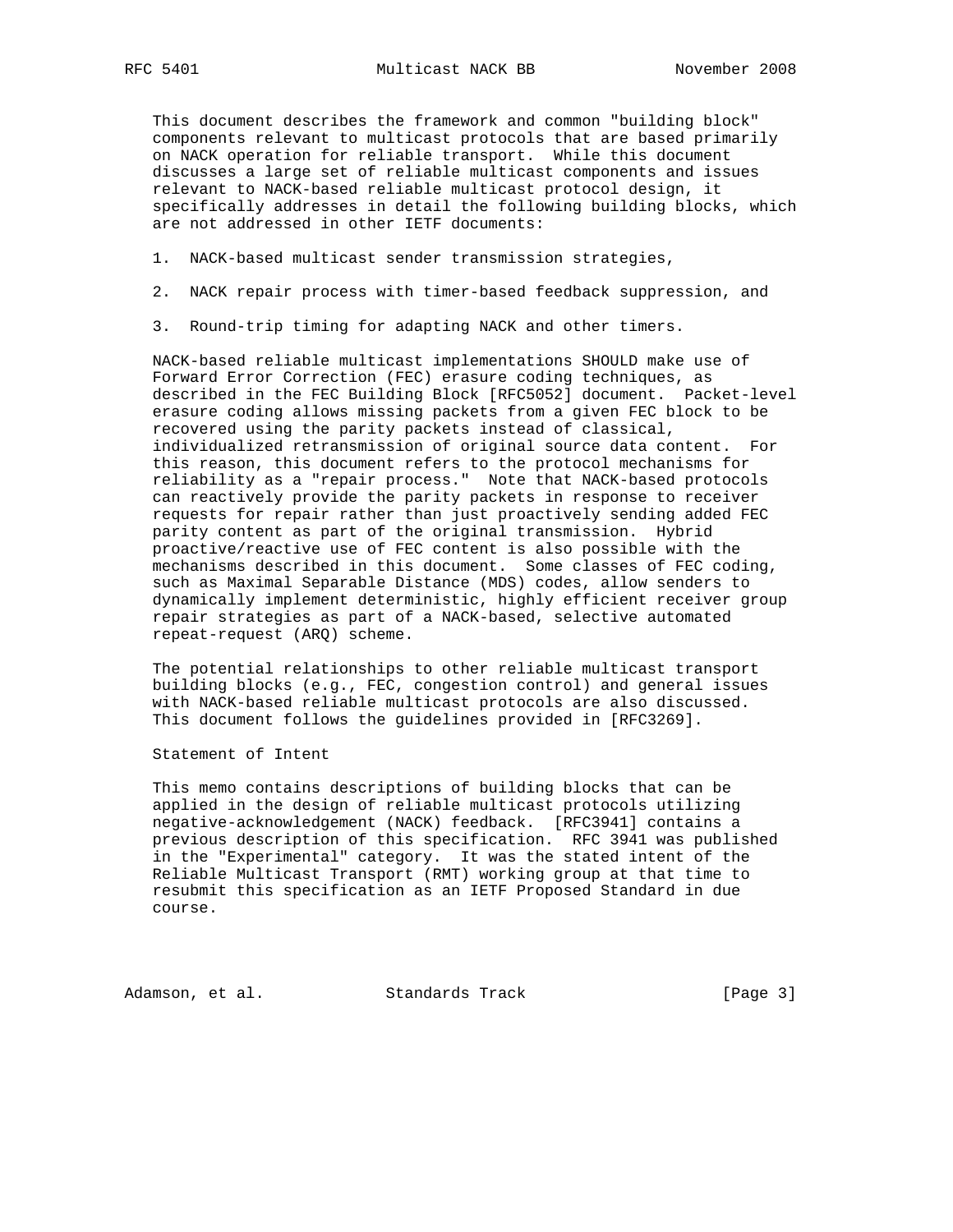This document describes the framework and common "building block" components relevant to multicast protocols that are based primarily on NACK operation for reliable transport. While this document discusses a large set of reliable multicast components and issues relevant to NACK-based reliable multicast protocol design, it specifically addresses in detail the following building blocks, which are not addressed in other IETF documents:

- 1. NACK-based multicast sender transmission strategies,
- 2. NACK repair process with timer-based feedback suppression, and
- 3. Round-trip timing for adapting NACK and other timers.

 NACK-based reliable multicast implementations SHOULD make use of Forward Error Correction (FEC) erasure coding techniques, as described in the FEC Building Block [RFC5052] document. Packet-level erasure coding allows missing packets from a given FEC block to be recovered using the parity packets instead of classical, individualized retransmission of original source data content. For this reason, this document refers to the protocol mechanisms for reliability as a "repair process." Note that NACK-based protocols can reactively provide the parity packets in response to receiver requests for repair rather than just proactively sending added FEC parity content as part of the original transmission. Hybrid proactive/reactive use of FEC content is also possible with the mechanisms described in this document. Some classes of FEC coding, such as Maximal Separable Distance (MDS) codes, allow senders to dynamically implement deterministic, highly efficient receiver group repair strategies as part of a NACK-based, selective automated repeat-request (ARQ) scheme.

 The potential relationships to other reliable multicast transport building blocks (e.g., FEC, congestion control) and general issues with NACK-based reliable multicast protocols are also discussed. This document follows the guidelines provided in [RFC3269].

Statement of Intent

 This memo contains descriptions of building blocks that can be applied in the design of reliable multicast protocols utilizing negative-acknowledgement (NACK) feedback. [RFC3941] contains a previous description of this specification. RFC 3941 was published in the "Experimental" category. It was the stated intent of the Reliable Multicast Transport (RMT) working group at that time to resubmit this specification as an IETF Proposed Standard in due course.

Adamson, et al. Standards Track [Page 3]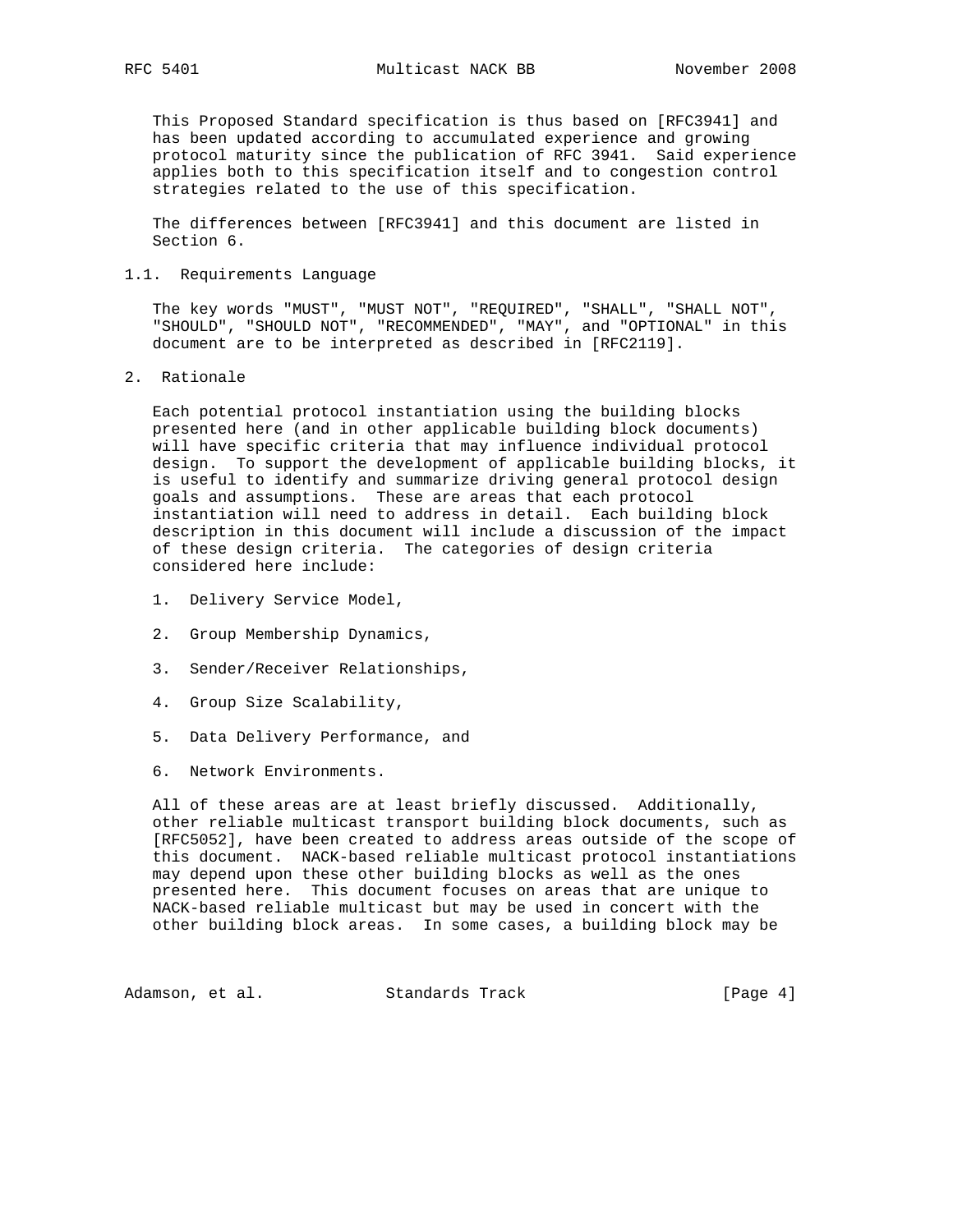This Proposed Standard specification is thus based on [RFC3941] and has been updated according to accumulated experience and growing protocol maturity since the publication of RFC 3941. Said experience applies both to this specification itself and to congestion control strategies related to the use of this specification.

 The differences between [RFC3941] and this document are listed in Section 6.

### 1.1. Requirements Language

 The key words "MUST", "MUST NOT", "REQUIRED", "SHALL", "SHALL NOT", "SHOULD", "SHOULD NOT", "RECOMMENDED", "MAY", and "OPTIONAL" in this document are to be interpreted as described in [RFC2119].

2. Rationale

 Each potential protocol instantiation using the building blocks presented here (and in other applicable building block documents) will have specific criteria that may influence individual protocol design. To support the development of applicable building blocks, it is useful to identify and summarize driving general protocol design goals and assumptions. These are areas that each protocol instantiation will need to address in detail. Each building block description in this document will include a discussion of the impact of these design criteria. The categories of design criteria considered here include:

- 1. Delivery Service Model,
- 2. Group Membership Dynamics,
- 3. Sender/Receiver Relationships,
- 4. Group Size Scalability,
- 5. Data Delivery Performance, and
- 6. Network Environments.

 All of these areas are at least briefly discussed. Additionally, other reliable multicast transport building block documents, such as [RFC5052], have been created to address areas outside of the scope of this document. NACK-based reliable multicast protocol instantiations may depend upon these other building blocks as well as the ones presented here. This document focuses on areas that are unique to NACK-based reliable multicast but may be used in concert with the other building block areas. In some cases, a building block may be

Adamson, et al. Standards Track [Page 4]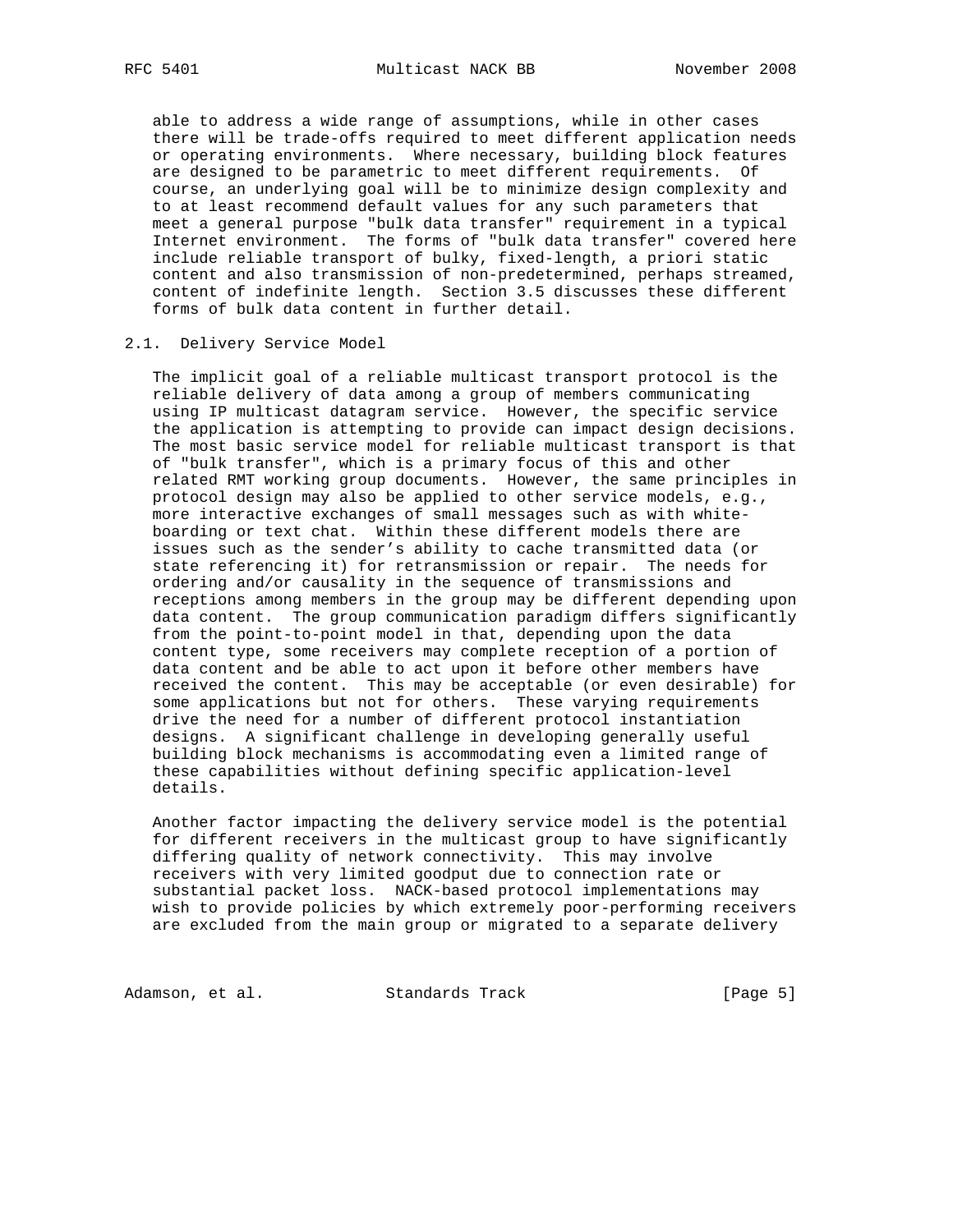able to address a wide range of assumptions, while in other cases there will be trade-offs required to meet different application needs or operating environments. Where necessary, building block features are designed to be parametric to meet different requirements. Of course, an underlying goal will be to minimize design complexity and to at least recommend default values for any such parameters that meet a general purpose "bulk data transfer" requirement in a typical Internet environment. The forms of "bulk data transfer" covered here include reliable transport of bulky, fixed-length, a priori static content and also transmission of non-predetermined, perhaps streamed, content of indefinite length. Section 3.5 discusses these different forms of bulk data content in further detail.

#### 2.1. Delivery Service Model

 The implicit goal of a reliable multicast transport protocol is the reliable delivery of data among a group of members communicating using IP multicast datagram service. However, the specific service the application is attempting to provide can impact design decisions. The most basic service model for reliable multicast transport is that of "bulk transfer", which is a primary focus of this and other related RMT working group documents. However, the same principles in protocol design may also be applied to other service models, e.g., more interactive exchanges of small messages such as with white boarding or text chat. Within these different models there are issues such as the sender's ability to cache transmitted data (or state referencing it) for retransmission or repair. The needs for ordering and/or causality in the sequence of transmissions and receptions among members in the group may be different depending upon data content. The group communication paradigm differs significantly from the point-to-point model in that, depending upon the data content type, some receivers may complete reception of a portion of data content and be able to act upon it before other members have received the content. This may be acceptable (or even desirable) for some applications but not for others. These varying requirements drive the need for a number of different protocol instantiation designs. A significant challenge in developing generally useful building block mechanisms is accommodating even a limited range of these capabilities without defining specific application-level details.

 Another factor impacting the delivery service model is the potential for different receivers in the multicast group to have significantly differing quality of network connectivity. This may involve receivers with very limited goodput due to connection rate or substantial packet loss. NACK-based protocol implementations may wish to provide policies by which extremely poor-performing receivers are excluded from the main group or migrated to a separate delivery

Adamson, et al. Standards Track (Page 5)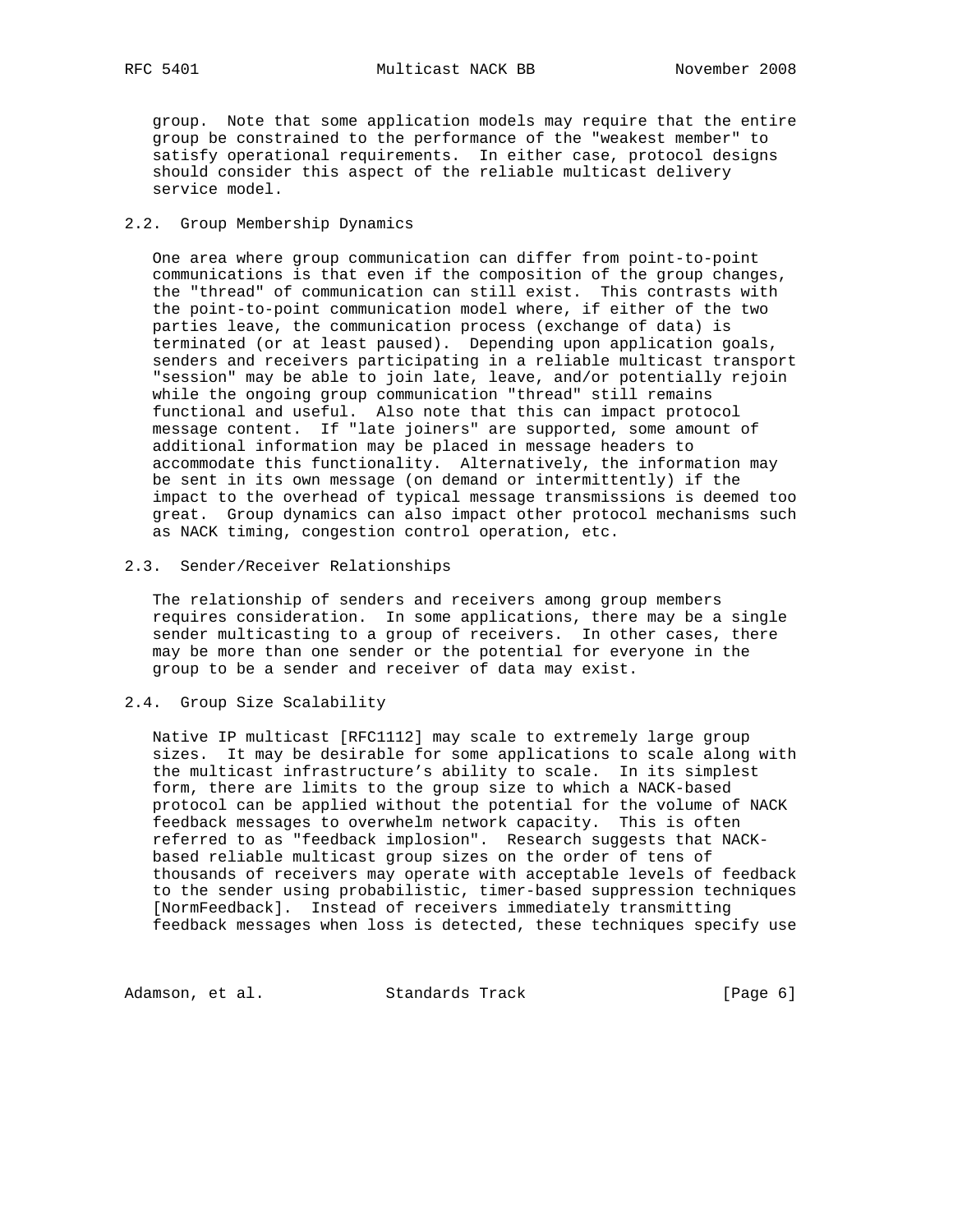RFC 5401 Multicast NACK BB November 2008

 group. Note that some application models may require that the entire group be constrained to the performance of the "weakest member" to satisfy operational requirements. In either case, protocol designs should consider this aspect of the reliable multicast delivery service model.

### 2.2. Group Membership Dynamics

 One area where group communication can differ from point-to-point communications is that even if the composition of the group changes, the "thread" of communication can still exist. This contrasts with the point-to-point communication model where, if either of the two parties leave, the communication process (exchange of data) is terminated (or at least paused). Depending upon application goals, senders and receivers participating in a reliable multicast transport "session" may be able to join late, leave, and/or potentially rejoin while the ongoing group communication "thread" still remains functional and useful. Also note that this can impact protocol message content. If "late joiners" are supported, some amount of additional information may be placed in message headers to accommodate this functionality. Alternatively, the information may be sent in its own message (on demand or intermittently) if the impact to the overhead of typical message transmissions is deemed too great. Group dynamics can also impact other protocol mechanisms such as NACK timing, congestion control operation, etc.

### 2.3. Sender/Receiver Relationships

 The relationship of senders and receivers among group members requires consideration. In some applications, there may be a single sender multicasting to a group of receivers. In other cases, there may be more than one sender or the potential for everyone in the group to be a sender and receiver of data may exist.

### 2.4. Group Size Scalability

 Native IP multicast [RFC1112] may scale to extremely large group sizes. It may be desirable for some applications to scale along with the multicast infrastructure's ability to scale. In its simplest form, there are limits to the group size to which a NACK-based protocol can be applied without the potential for the volume of NACK feedback messages to overwhelm network capacity. This is often referred to as "feedback implosion". Research suggests that NACK based reliable multicast group sizes on the order of tens of thousands of receivers may operate with acceptable levels of feedback to the sender using probabilistic, timer-based suppression techniques [NormFeedback]. Instead of receivers immediately transmitting feedback messages when loss is detected, these techniques specify use

Adamson, et al. Standards Track [Page 6]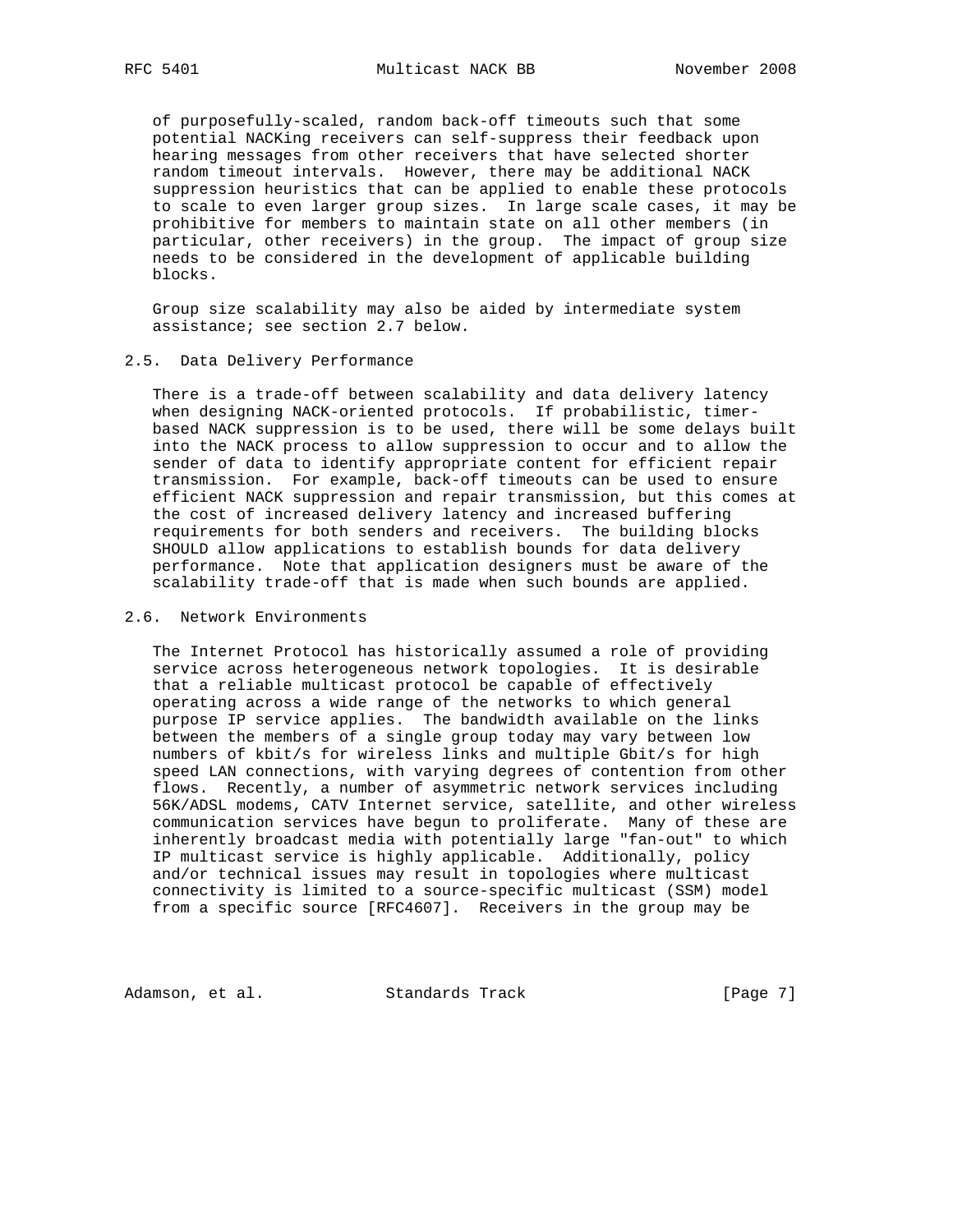of purposefully-scaled, random back-off timeouts such that some potential NACKing receivers can self-suppress their feedback upon hearing messages from other receivers that have selected shorter random timeout intervals. However, there may be additional NACK suppression heuristics that can be applied to enable these protocols to scale to even larger group sizes. In large scale cases, it may be prohibitive for members to maintain state on all other members (in particular, other receivers) in the group. The impact of group size needs to be considered in the development of applicable building blocks.

 Group size scalability may also be aided by intermediate system assistance; see section 2.7 below.

#### 2.5. Data Delivery Performance

 There is a trade-off between scalability and data delivery latency when designing NACK-oriented protocols. If probabilistic, timer based NACK suppression is to be used, there will be some delays built into the NACK process to allow suppression to occur and to allow the sender of data to identify appropriate content for efficient repair transmission. For example, back-off timeouts can be used to ensure efficient NACK suppression and repair transmission, but this comes at the cost of increased delivery latency and increased buffering requirements for both senders and receivers. The building blocks SHOULD allow applications to establish bounds for data delivery performance. Note that application designers must be aware of the scalability trade-off that is made when such bounds are applied.

### 2.6. Network Environments

 The Internet Protocol has historically assumed a role of providing service across heterogeneous network topologies. It is desirable that a reliable multicast protocol be capable of effectively operating across a wide range of the networks to which general purpose IP service applies. The bandwidth available on the links between the members of a single group today may vary between low numbers of kbit/s for wireless links and multiple Gbit/s for high speed LAN connections, with varying degrees of contention from other flows. Recently, a number of asymmetric network services including 56K/ADSL modems, CATV Internet service, satellite, and other wireless communication services have begun to proliferate. Many of these are inherently broadcast media with potentially large "fan-out" to which IP multicast service is highly applicable. Additionally, policy and/or technical issues may result in topologies where multicast connectivity is limited to a source-specific multicast (SSM) model from a specific source [RFC4607]. Receivers in the group may be

Adamson, et al. Standards Track [Page 7]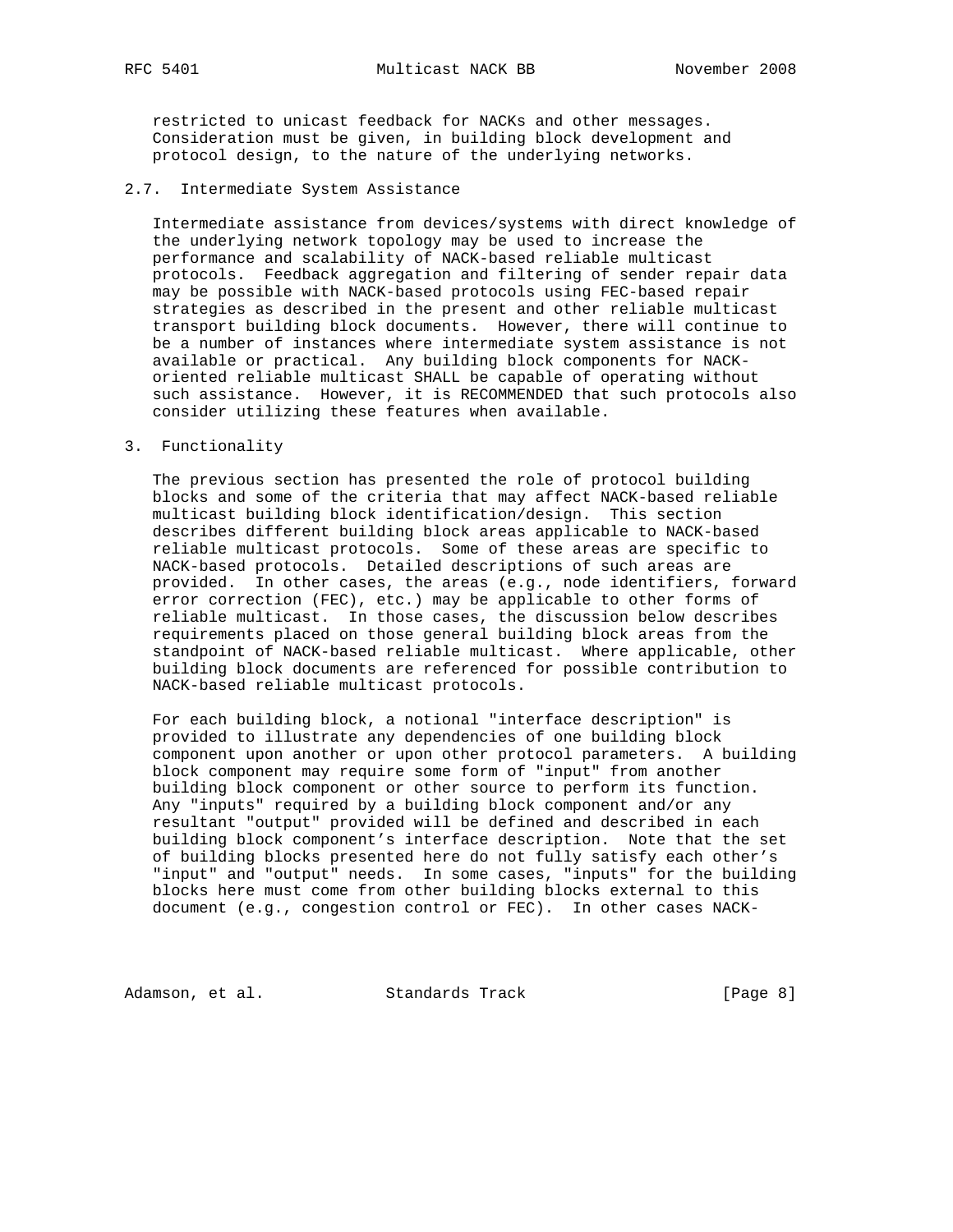restricted to unicast feedback for NACKs and other messages. Consideration must be given, in building block development and protocol design, to the nature of the underlying networks.

#### 2.7. Intermediate System Assistance

 Intermediate assistance from devices/systems with direct knowledge of the underlying network topology may be used to increase the performance and scalability of NACK-based reliable multicast protocols. Feedback aggregation and filtering of sender repair data may be possible with NACK-based protocols using FEC-based repair strategies as described in the present and other reliable multicast transport building block documents. However, there will continue to be a number of instances where intermediate system assistance is not available or practical. Any building block components for NACK oriented reliable multicast SHALL be capable of operating without such assistance. However, it is RECOMMENDED that such protocols also consider utilizing these features when available.

3. Functionality

 The previous section has presented the role of protocol building blocks and some of the criteria that may affect NACK-based reliable multicast building block identification/design. This section describes different building block areas applicable to NACK-based reliable multicast protocols. Some of these areas are specific to NACK-based protocols. Detailed descriptions of such areas are provided. In other cases, the areas (e.g., node identifiers, forward error correction (FEC), etc.) may be applicable to other forms of reliable multicast. In those cases, the discussion below describes requirements placed on those general building block areas from the standpoint of NACK-based reliable multicast. Where applicable, other building block documents are referenced for possible contribution to NACK-based reliable multicast protocols.

 For each building block, a notional "interface description" is provided to illustrate any dependencies of one building block component upon another or upon other protocol parameters. A building block component may require some form of "input" from another building block component or other source to perform its function. Any "inputs" required by a building block component and/or any resultant "output" provided will be defined and described in each building block component's interface description. Note that the set of building blocks presented here do not fully satisfy each other's "input" and "output" needs. In some cases, "inputs" for the building blocks here must come from other building blocks external to this document (e.g., congestion control or FEC). In other cases NACK-

Adamson, et al. Standards Track [Page 8]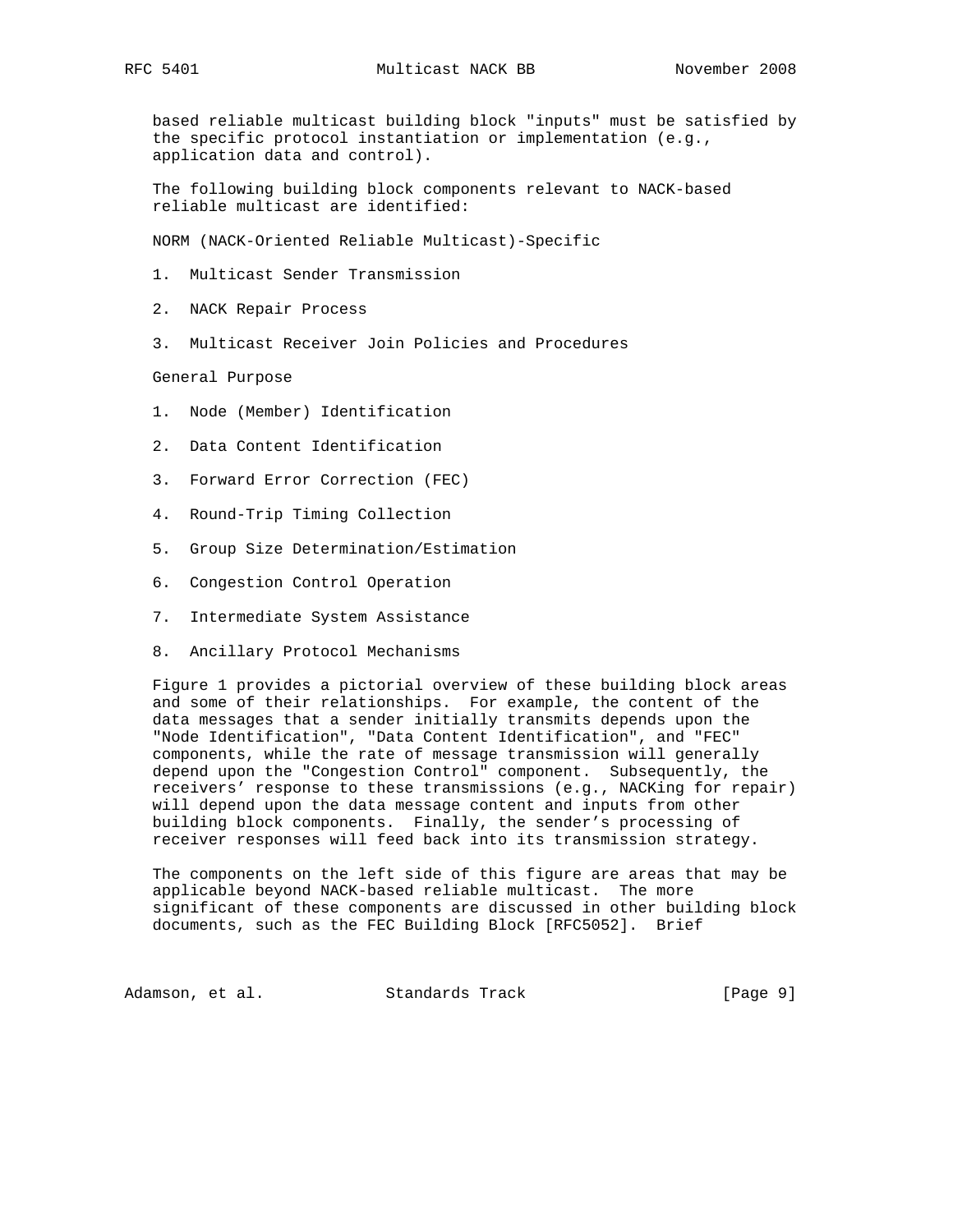based reliable multicast building block "inputs" must be satisfied by the specific protocol instantiation or implementation (e.g., application data and control).

 The following building block components relevant to NACK-based reliable multicast are identified:

NORM (NACK-Oriented Reliable Multicast)-Specific

- 1. Multicast Sender Transmission
- 2. NACK Repair Process
- 3. Multicast Receiver Join Policies and Procedures

General Purpose

- 1. Node (Member) Identification
- 2. Data Content Identification
- 3. Forward Error Correction (FEC)
- 4. Round-Trip Timing Collection
- 5. Group Size Determination/Estimation
- 6. Congestion Control Operation
- 7. Intermediate System Assistance
- 8. Ancillary Protocol Mechanisms

 Figure 1 provides a pictorial overview of these building block areas and some of their relationships. For example, the content of the data messages that a sender initially transmits depends upon the "Node Identification", "Data Content Identification", and "FEC" components, while the rate of message transmission will generally depend upon the "Congestion Control" component. Subsequently, the receivers' response to these transmissions (e.g., NACKing for repair) will depend upon the data message content and inputs from other building block components. Finally, the sender's processing of receiver responses will feed back into its transmission strategy.

 The components on the left side of this figure are areas that may be applicable beyond NACK-based reliable multicast. The more significant of these components are discussed in other building block documents, such as the FEC Building Block [RFC5052]. Brief

Adamson, et al. Standards Track (Page 9)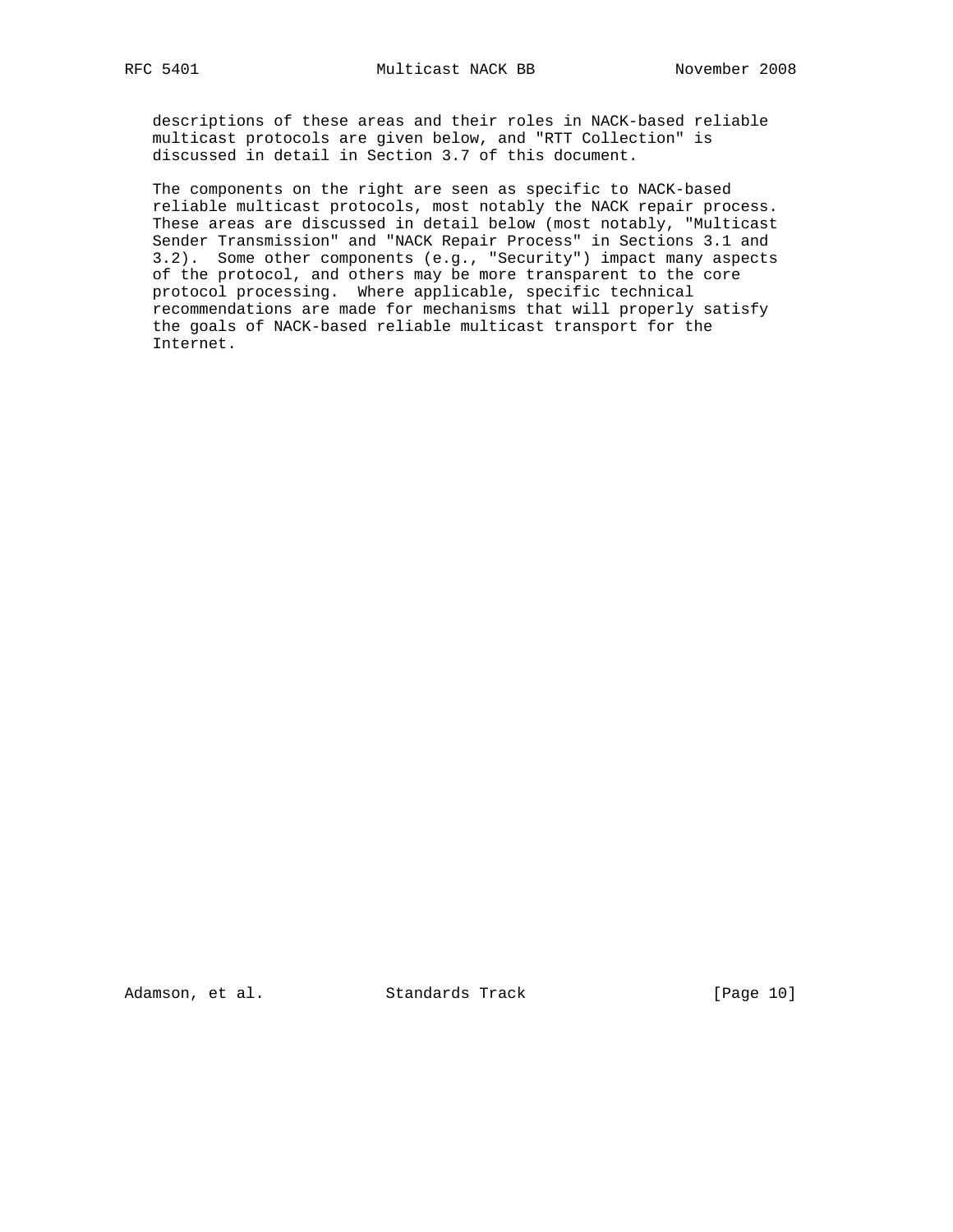descriptions of these areas and their roles in NACK-based reliable multicast protocols are given below, and "RTT Collection" is discussed in detail in Section 3.7 of this document.

 The components on the right are seen as specific to NACK-based reliable multicast protocols, most notably the NACK repair process. These areas are discussed in detail below (most notably, "Multicast Sender Transmission" and "NACK Repair Process" in Sections 3.1 and 3.2). Some other components (e.g., "Security") impact many aspects of the protocol, and others may be more transparent to the core protocol processing. Where applicable, specific technical recommendations are made for mechanisms that will properly satisfy the goals of NACK-based reliable multicast transport for the Internet.

Adamson, et al. Standards Track [Page 10]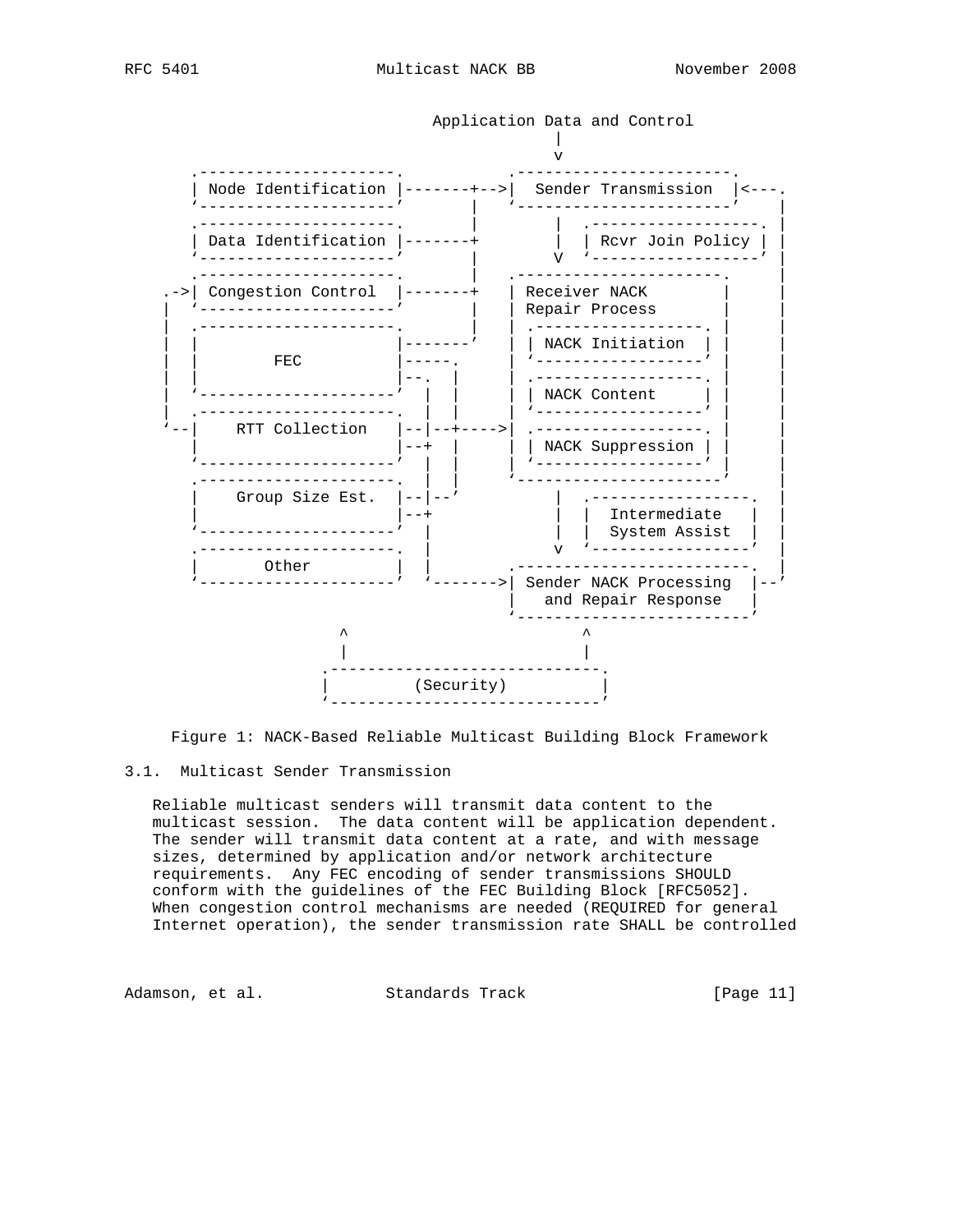



Figure 1: NACK-Based Reliable Multicast Building Block Framework

## 3.1. Multicast Sender Transmission

 Reliable multicast senders will transmit data content to the multicast session. The data content will be application dependent. The sender will transmit data content at a rate, and with message sizes, determined by application and/or network architecture requirements. Any FEC encoding of sender transmissions SHOULD conform with the guidelines of the FEC Building Block [RFC5052]. When congestion control mechanisms are needed (REQUIRED for general Internet operation), the sender transmission rate SHALL be controlled

Adamson, et al. Standards Track [Page 11]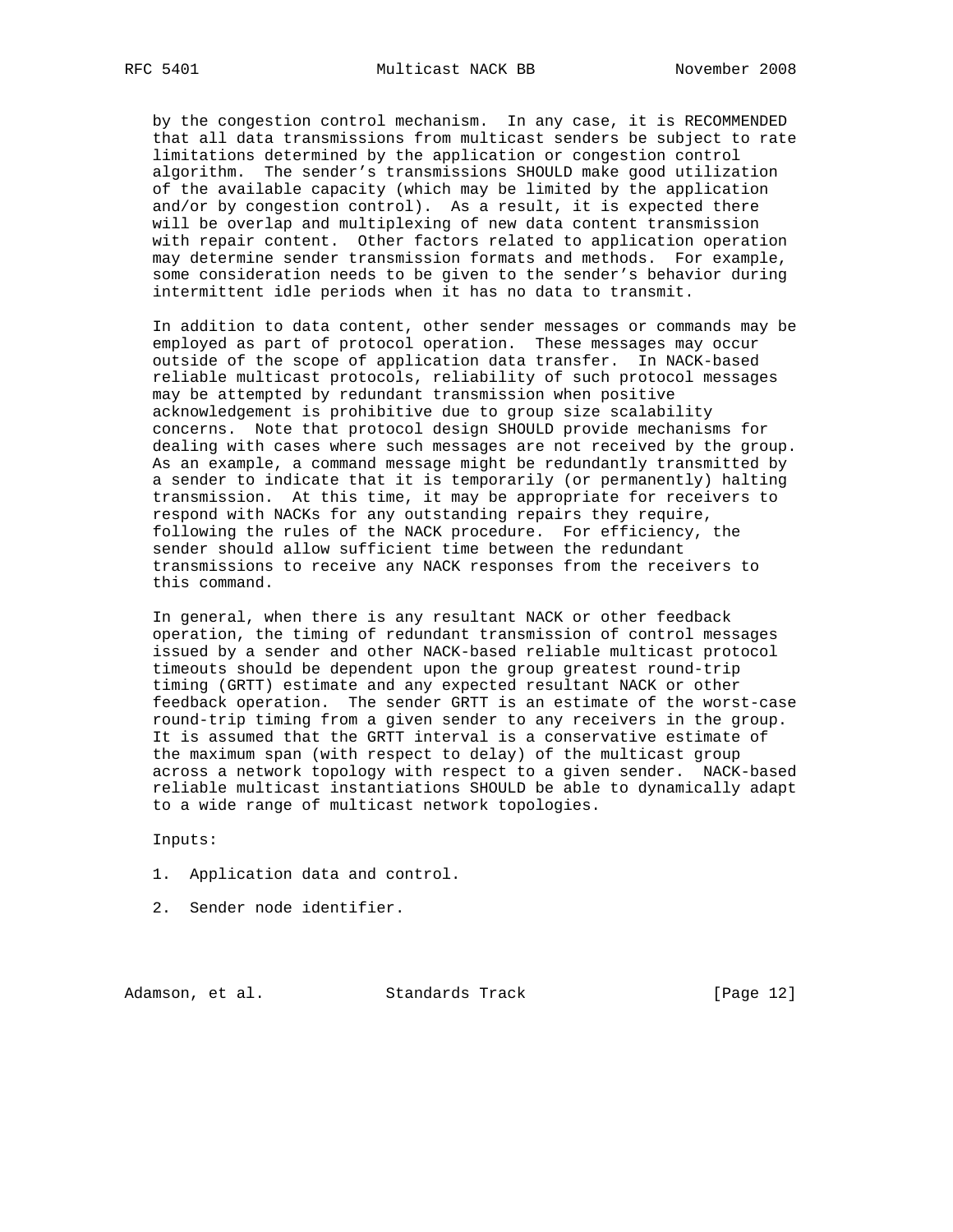by the congestion control mechanism. In any case, it is RECOMMENDED that all data transmissions from multicast senders be subject to rate limitations determined by the application or congestion control algorithm. The sender's transmissions SHOULD make good utilization of the available capacity (which may be limited by the application and/or by congestion control). As a result, it is expected there will be overlap and multiplexing of new data content transmission with repair content. Other factors related to application operation may determine sender transmission formats and methods. For example, some consideration needs to be given to the sender's behavior during intermittent idle periods when it has no data to transmit.

 In addition to data content, other sender messages or commands may be employed as part of protocol operation. These messages may occur outside of the scope of application data transfer. In NACK-based reliable multicast protocols, reliability of such protocol messages may be attempted by redundant transmission when positive acknowledgement is prohibitive due to group size scalability concerns. Note that protocol design SHOULD provide mechanisms for dealing with cases where such messages are not received by the group. As an example, a command message might be redundantly transmitted by a sender to indicate that it is temporarily (or permanently) halting transmission. At this time, it may be appropriate for receivers to respond with NACKs for any outstanding repairs they require, following the rules of the NACK procedure. For efficiency, the sender should allow sufficient time between the redundant transmissions to receive any NACK responses from the receivers to this command.

 In general, when there is any resultant NACK or other feedback operation, the timing of redundant transmission of control messages issued by a sender and other NACK-based reliable multicast protocol timeouts should be dependent upon the group greatest round-trip timing (GRTT) estimate and any expected resultant NACK or other feedback operation. The sender GRTT is an estimate of the worst-case round-trip timing from a given sender to any receivers in the group. It is assumed that the GRTT interval is a conservative estimate of the maximum span (with respect to delay) of the multicast group across a network topology with respect to a given sender. NACK-based reliable multicast instantiations SHOULD be able to dynamically adapt to a wide range of multicast network topologies.

Inputs:

- 1. Application data and control.
- 2. Sender node identifier.

Adamson, et al. Standards Track [Page 12]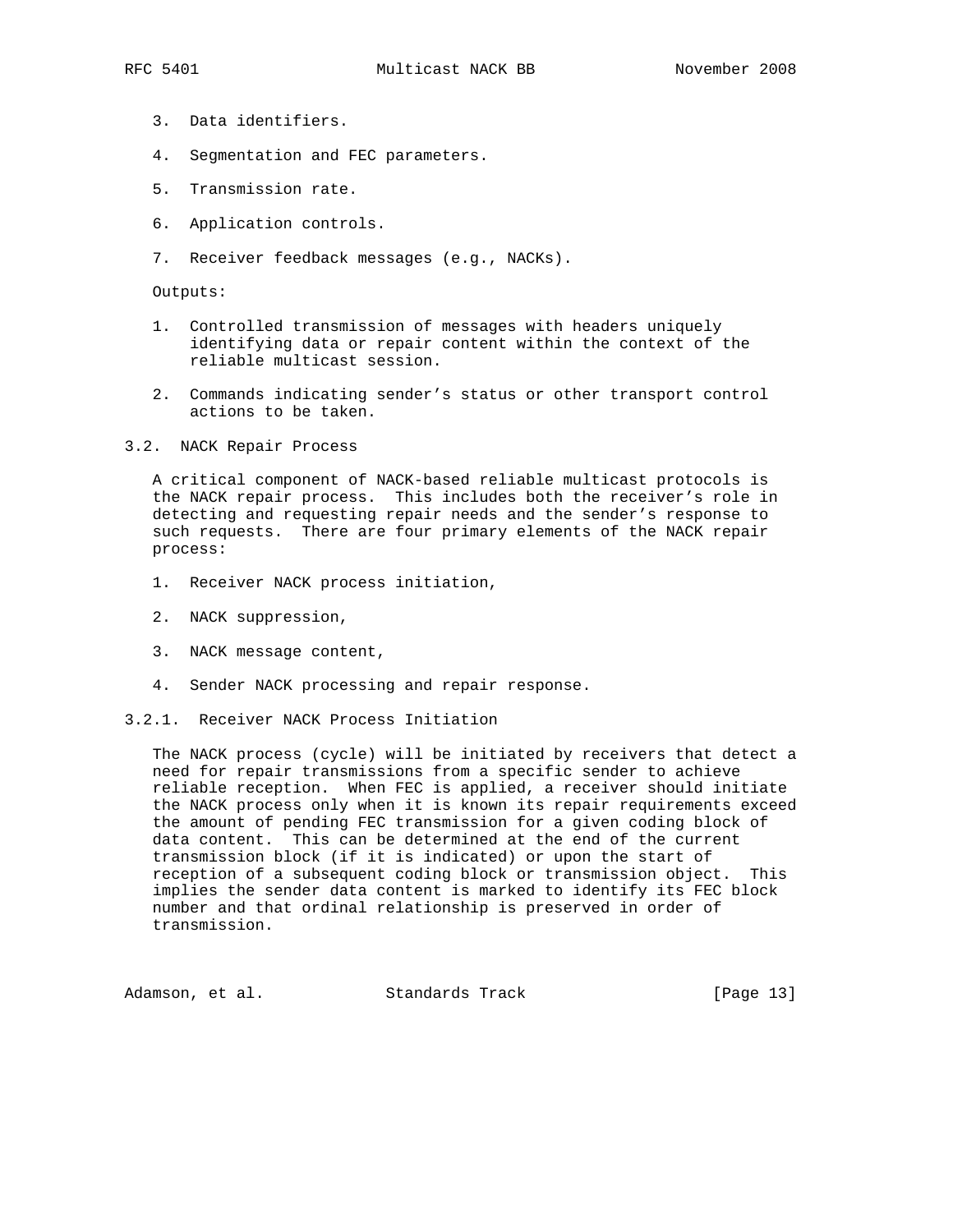- 3. Data identifiers.
- 4. Segmentation and FEC parameters.
- 5. Transmission rate.
- 6. Application controls.
- 7. Receiver feedback messages (e.g., NACKs).

Outputs:

- 1. Controlled transmission of messages with headers uniquely identifying data or repair content within the context of the reliable multicast session.
- 2. Commands indicating sender's status or other transport control actions to be taken.
- 3.2. NACK Repair Process

 A critical component of NACK-based reliable multicast protocols is the NACK repair process. This includes both the receiver's role in detecting and requesting repair needs and the sender's response to such requests. There are four primary elements of the NACK repair process:

- 1. Receiver NACK process initiation,
- 2. NACK suppression,
- 3. NACK message content,
- 4. Sender NACK processing and repair response.
- 3.2.1. Receiver NACK Process Initiation

 The NACK process (cycle) will be initiated by receivers that detect a need for repair transmissions from a specific sender to achieve reliable reception. When FEC is applied, a receiver should initiate the NACK process only when it is known its repair requirements exceed the amount of pending FEC transmission for a given coding block of data content. This can be determined at the end of the current transmission block (if it is indicated) or upon the start of reception of a subsequent coding block or transmission object. This implies the sender data content is marked to identify its FEC block number and that ordinal relationship is preserved in order of transmission.

Adamson, et al. Standards Track [Page 13]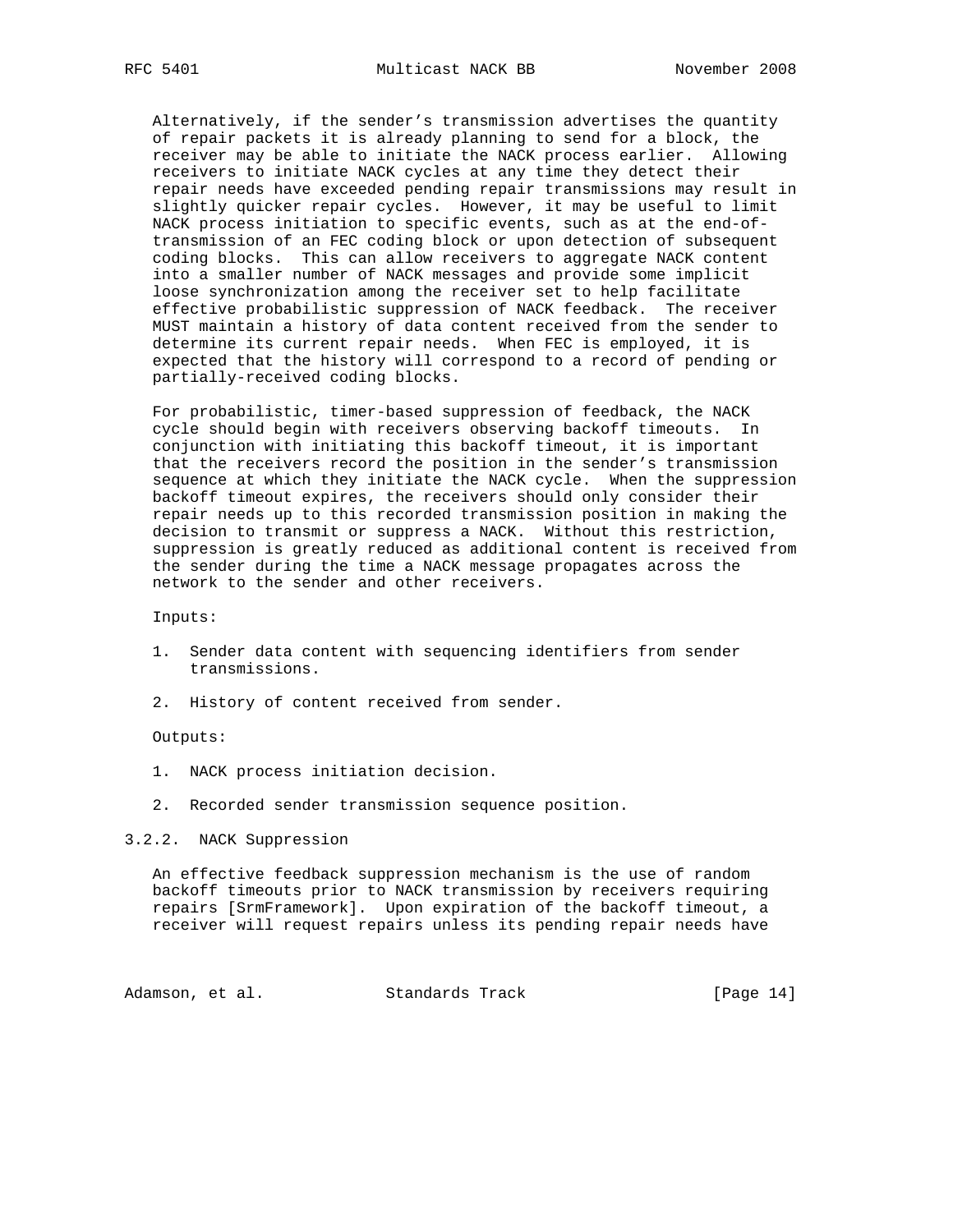Alternatively, if the sender's transmission advertises the quantity of repair packets it is already planning to send for a block, the receiver may be able to initiate the NACK process earlier. Allowing receivers to initiate NACK cycles at any time they detect their repair needs have exceeded pending repair transmissions may result in slightly quicker repair cycles. However, it may be useful to limit NACK process initiation to specific events, such as at the end-of transmission of an FEC coding block or upon detection of subsequent coding blocks. This can allow receivers to aggregate NACK content into a smaller number of NACK messages and provide some implicit loose synchronization among the receiver set to help facilitate effective probabilistic suppression of NACK feedback. The receiver MUST maintain a history of data content received from the sender to determine its current repair needs. When FEC is employed, it is expected that the history will correspond to a record of pending or partially-received coding blocks.

 For probabilistic, timer-based suppression of feedback, the NACK cycle should begin with receivers observing backoff timeouts. In conjunction with initiating this backoff timeout, it is important that the receivers record the position in the sender's transmission sequence at which they initiate the NACK cycle. When the suppression backoff timeout expires, the receivers should only consider their repair needs up to this recorded transmission position in making the decision to transmit or suppress a NACK. Without this restriction, suppression is greatly reduced as additional content is received from the sender during the time a NACK message propagates across the network to the sender and other receivers.

Inputs:

- 1. Sender data content with sequencing identifiers from sender transmissions.
- 2. History of content received from sender.

#### Outputs:

- 1. NACK process initiation decision.
- 2. Recorded sender transmission sequence position.

3.2.2. NACK Suppression

 An effective feedback suppression mechanism is the use of random backoff timeouts prior to NACK transmission by receivers requiring repairs [SrmFramework]. Upon expiration of the backoff timeout, a receiver will request repairs unless its pending repair needs have

Adamson, et al. Standards Track [Page 14]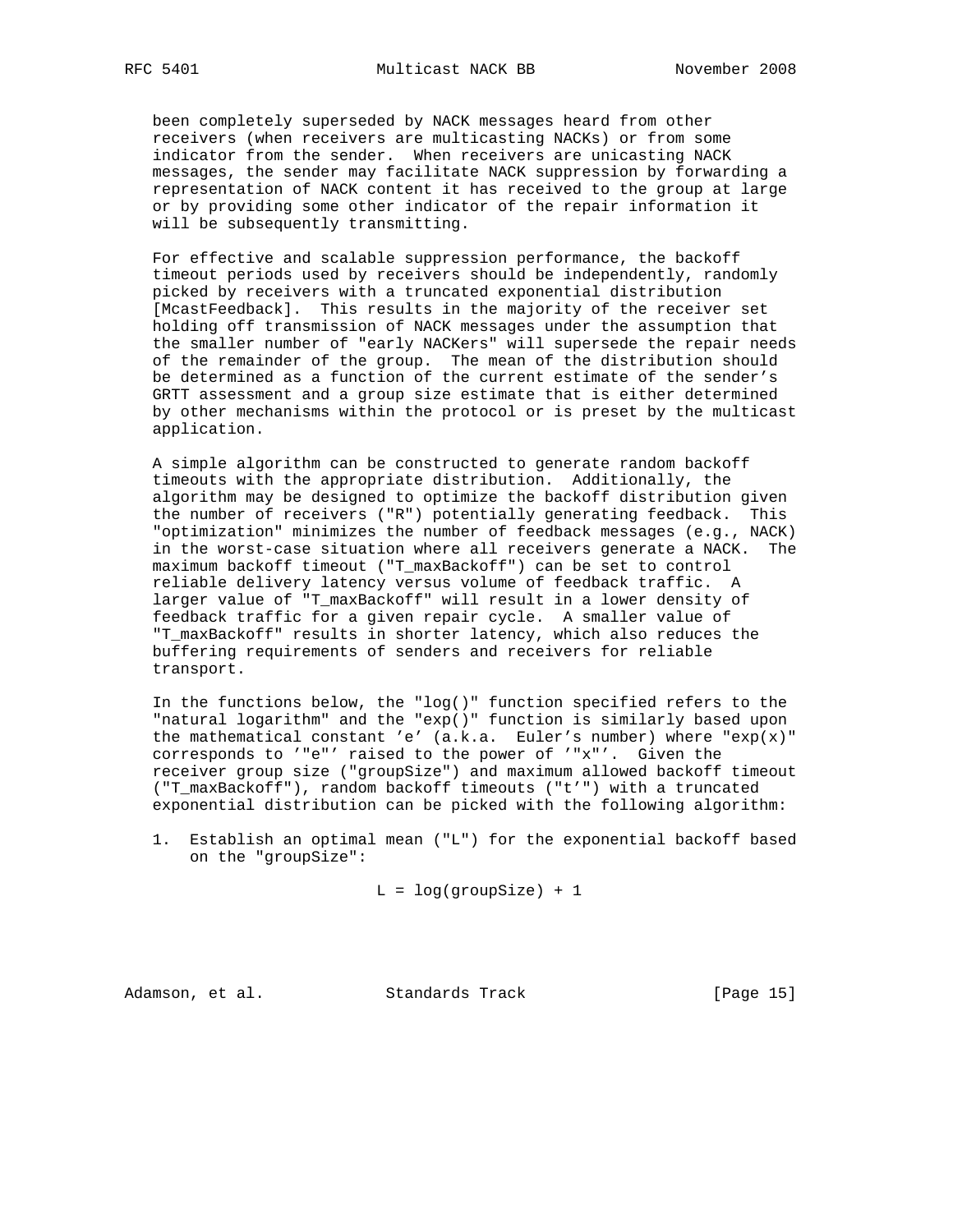been completely superseded by NACK messages heard from other receivers (when receivers are multicasting NACKs) or from some indicator from the sender. When receivers are unicasting NACK messages, the sender may facilitate NACK suppression by forwarding a representation of NACK content it has received to the group at large or by providing some other indicator of the repair information it will be subsequently transmitting.

 For effective and scalable suppression performance, the backoff timeout periods used by receivers should be independently, randomly picked by receivers with a truncated exponential distribution [McastFeedback]. This results in the majority of the receiver set holding off transmission of NACK messages under the assumption that the smaller number of "early NACKers" will supersede the repair needs of the remainder of the group. The mean of the distribution should be determined as a function of the current estimate of the sender's GRTT assessment and a group size estimate that is either determined by other mechanisms within the protocol or is preset by the multicast application.

 A simple algorithm can be constructed to generate random backoff timeouts with the appropriate distribution. Additionally, the algorithm may be designed to optimize the backoff distribution given the number of receivers ("R") potentially generating feedback. This "optimization" minimizes the number of feedback messages (e.g., NACK) in the worst-case situation where all receivers generate a NACK. The maximum backoff timeout ("T\_maxBackoff") can be set to control reliable delivery latency versus volume of feedback traffic. A larger value of "T\_maxBackoff" will result in a lower density of feedback traffic for a given repair cycle. A smaller value of "T\_maxBackoff" results in shorter latency, which also reduces the buffering requirements of senders and receivers for reliable transport.

 In the functions below, the "log()" function specified refers to the "natural logarithm" and the "exp()" function is similarly based upon the mathematical constant 'e'  $(a.k.a.$  Euler's number) where " $exp(x)$ " corresponds to '"e"' raised to the power of '"x"'. Given the receiver group size ("groupSize") and maximum allowed backoff timeout ("T\_maxBackoff"), random backoff timeouts ("t'") with a truncated exponential distribution can be picked with the following algorithm:

 1. Establish an optimal mean ("L") for the exponential backoff based on the "groupSize":

 $L = log(groupSize) + 1$ 

Adamson, et al. Standards Track [Page 15]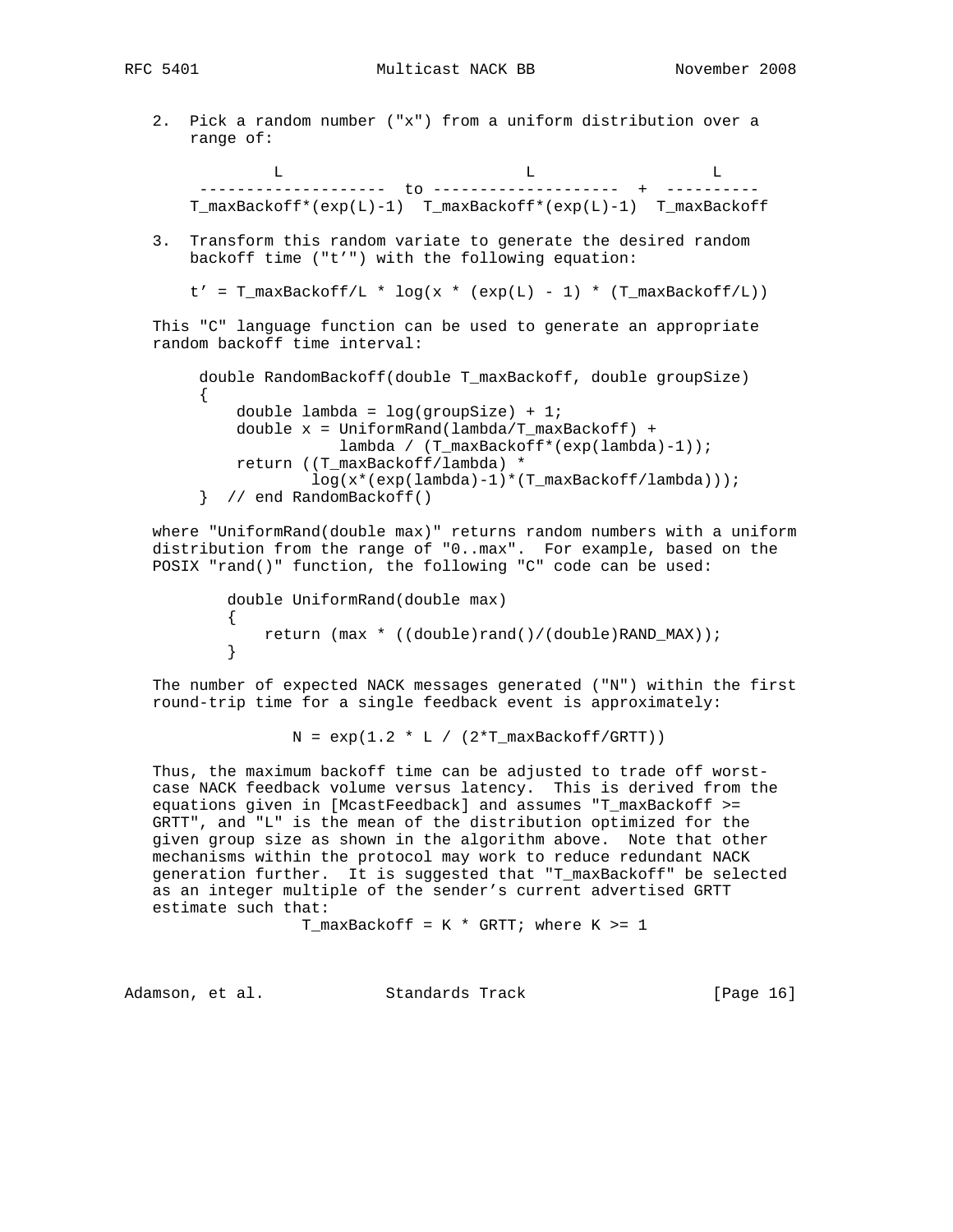RFC 5401 Multicast NACK BB November 2008

 2. Pick a random number ("x") from a uniform distribution over a range of:

 L L L -------------------- to -------------------- + ---------- T\_maxBackoff\*(exp(L)-1) T\_maxBackoff\*(exp(L)-1) T\_maxBackoff

 3. Transform this random variate to generate the desired random backoff time ("t'") with the following equation:

```
t' = T_{maxBackOff/L} * log(x * (exp(L) - 1) * (T_{maxBackOff/L}))
```
 This "C" language function can be used to generate an appropriate random backoff time interval:

```
 double RandomBackoff(double T_maxBackoff, double groupSize)
\left\{ \begin{array}{c} \end{array} \right.double lambda = log(groupSize) + 1;
              double x = UniformRand(lambda/T_maxBackoff) +
                          lambda / (T_maxBackoff*(exp(lambda)-1));
              return ((T_maxBackoff/lambda) *
                       log(x*(exp(lambda)-1)*(T_maxBackoff/lambda)));
          } // end RandomBackoff()
```
 where "UniformRand(double max)" returns random numbers with a uniform distribution from the range of "0..max". For example, based on the POSIX "rand()" function, the following "C" code can be used:

```
 double UniformRand(double max)
\{return (max * ((double)rand()/(double)RAND_MAX));<br>}
 }
```
 The number of expected NACK messages generated ("N") within the first round-trip time for a single feedback event is approximately:

 $N = exp(1.2 * L / (2*T_maxBackoff/GRTT))$ 

 Thus, the maximum backoff time can be adjusted to trade off worst case NACK feedback volume versus latency. This is derived from the equations given in [McastFeedback] and assumes "T\_maxBackoff >= GRTT", and "L" is the mean of the distribution optimized for the given group size as shown in the algorithm above. Note that other mechanisms within the protocol may work to reduce redundant NACK generation further. It is suggested that "T\_maxBackoff" be selected as an integer multiple of the sender's current advertised GRTT estimate such that:

T\_maxBackoff =  $K * GRTT$ ; where  $K > = 1$ 

Adamson, et al. Standards Track [Page 16]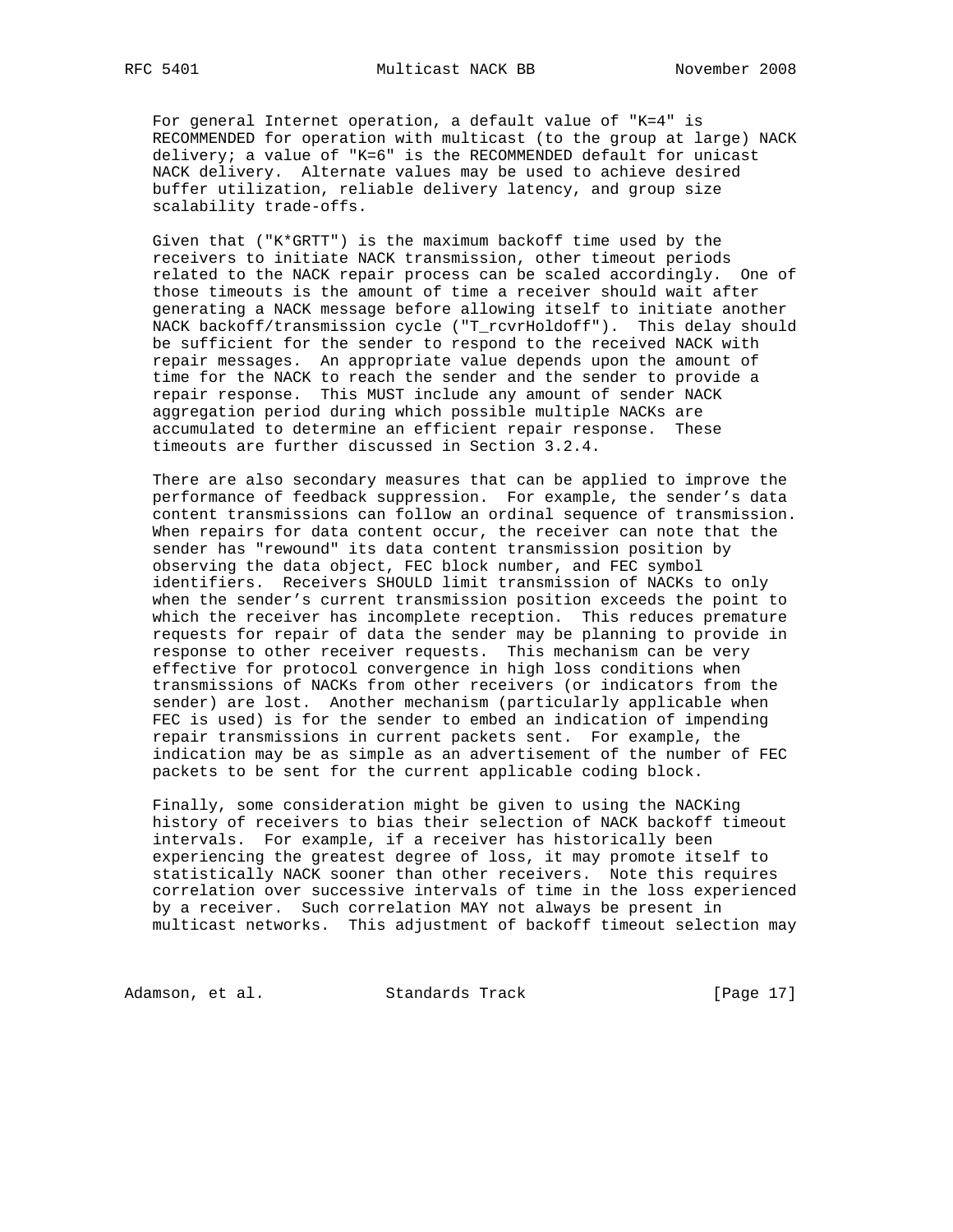For general Internet operation, a default value of "K=4" is RECOMMENDED for operation with multicast (to the group at large) NACK delivery; a value of "K=6" is the RECOMMENDED default for unicast NACK delivery. Alternate values may be used to achieve desired buffer utilization, reliable delivery latency, and group size scalability trade-offs.

 Given that ("K\*GRTT") is the maximum backoff time used by the receivers to initiate NACK transmission, other timeout periods related to the NACK repair process can be scaled accordingly. One of those timeouts is the amount of time a receiver should wait after generating a NACK message before allowing itself to initiate another NACK backoff/transmission cycle ("T\_rcvrHoldoff"). This delay should be sufficient for the sender to respond to the received NACK with repair messages. An appropriate value depends upon the amount of time for the NACK to reach the sender and the sender to provide a repair response. This MUST include any amount of sender NACK aggregation period during which possible multiple NACKs are accumulated to determine an efficient repair response. These timeouts are further discussed in Section 3.2.4.

 There are also secondary measures that can be applied to improve the performance of feedback suppression. For example, the sender's data content transmissions can follow an ordinal sequence of transmission. When repairs for data content occur, the receiver can note that the sender has "rewound" its data content transmission position by observing the data object, FEC block number, and FEC symbol identifiers. Receivers SHOULD limit transmission of NACKs to only when the sender's current transmission position exceeds the point to which the receiver has incomplete reception. This reduces premature requests for repair of data the sender may be planning to provide in response to other receiver requests. This mechanism can be very effective for protocol convergence in high loss conditions when transmissions of NACKs from other receivers (or indicators from the sender) are lost. Another mechanism (particularly applicable when FEC is used) is for the sender to embed an indication of impending repair transmissions in current packets sent. For example, the indication may be as simple as an advertisement of the number of FEC packets to be sent for the current applicable coding block.

 Finally, some consideration might be given to using the NACKing history of receivers to bias their selection of NACK backoff timeout intervals. For example, if a receiver has historically been experiencing the greatest degree of loss, it may promote itself to statistically NACK sooner than other receivers. Note this requires correlation over successive intervals of time in the loss experienced by a receiver. Such correlation MAY not always be present in multicast networks. This adjustment of backoff timeout selection may

Adamson, et al. Standards Track [Page 17]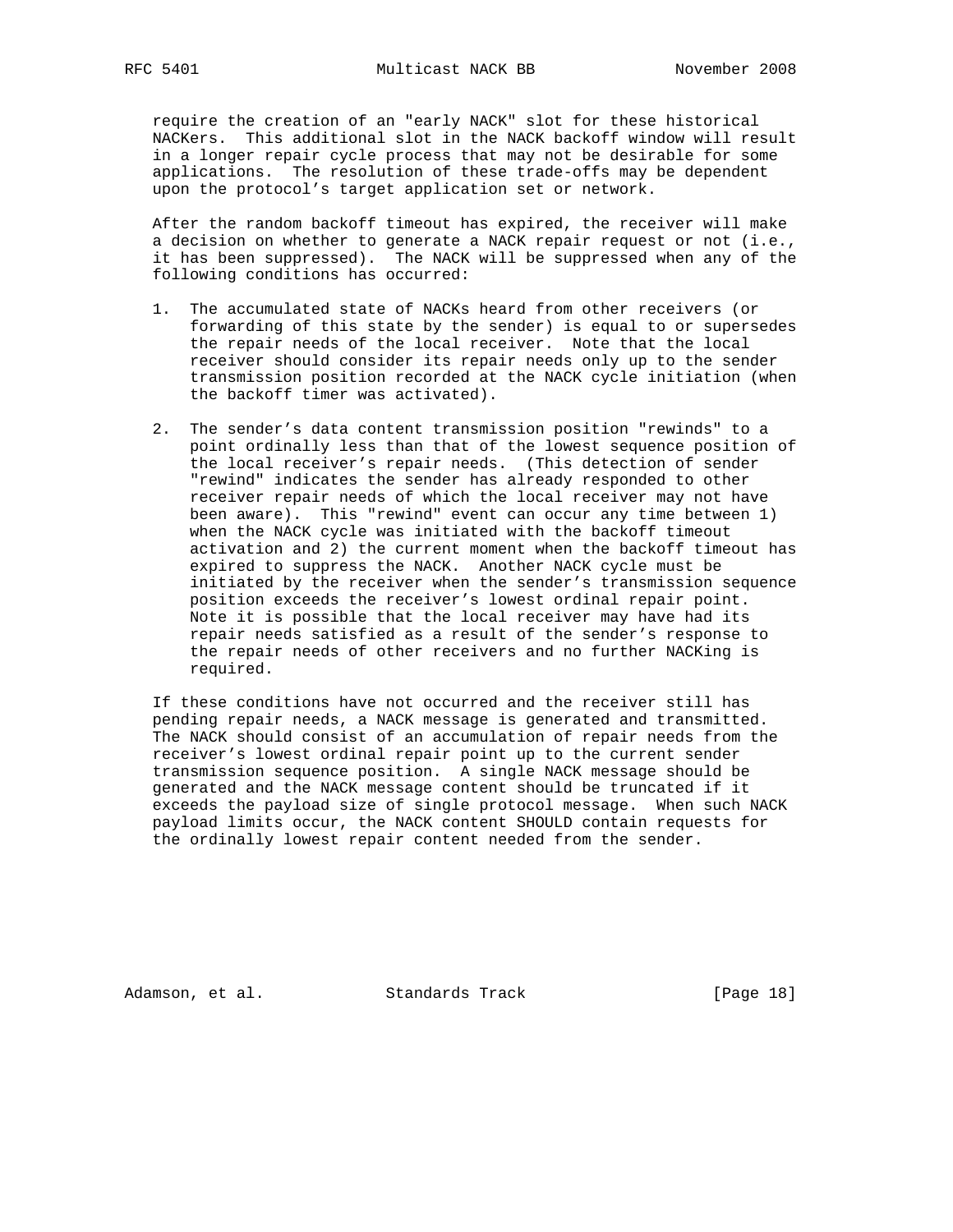require the creation of an "early NACK" slot for these historical NACKers. This additional slot in the NACK backoff window will result in a longer repair cycle process that may not be desirable for some applications. The resolution of these trade-offs may be dependent upon the protocol's target application set or network.

 After the random backoff timeout has expired, the receiver will make a decision on whether to generate a NACK repair request or not (i.e., it has been suppressed). The NACK will be suppressed when any of the following conditions has occurred:

- 1. The accumulated state of NACKs heard from other receivers (or forwarding of this state by the sender) is equal to or supersedes the repair needs of the local receiver. Note that the local receiver should consider its repair needs only up to the sender transmission position recorded at the NACK cycle initiation (when the backoff timer was activated).
- 2. The sender's data content transmission position "rewinds" to a point ordinally less than that of the lowest sequence position of the local receiver's repair needs. (This detection of sender "rewind" indicates the sender has already responded to other receiver repair needs of which the local receiver may not have been aware). This "rewind" event can occur any time between 1) when the NACK cycle was initiated with the backoff timeout activation and 2) the current moment when the backoff timeout has expired to suppress the NACK. Another NACK cycle must be initiated by the receiver when the sender's transmission sequence position exceeds the receiver's lowest ordinal repair point. Note it is possible that the local receiver may have had its repair needs satisfied as a result of the sender's response to the repair needs of other receivers and no further NACKing is required.

 If these conditions have not occurred and the receiver still has pending repair needs, a NACK message is generated and transmitted. The NACK should consist of an accumulation of repair needs from the receiver's lowest ordinal repair point up to the current sender transmission sequence position. A single NACK message should be generated and the NACK message content should be truncated if it exceeds the payload size of single protocol message. When such NACK payload limits occur, the NACK content SHOULD contain requests for the ordinally lowest repair content needed from the sender.

Adamson, et al. Standards Track [Page 18]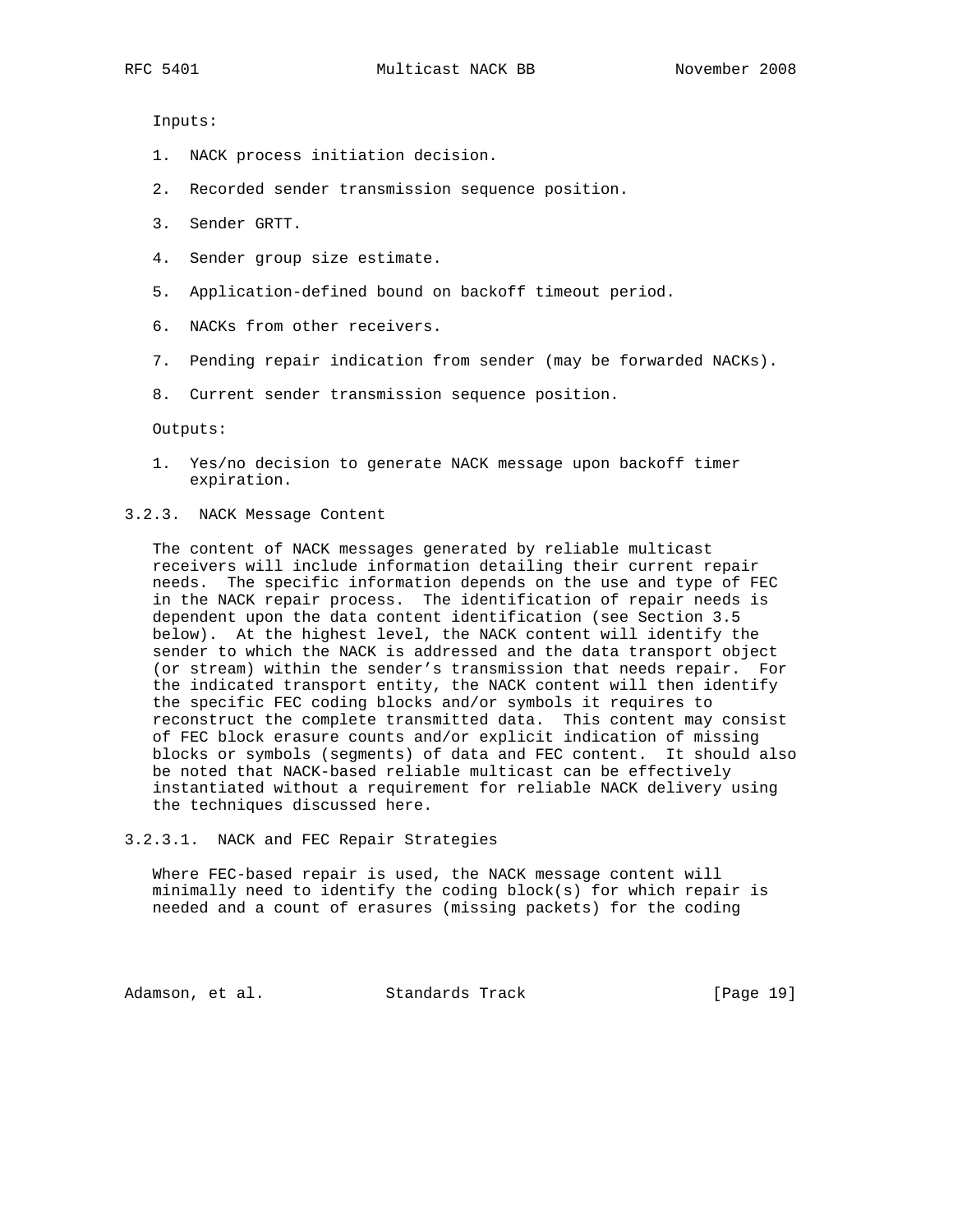Inputs:

- 1. NACK process initiation decision.
- 2. Recorded sender transmission sequence position.
- 3. Sender GRTT.
- 4. Sender group size estimate.
- 5. Application-defined bound on backoff timeout period.
- 6. NACKs from other receivers.
- 7. Pending repair indication from sender (may be forwarded NACKs).
- 8. Current sender transmission sequence position.

Outputs:

- 1. Yes/no decision to generate NACK message upon backoff timer expiration.
- 3.2.3. NACK Message Content

 The content of NACK messages generated by reliable multicast receivers will include information detailing their current repair needs. The specific information depends on the use and type of FEC in the NACK repair process. The identification of repair needs is dependent upon the data content identification (see Section 3.5 below). At the highest level, the NACK content will identify the sender to which the NACK is addressed and the data transport object (or stream) within the sender's transmission that needs repair. For the indicated transport entity, the NACK content will then identify the specific FEC coding blocks and/or symbols it requires to reconstruct the complete transmitted data. This content may consist of FEC block erasure counts and/or explicit indication of missing blocks or symbols (segments) of data and FEC content. It should also be noted that NACK-based reliable multicast can be effectively instantiated without a requirement for reliable NACK delivery using the techniques discussed here.

3.2.3.1. NACK and FEC Repair Strategies

 Where FEC-based repair is used, the NACK message content will minimally need to identify the coding block(s) for which repair is needed and a count of erasures (missing packets) for the coding

Adamson, et al. Standards Track [Page 19]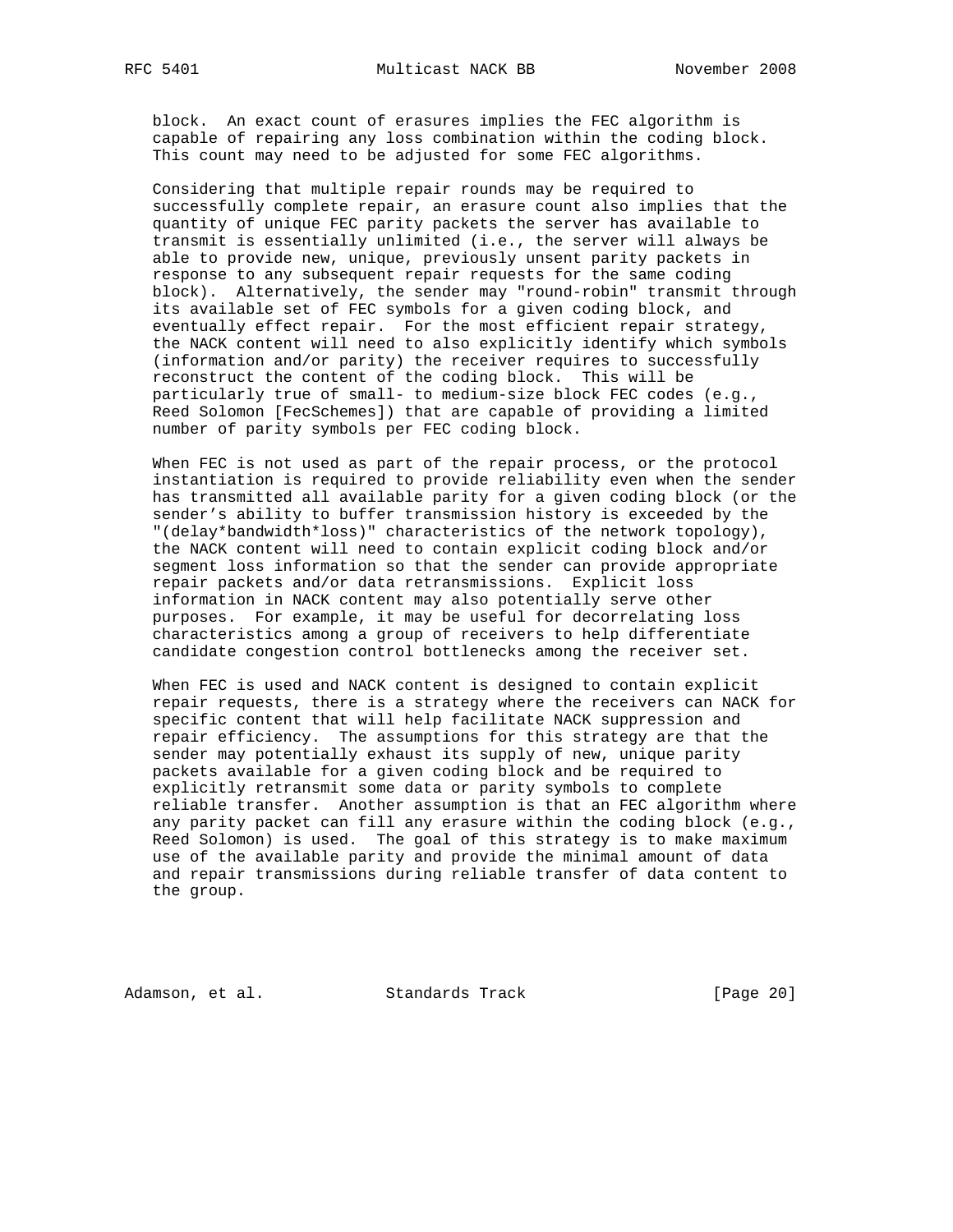block. An exact count of erasures implies the FEC algorithm is capable of repairing any loss combination within the coding block. This count may need to be adjusted for some FEC algorithms.

 Considering that multiple repair rounds may be required to successfully complete repair, an erasure count also implies that the quantity of unique FEC parity packets the server has available to transmit is essentially unlimited (i.e., the server will always be able to provide new, unique, previously unsent parity packets in response to any subsequent repair requests for the same coding block). Alternatively, the sender may "round-robin" transmit through its available set of FEC symbols for a given coding block, and eventually effect repair. For the most efficient repair strategy, the NACK content will need to also explicitly identify which symbols (information and/or parity) the receiver requires to successfully reconstruct the content of the coding block. This will be particularly true of small- to medium-size block FEC codes (e.g., Reed Solomon [FecSchemes]) that are capable of providing a limited number of parity symbols per FEC coding block.

 When FEC is not used as part of the repair process, or the protocol instantiation is required to provide reliability even when the sender has transmitted all available parity for a given coding block (or the sender's ability to buffer transmission history is exceeded by the "(delay\*bandwidth\*loss)" characteristics of the network topology), the NACK content will need to contain explicit coding block and/or segment loss information so that the sender can provide appropriate repair packets and/or data retransmissions. Explicit loss information in NACK content may also potentially serve other purposes. For example, it may be useful for decorrelating loss characteristics among a group of receivers to help differentiate candidate congestion control bottlenecks among the receiver set.

 When FEC is used and NACK content is designed to contain explicit repair requests, there is a strategy where the receivers can NACK for specific content that will help facilitate NACK suppression and repair efficiency. The assumptions for this strategy are that the sender may potentially exhaust its supply of new, unique parity packets available for a given coding block and be required to explicitly retransmit some data or parity symbols to complete reliable transfer. Another assumption is that an FEC algorithm where any parity packet can fill any erasure within the coding block (e.g., Reed Solomon) is used. The goal of this strategy is to make maximum use of the available parity and provide the minimal amount of data and repair transmissions during reliable transfer of data content to the group.

Adamson, et al. Standards Track [Page 20]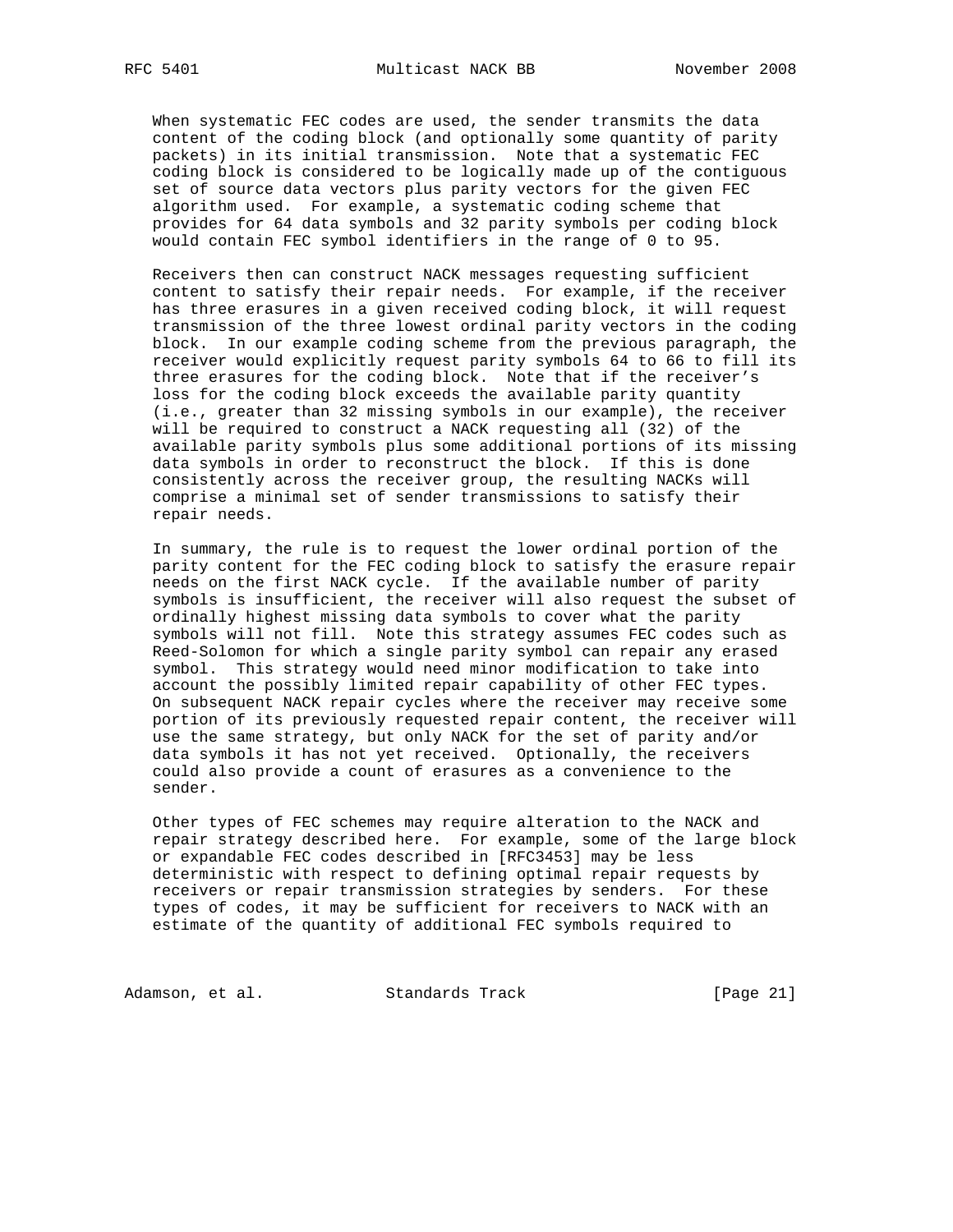When systematic FEC codes are used, the sender transmits the data content of the coding block (and optionally some quantity of parity packets) in its initial transmission. Note that a systematic FEC coding block is considered to be logically made up of the contiguous set of source data vectors plus parity vectors for the given FEC algorithm used. For example, a systematic coding scheme that provides for 64 data symbols and 32 parity symbols per coding block would contain FEC symbol identifiers in the range of 0 to 95.

 Receivers then can construct NACK messages requesting sufficient content to satisfy their repair needs. For example, if the receiver has three erasures in a given received coding block, it will request transmission of the three lowest ordinal parity vectors in the coding block. In our example coding scheme from the previous paragraph, the receiver would explicitly request parity symbols 64 to 66 to fill its three erasures for the coding block. Note that if the receiver's loss for the coding block exceeds the available parity quantity (i.e., greater than 32 missing symbols in our example), the receiver will be required to construct a NACK requesting all (32) of the available parity symbols plus some additional portions of its missing data symbols in order to reconstruct the block. If this is done consistently across the receiver group, the resulting NACKs will comprise a minimal set of sender transmissions to satisfy their repair needs.

 In summary, the rule is to request the lower ordinal portion of the parity content for the FEC coding block to satisfy the erasure repair needs on the first NACK cycle. If the available number of parity symbols is insufficient, the receiver will also request the subset of ordinally highest missing data symbols to cover what the parity symbols will not fill. Note this strategy assumes FEC codes such as Reed-Solomon for which a single parity symbol can repair any erased symbol. This strategy would need minor modification to take into account the possibly limited repair capability of other FEC types. On subsequent NACK repair cycles where the receiver may receive some portion of its previously requested repair content, the receiver will use the same strategy, but only NACK for the set of parity and/or data symbols it has not yet received. Optionally, the receivers could also provide a count of erasures as a convenience to the sender.

 Other types of FEC schemes may require alteration to the NACK and repair strategy described here. For example, some of the large block or expandable FEC codes described in [RFC3453] may be less deterministic with respect to defining optimal repair requests by receivers or repair transmission strategies by senders. For these types of codes, it may be sufficient for receivers to NACK with an estimate of the quantity of additional FEC symbols required to

Adamson, et al. Standards Track [Page 21]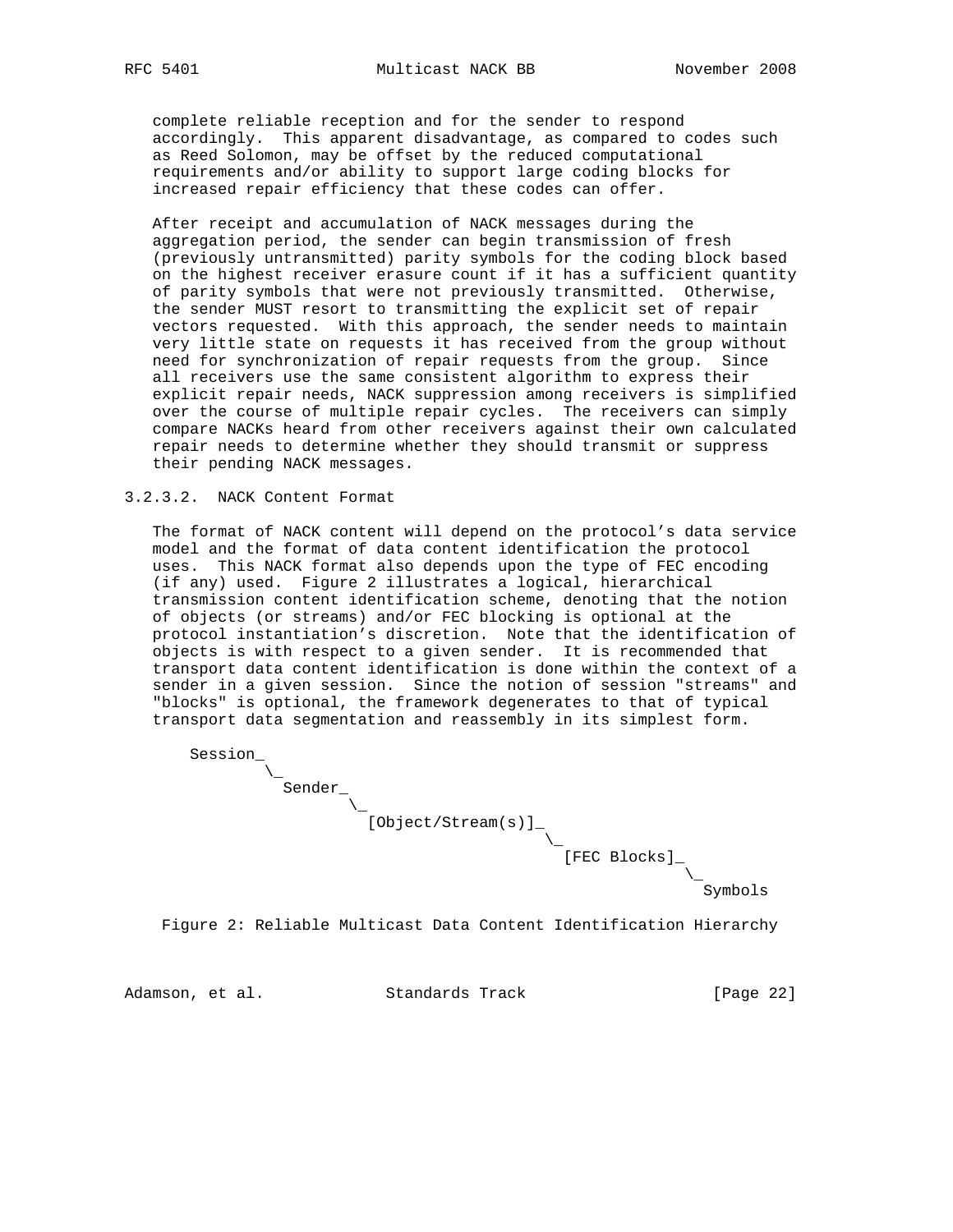complete reliable reception and for the sender to respond accordingly. This apparent disadvantage, as compared to codes such as Reed Solomon, may be offset by the reduced computational requirements and/or ability to support large coding blocks for increased repair efficiency that these codes can offer.

 After receipt and accumulation of NACK messages during the aggregation period, the sender can begin transmission of fresh (previously untransmitted) parity symbols for the coding block based on the highest receiver erasure count if it has a sufficient quantity of parity symbols that were not previously transmitted. Otherwise, the sender MUST resort to transmitting the explicit set of repair vectors requested. With this approach, the sender needs to maintain very little state on requests it has received from the group without need for synchronization of repair requests from the group. Since all receivers use the same consistent algorithm to express their explicit repair needs, NACK suppression among receivers is simplified over the course of multiple repair cycles. The receivers can simply compare NACKs heard from other receivers against their own calculated repair needs to determine whether they should transmit or suppress their pending NACK messages.

#### 3.2.3.2. NACK Content Format

 The format of NACK content will depend on the protocol's data service model and the format of data content identification the protocol uses. This NACK format also depends upon the type of FEC encoding (if any) used. Figure 2 illustrates a logical, hierarchical transmission content identification scheme, denoting that the notion of objects (or streams) and/or FEC blocking is optional at the protocol instantiation's discretion. Note that the identification of objects is with respect to a given sender. It is recommended that transport data content identification is done within the context of a sender in a given session. Since the notion of session "streams" and "blocks" is optional, the framework degenerates to that of typical transport data segmentation and reassembly in its simplest form.



Figure 2: Reliable Multicast Data Content Identification Hierarchy

Adamson, et al. Standards Track [Page 22]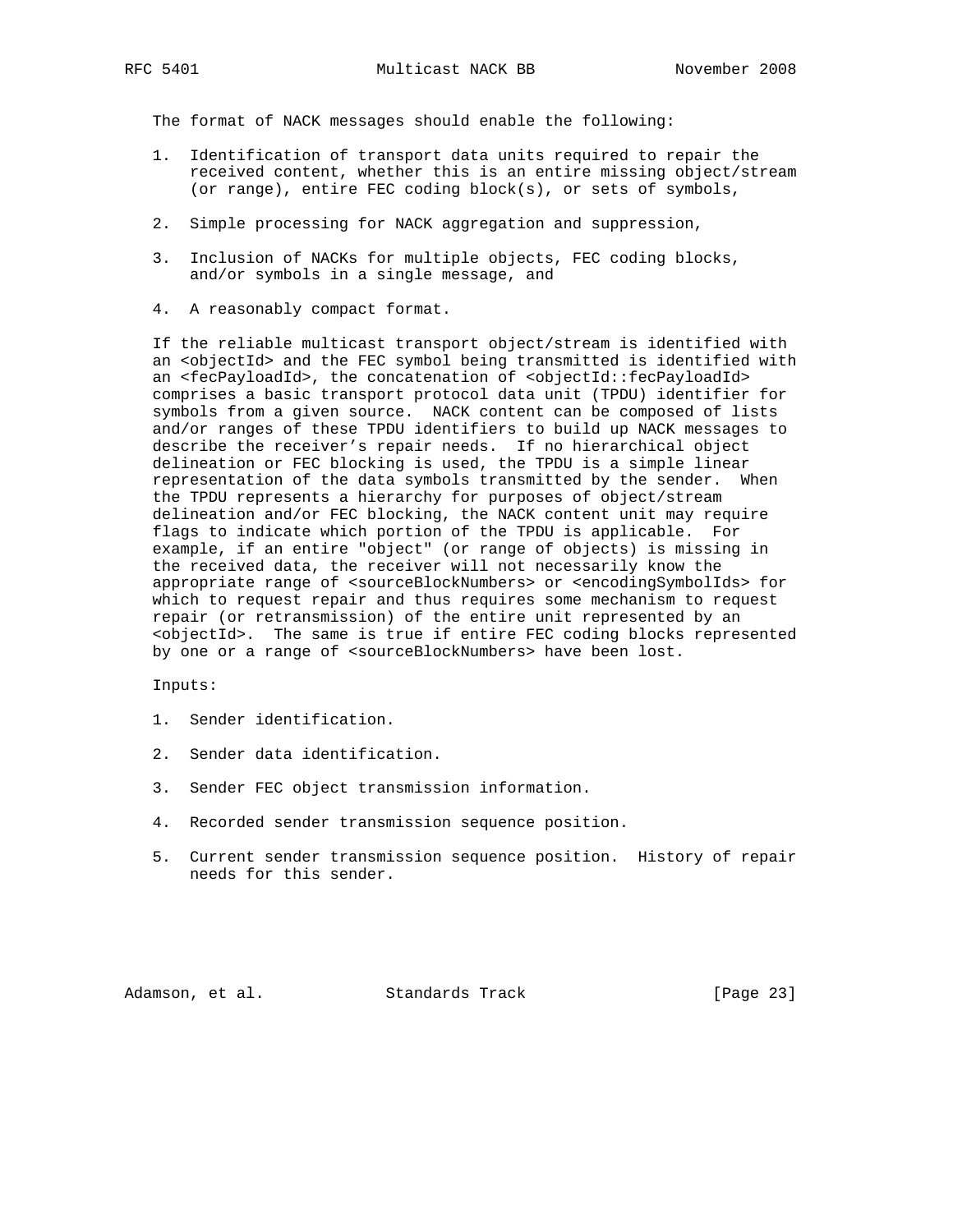The format of NACK messages should enable the following:

- 1. Identification of transport data units required to repair the received content, whether this is an entire missing object/stream (or range), entire FEC coding block(s), or sets of symbols,
- 2. Simple processing for NACK aggregation and suppression,
- 3. Inclusion of NACKs for multiple objects, FEC coding blocks, and/or symbols in a single message, and
- 4. A reasonably compact format.

 If the reliable multicast transport object/stream is identified with an <objectId> and the FEC symbol being transmitted is identified with an <fecPayloadId>, the concatenation of <objectId::fecPayloadId> comprises a basic transport protocol data unit (TPDU) identifier for symbols from a given source. NACK content can be composed of lists and/or ranges of these TPDU identifiers to build up NACK messages to describe the receiver's repair needs. If no hierarchical object delineation or FEC blocking is used, the TPDU is a simple linear representation of the data symbols transmitted by the sender. When the TPDU represents a hierarchy for purposes of object/stream delineation and/or FEC blocking, the NACK content unit may require flags to indicate which portion of the TPDU is applicable. For example, if an entire "object" (or range of objects) is missing in the received data, the receiver will not necessarily know the appropriate range of <sourceBlockNumbers> or <encodingSymbolIds> for which to request repair and thus requires some mechanism to request repair (or retransmission) of the entire unit represented by an <objectId>. The same is true if entire FEC coding blocks represented by one or a range of <sourceBlockNumbers> have been lost.

Inputs:

- 1. Sender identification.
- 2. Sender data identification.
- 3. Sender FEC object transmission information.
- 4. Recorded sender transmission sequence position.
- 5. Current sender transmission sequence position. History of repair needs for this sender.

Adamson, et al. Standards Track [Page 23]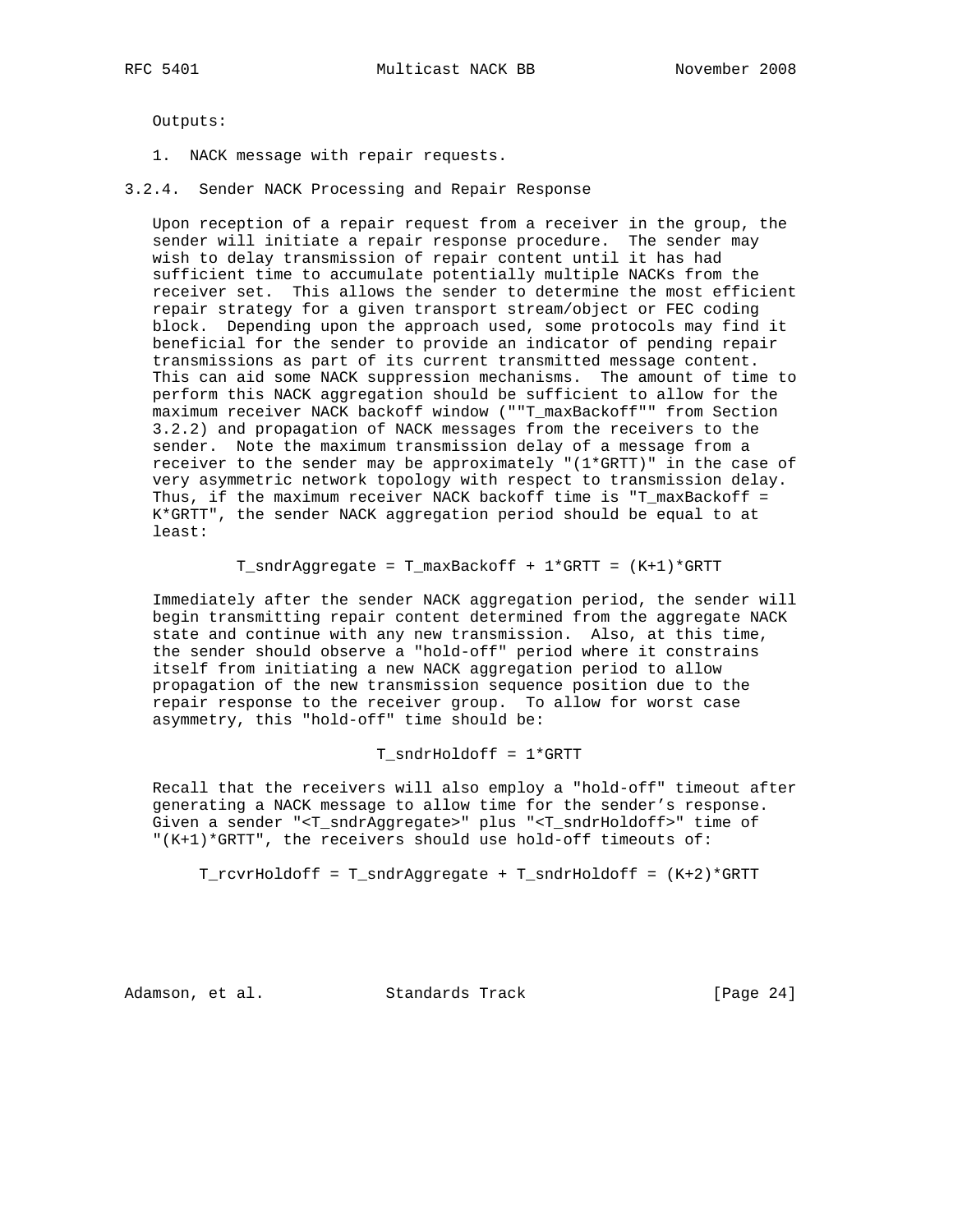Outputs:

- 1. NACK message with repair requests.
- 3.2.4. Sender NACK Processing and Repair Response

 Upon reception of a repair request from a receiver in the group, the sender will initiate a repair response procedure. The sender may wish to delay transmission of repair content until it has had sufficient time to accumulate potentially multiple NACKs from the receiver set. This allows the sender to determine the most efficient repair strategy for a given transport stream/object or FEC coding block. Depending upon the approach used, some protocols may find it beneficial for the sender to provide an indicator of pending repair transmissions as part of its current transmitted message content. This can aid some NACK suppression mechanisms. The amount of time to perform this NACK aggregation should be sufficient to allow for the maximum receiver NACK backoff window (""T\_maxBackoff"" from Section 3.2.2) and propagation of NACK messages from the receivers to the sender. Note the maximum transmission delay of a message from a receiver to the sender may be approximately "(1\*GRTT)" in the case of very asymmetric network topology with respect to transmission delay. Thus, if the maximum receiver NACK backoff time is "T\_maxBackoff = K\*GRTT", the sender NACK aggregation period should be equal to at least:

T\_sndrAggregate = T\_maxBackoff + 1\*GRTT = (K+1)\*GRTT

 Immediately after the sender NACK aggregation period, the sender will begin transmitting repair content determined from the aggregate NACK state and continue with any new transmission. Also, at this time, the sender should observe a "hold-off" period where it constrains itself from initiating a new NACK aggregation period to allow propagation of the new transmission sequence position due to the repair response to the receiver group. To allow for worst case asymmetry, this "hold-off" time should be:

T\_sndrHoldoff = 1\*GRTT

 Recall that the receivers will also employ a "hold-off" timeout after generating a NACK message to allow time for the sender's response. Given a sender "<T\_sndrAggregate>" plus "<T\_sndrHoldoff>" time of "(K+1)\*GRTT", the receivers should use hold-off timeouts of:

T\_rcvrHoldoff = T\_sndrAggregate + T\_sndrHoldoff = (K+2)\*GRTT

Adamson, et al. Standards Track [Page 24]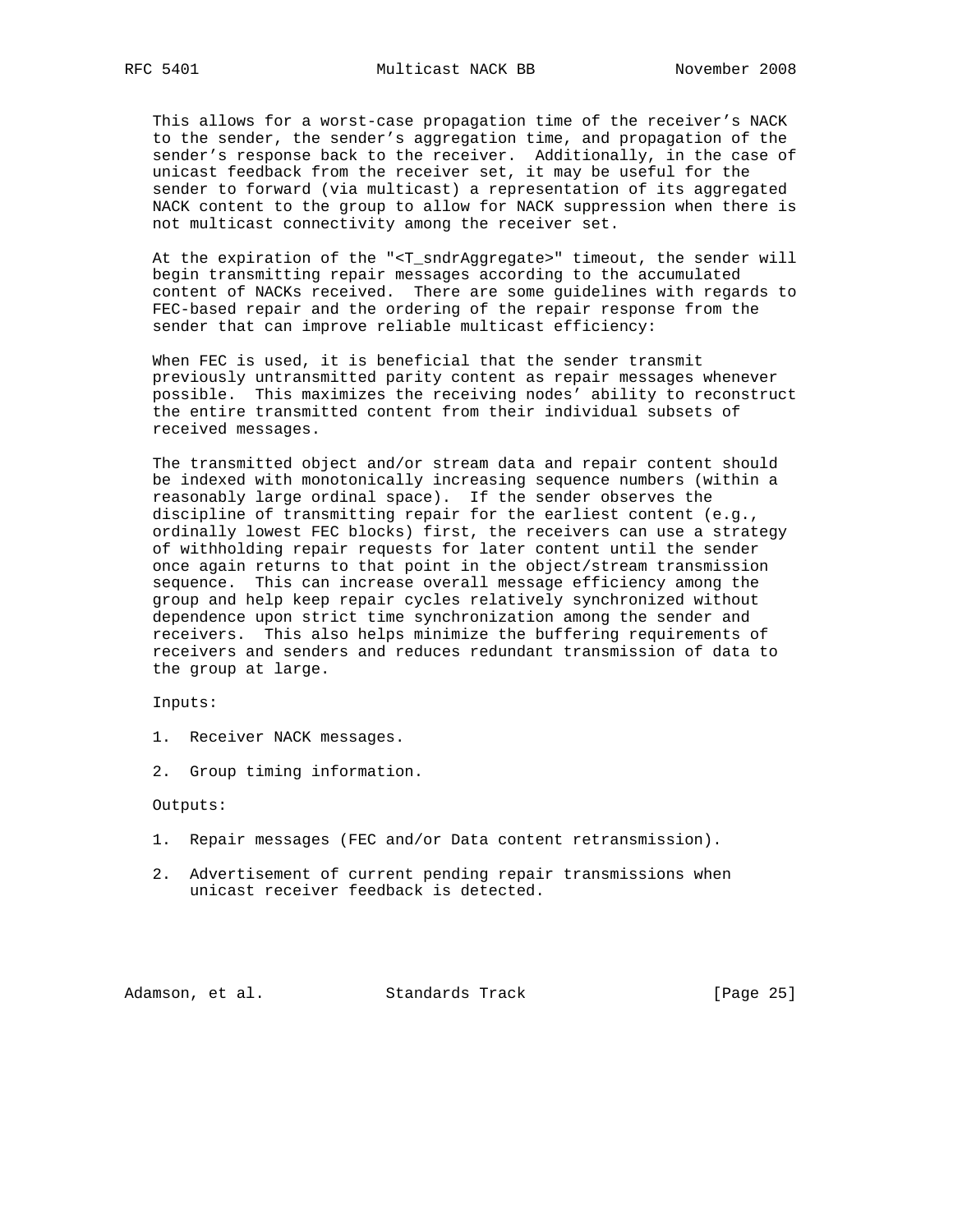This allows for a worst-case propagation time of the receiver's NACK to the sender, the sender's aggregation time, and propagation of the sender's response back to the receiver. Additionally, in the case of unicast feedback from the receiver set, it may be useful for the sender to forward (via multicast) a representation of its aggregated NACK content to the group to allow for NACK suppression when there is not multicast connectivity among the receiver set.

 At the expiration of the "<T\_sndrAggregate>" timeout, the sender will begin transmitting repair messages according to the accumulated content of NACKs received. There are some guidelines with regards to FEC-based repair and the ordering of the repair response from the sender that can improve reliable multicast efficiency:

 When FEC is used, it is beneficial that the sender transmit previously untransmitted parity content as repair messages whenever possible. This maximizes the receiving nodes' ability to reconstruct the entire transmitted content from their individual subsets of received messages.

 The transmitted object and/or stream data and repair content should be indexed with monotonically increasing sequence numbers (within a reasonably large ordinal space). If the sender observes the discipline of transmitting repair for the earliest content (e.g., ordinally lowest FEC blocks) first, the receivers can use a strategy of withholding repair requests for later content until the sender once again returns to that point in the object/stream transmission sequence. This can increase overall message efficiency among the group and help keep repair cycles relatively synchronized without dependence upon strict time synchronization among the sender and receivers. This also helps minimize the buffering requirements of receivers and senders and reduces redundant transmission of data to the group at large.

Inputs:

- 1. Receiver NACK messages.
- 2. Group timing information.

Outputs:

- 1. Repair messages (FEC and/or Data content retransmission).
- 2. Advertisement of current pending repair transmissions when unicast receiver feedback is detected.

Adamson, et al. Standards Track [Page 25]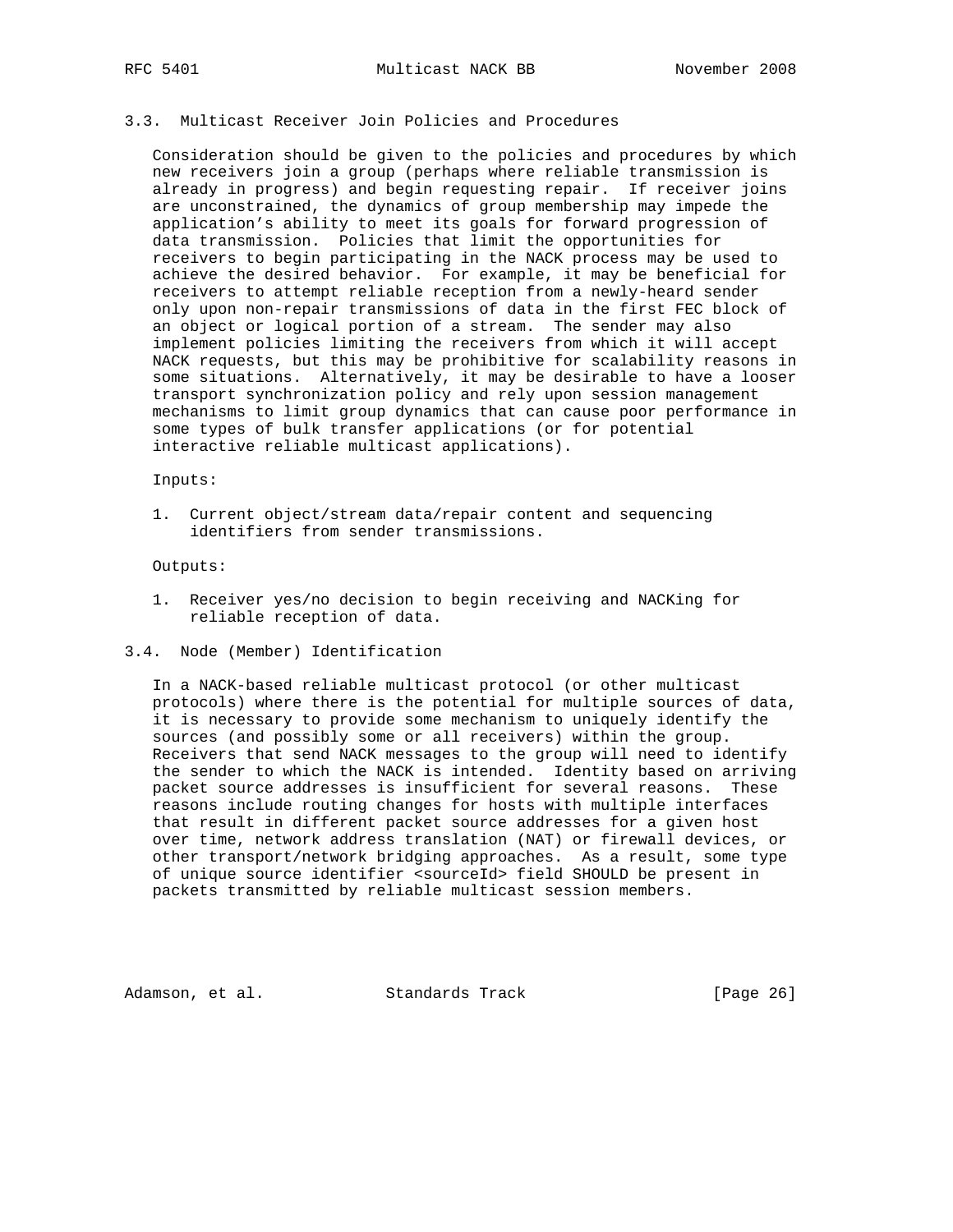### 3.3. Multicast Receiver Join Policies and Procedures

 Consideration should be given to the policies and procedures by which new receivers join a group (perhaps where reliable transmission is already in progress) and begin requesting repair. If receiver joins are unconstrained, the dynamics of group membership may impede the application's ability to meet its goals for forward progression of data transmission. Policies that limit the opportunities for receivers to begin participating in the NACK process may be used to achieve the desired behavior. For example, it may be beneficial for receivers to attempt reliable reception from a newly-heard sender only upon non-repair transmissions of data in the first FEC block of an object or logical portion of a stream. The sender may also implement policies limiting the receivers from which it will accept NACK requests, but this may be prohibitive for scalability reasons in some situations. Alternatively, it may be desirable to have a looser transport synchronization policy and rely upon session management mechanisms to limit group dynamics that can cause poor performance in some types of bulk transfer applications (or for potential interactive reliable multicast applications).

#### Inputs:

 1. Current object/stream data/repair content and sequencing identifiers from sender transmissions.

Outputs:

- 1. Receiver yes/no decision to begin receiving and NACKing for reliable reception of data.
- 3.4. Node (Member) Identification

 In a NACK-based reliable multicast protocol (or other multicast protocols) where there is the potential for multiple sources of data, it is necessary to provide some mechanism to uniquely identify the sources (and possibly some or all receivers) within the group. Receivers that send NACK messages to the group will need to identify the sender to which the NACK is intended. Identity based on arriving packet source addresses is insufficient for several reasons. These reasons include routing changes for hosts with multiple interfaces that result in different packet source addresses for a given host over time, network address translation (NAT) or firewall devices, or other transport/network bridging approaches. As a result, some type of unique source identifier <sourceId> field SHOULD be present in packets transmitted by reliable multicast session members.

Adamson, et al. Standards Track [Page 26]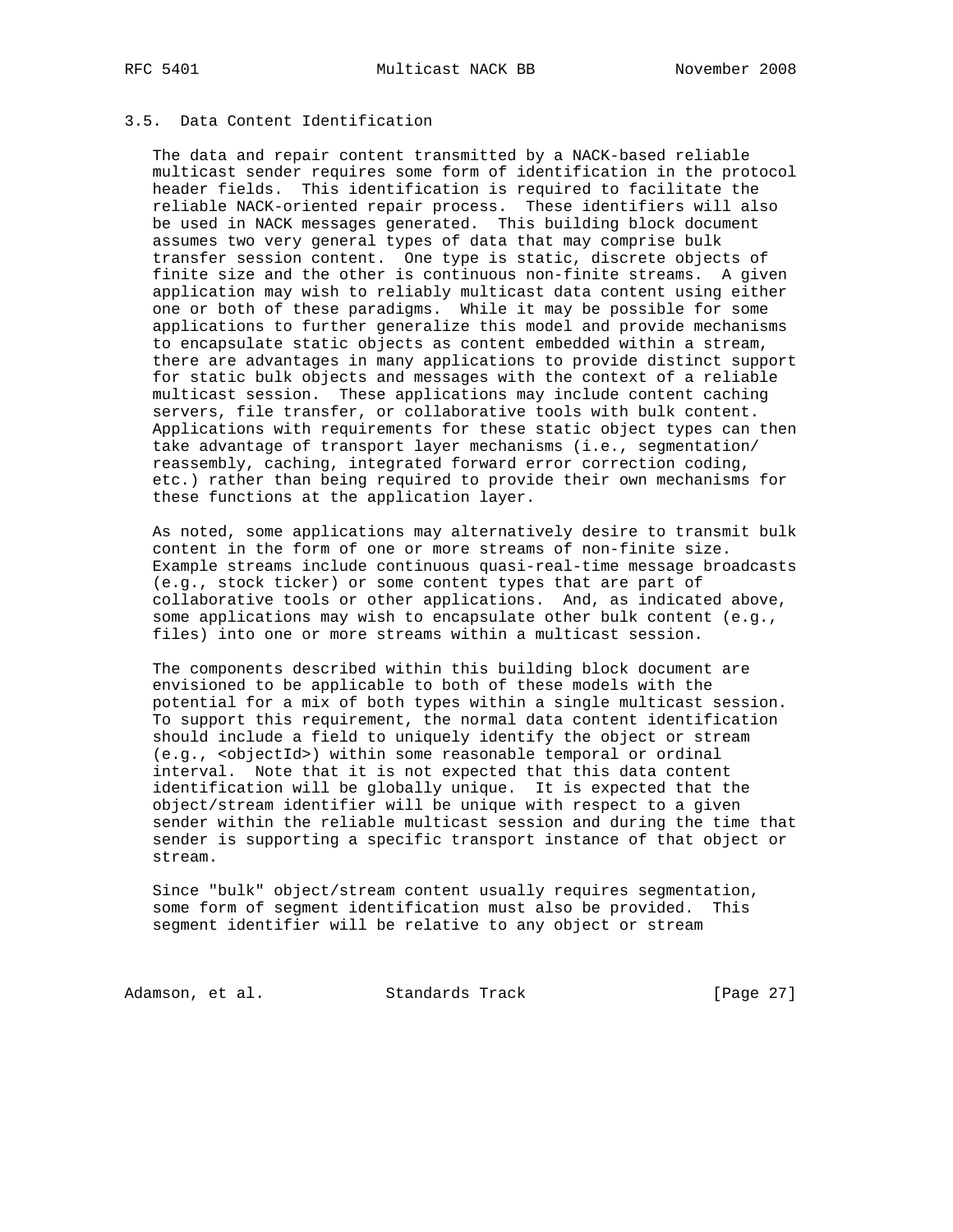## 3.5. Data Content Identification

 The data and repair content transmitted by a NACK-based reliable multicast sender requires some form of identification in the protocol header fields. This identification is required to facilitate the reliable NACK-oriented repair process. These identifiers will also be used in NACK messages generated. This building block document assumes two very general types of data that may comprise bulk transfer session content. One type is static, discrete objects of finite size and the other is continuous non-finite streams. A given application may wish to reliably multicast data content using either one or both of these paradigms. While it may be possible for some applications to further generalize this model and provide mechanisms to encapsulate static objects as content embedded within a stream, there are advantages in many applications to provide distinct support for static bulk objects and messages with the context of a reliable multicast session. These applications may include content caching servers, file transfer, or collaborative tools with bulk content. Applications with requirements for these static object types can then take advantage of transport layer mechanisms (i.e., segmentation/ reassembly, caching, integrated forward error correction coding, etc.) rather than being required to provide their own mechanisms for these functions at the application layer.

 As noted, some applications may alternatively desire to transmit bulk content in the form of one or more streams of non-finite size. Example streams include continuous quasi-real-time message broadcasts (e.g., stock ticker) or some content types that are part of collaborative tools or other applications. And, as indicated above, some applications may wish to encapsulate other bulk content (e.g., files) into one or more streams within a multicast session.

 The components described within this building block document are envisioned to be applicable to both of these models with the potential for a mix of both types within a single multicast session. To support this requirement, the normal data content identification should include a field to uniquely identify the object or stream (e.g., <objectId>) within some reasonable temporal or ordinal interval. Note that it is not expected that this data content identification will be globally unique. It is expected that the object/stream identifier will be unique with respect to a given sender within the reliable multicast session and during the time that sender is supporting a specific transport instance of that object or stream.

 Since "bulk" object/stream content usually requires segmentation, some form of segment identification must also be provided. This segment identifier will be relative to any object or stream

Adamson, et al. Standards Track [Page 27]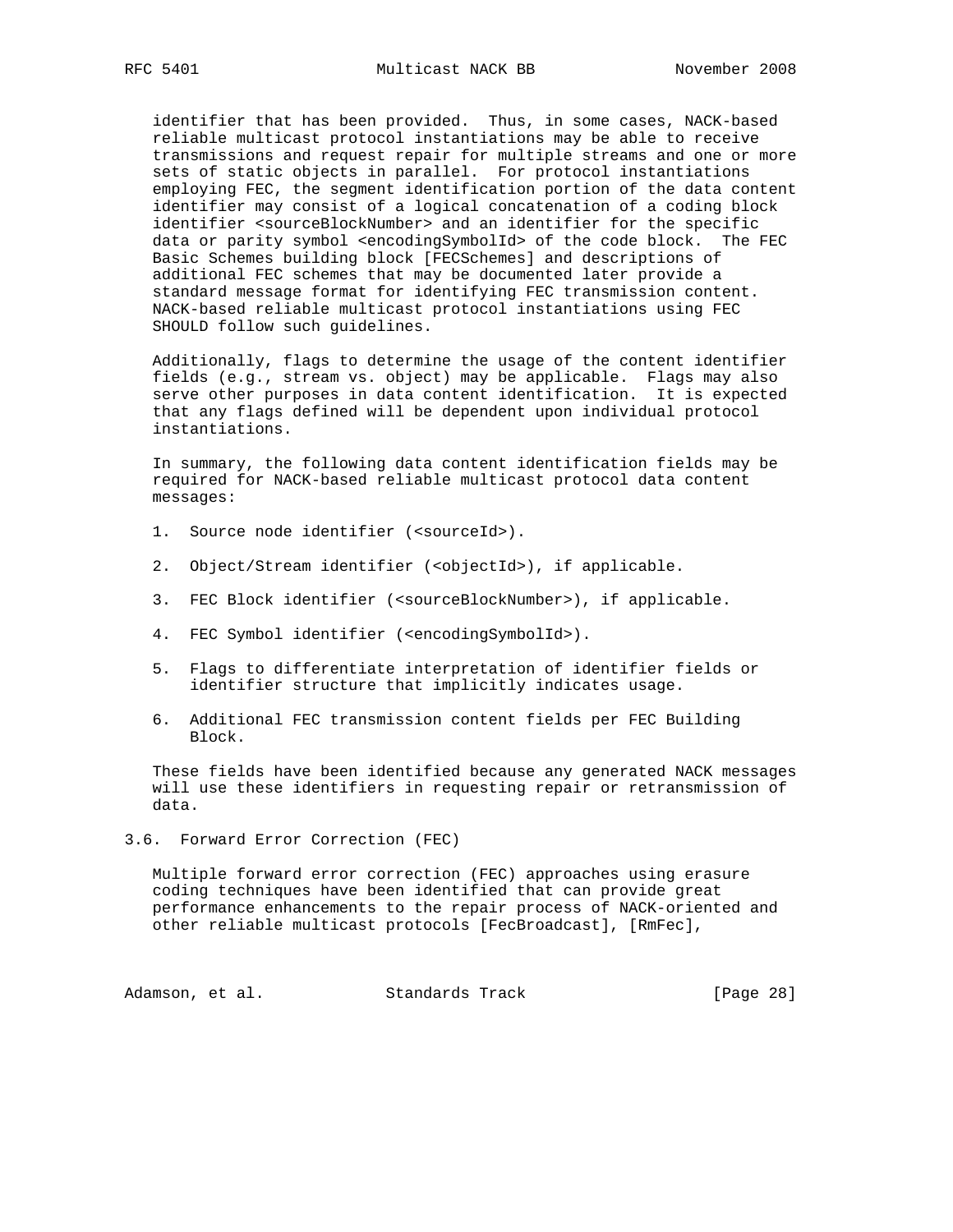identifier that has been provided. Thus, in some cases, NACK-based reliable multicast protocol instantiations may be able to receive transmissions and request repair for multiple streams and one or more sets of static objects in parallel. For protocol instantiations employing FEC, the segment identification portion of the data content identifier may consist of a logical concatenation of a coding block identifier <sourceBlockNumber> and an identifier for the specific data or parity symbol <encodingSymbolId> of the code block. The FEC Basic Schemes building block [FECSchemes] and descriptions of additional FEC schemes that may be documented later provide a standard message format for identifying FEC transmission content. NACK-based reliable multicast protocol instantiations using FEC SHOULD follow such guidelines.

 Additionally, flags to determine the usage of the content identifier fields (e.g., stream vs. object) may be applicable. Flags may also serve other purposes in data content identification. It is expected that any flags defined will be dependent upon individual protocol instantiations.

 In summary, the following data content identification fields may be required for NACK-based reliable multicast protocol data content messages:

- 1. Source node identifier (<sourceId>).
- 2. Object/Stream identifier (<objectId>), if applicable.
- 3. FEC Block identifier (<sourceBlockNumber>), if applicable.
- 4. FEC Symbol identifier (<encodingSymbolId>).
- 5. Flags to differentiate interpretation of identifier fields or identifier structure that implicitly indicates usage.
- 6. Additional FEC transmission content fields per FEC Building Block.

 These fields have been identified because any generated NACK messages will use these identifiers in requesting repair or retransmission of data.

3.6. Forward Error Correction (FEC)

 Multiple forward error correction (FEC) approaches using erasure coding techniques have been identified that can provide great performance enhancements to the repair process of NACK-oriented and other reliable multicast protocols [FecBroadcast], [RmFec],

Adamson, et al. Standards Track [Page 28]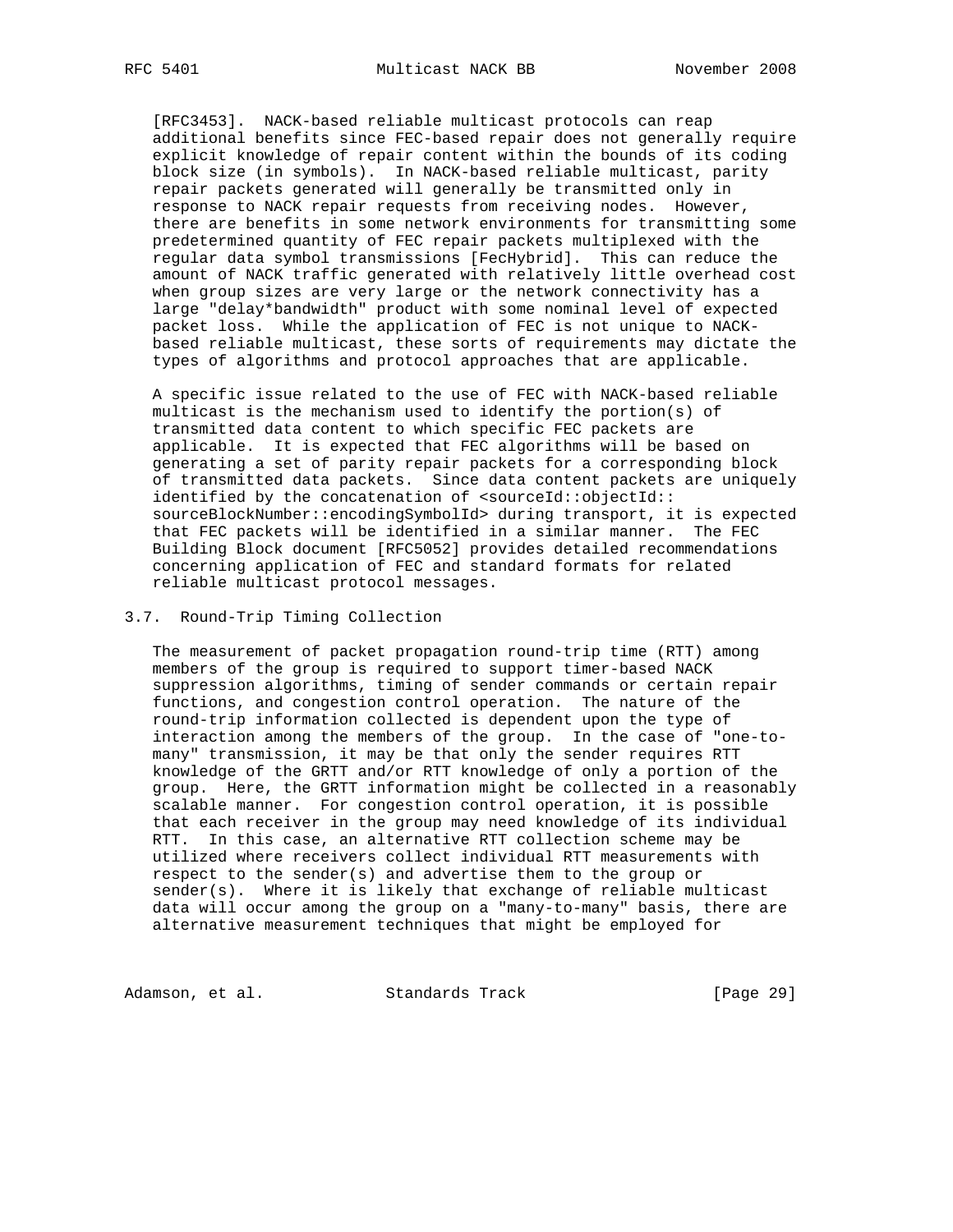[RFC3453]. NACK-based reliable multicast protocols can reap additional benefits since FEC-based repair does not generally require explicit knowledge of repair content within the bounds of its coding block size (in symbols). In NACK-based reliable multicast, parity repair packets generated will generally be transmitted only in response to NACK repair requests from receiving nodes. However, there are benefits in some network environments for transmitting some predetermined quantity of FEC repair packets multiplexed with the regular data symbol transmissions [FecHybrid]. This can reduce the amount of NACK traffic generated with relatively little overhead cost when group sizes are very large or the network connectivity has a large "delay\*bandwidth" product with some nominal level of expected packet loss. While the application of FEC is not unique to NACK based reliable multicast, these sorts of requirements may dictate the types of algorithms and protocol approaches that are applicable.

 A specific issue related to the use of FEC with NACK-based reliable multicast is the mechanism used to identify the portion(s) of transmitted data content to which specific FEC packets are applicable. It is expected that FEC algorithms will be based on generating a set of parity repair packets for a corresponding block of transmitted data packets. Since data content packets are uniquely identified by the concatenation of <sourceId::objectId:: sourceBlockNumber::encodingSymbolId> during transport, it is expected that FEC packets will be identified in a similar manner. The FEC Building Block document [RFC5052] provides detailed recommendations concerning application of FEC and standard formats for related reliable multicast protocol messages.

## 3.7. Round-Trip Timing Collection

 The measurement of packet propagation round-trip time (RTT) among members of the group is required to support timer-based NACK suppression algorithms, timing of sender commands or certain repair functions, and congestion control operation. The nature of the round-trip information collected is dependent upon the type of interaction among the members of the group. In the case of "one-to many" transmission, it may be that only the sender requires RTT knowledge of the GRTT and/or RTT knowledge of only a portion of the group. Here, the GRTT information might be collected in a reasonably scalable manner. For congestion control operation, it is possible that each receiver in the group may need knowledge of its individual RTT. In this case, an alternative RTT collection scheme may be utilized where receivers collect individual RTT measurements with respect to the sender(s) and advertise them to the group or sender(s). Where it is likely that exchange of reliable multicast data will occur among the group on a "many-to-many" basis, there are alternative measurement techniques that might be employed for

Adamson, et al. Standards Track [Page 29]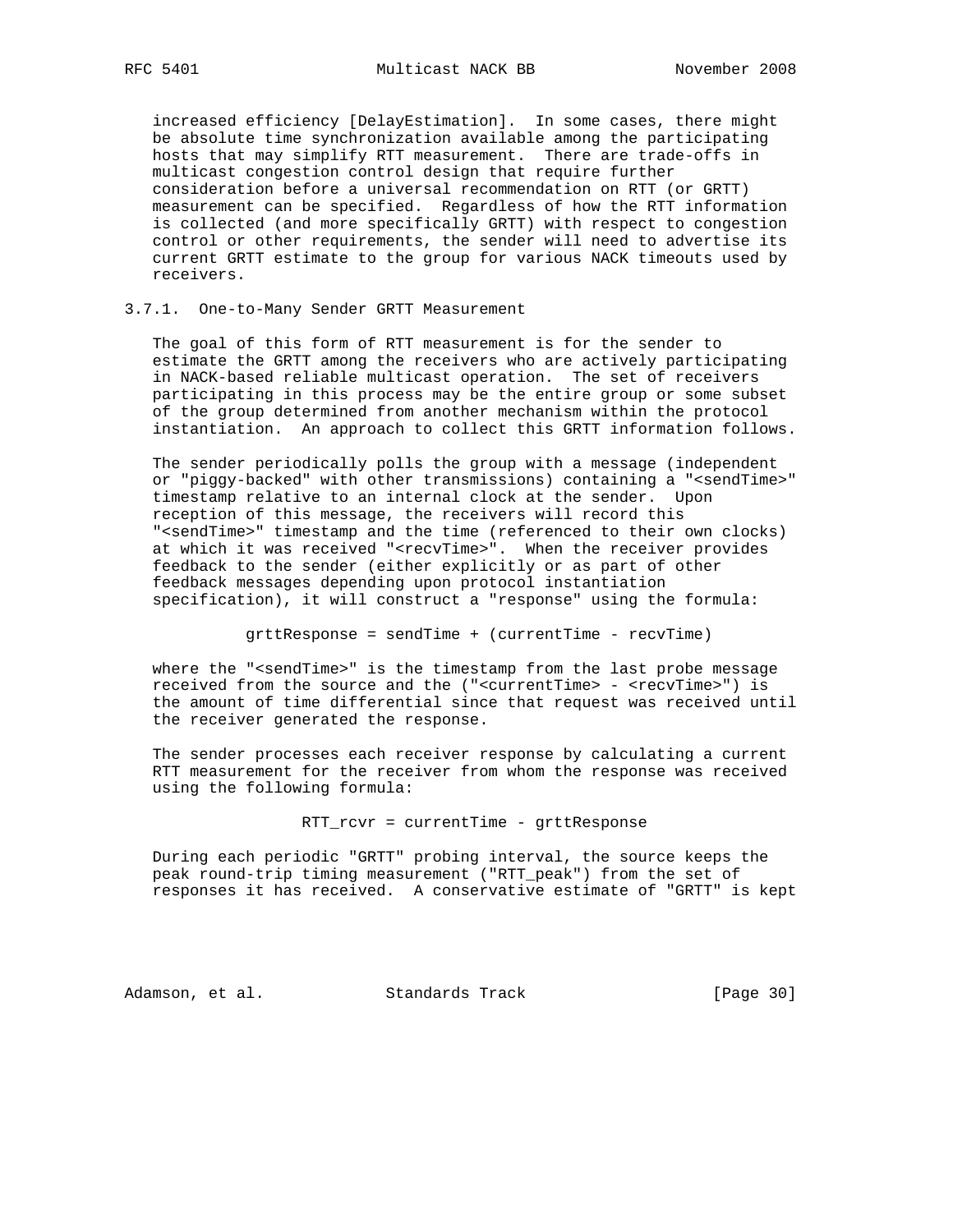increased efficiency [DelayEstimation]. In some cases, there might be absolute time synchronization available among the participating hosts that may simplify RTT measurement. There are trade-offs in multicast congestion control design that require further consideration before a universal recommendation on RTT (or GRTT) measurement can be specified. Regardless of how the RTT information is collected (and more specifically GRTT) with respect to congestion control or other requirements, the sender will need to advertise its current GRTT estimate to the group for various NACK timeouts used by receivers.

#### 3.7.1. One-to-Many Sender GRTT Measurement

 The goal of this form of RTT measurement is for the sender to estimate the GRTT among the receivers who are actively participating in NACK-based reliable multicast operation. The set of receivers participating in this process may be the entire group or some subset of the group determined from another mechanism within the protocol instantiation. An approach to collect this GRTT information follows.

 The sender periodically polls the group with a message (independent or "piggy-backed" with other transmissions) containing a "<sendTime>" timestamp relative to an internal clock at the sender. Upon reception of this message, the receivers will record this "<sendTime>" timestamp and the time (referenced to their own clocks) at which it was received "<recvTime>". When the receiver provides feedback to the sender (either explicitly or as part of other feedback messages depending upon protocol instantiation specification), it will construct a "response" using the formula:

grttResponse = sendTime + (currentTime - recvTime)

where the "<sendTime>" is the timestamp from the last probe message received from the source and the ("<currentTime> - <recvTime>") is the amount of time differential since that request was received until the receiver generated the response.

 The sender processes each receiver response by calculating a current RTT measurement for the receiver from whom the response was received using the following formula:

RTT\_rcvr = currentTime - grttResponse

 During each periodic "GRTT" probing interval, the source keeps the peak round-trip timing measurement ("RTT\_peak") from the set of responses it has received. A conservative estimate of "GRTT" is kept

Adamson, et al. Standards Track [Page 30]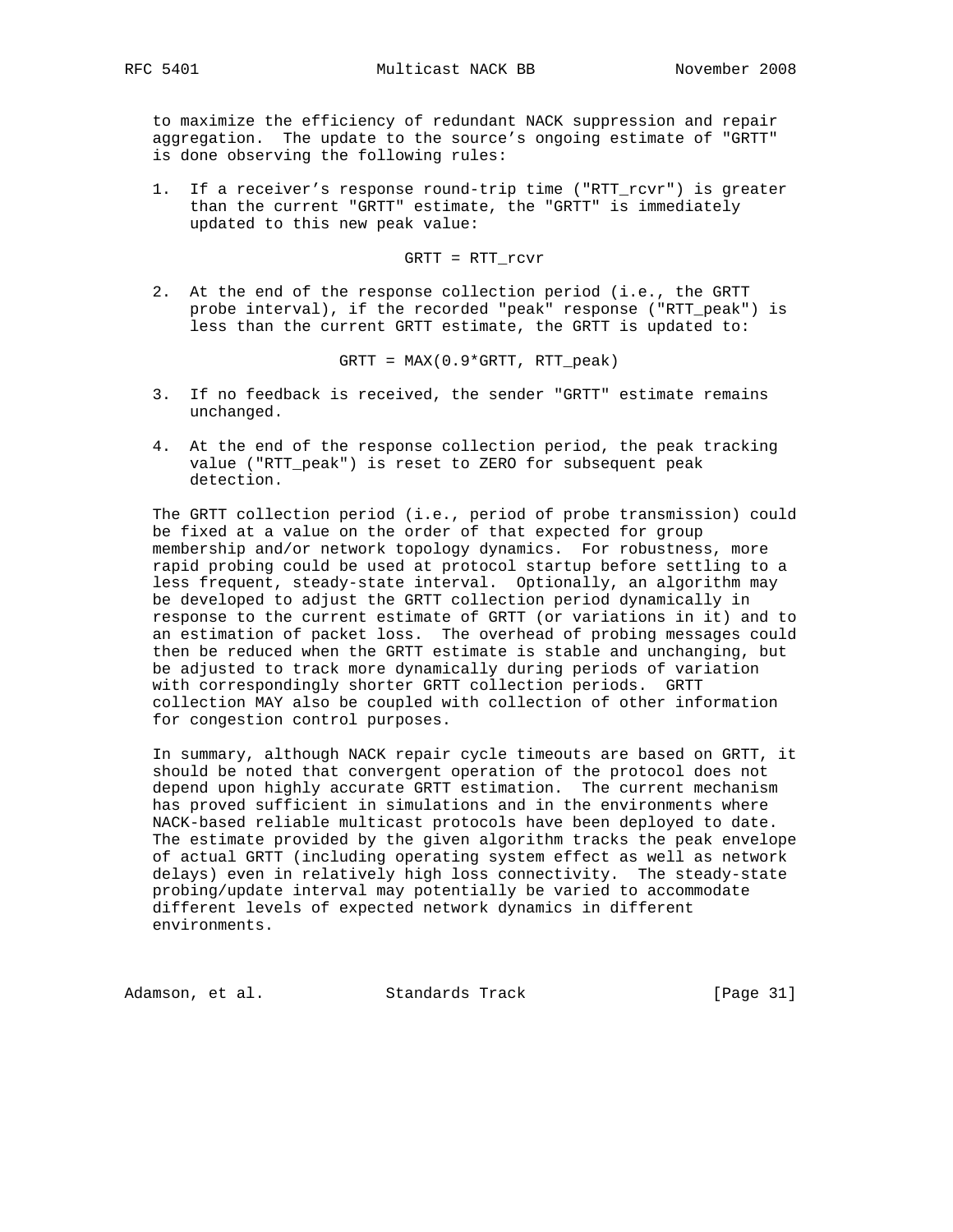to maximize the efficiency of redundant NACK suppression and repair aggregation. The update to the source's ongoing estimate of "GRTT" is done observing the following rules:

 1. If a receiver's response round-trip time ("RTT\_rcvr") is greater than the current "GRTT" estimate, the "GRTT" is immediately updated to this new peak value:

GRTT = RTT\_rcvr

 2. At the end of the response collection period (i.e., the GRTT probe interval), if the recorded "peak" response ("RTT\_peak") is less than the current GRTT estimate, the GRTT is updated to:

GRTT = MAX(0.9\*GRTT, RTT\_peak)

- 3. If no feedback is received, the sender "GRTT" estimate remains unchanged.
- 4. At the end of the response collection period, the peak tracking value ("RTT\_peak") is reset to ZERO for subsequent peak detection.

 The GRTT collection period (i.e., period of probe transmission) could be fixed at a value on the order of that expected for group membership and/or network topology dynamics. For robustness, more rapid probing could be used at protocol startup before settling to a less frequent, steady-state interval. Optionally, an algorithm may be developed to adjust the GRTT collection period dynamically in response to the current estimate of GRTT (or variations in it) and to an estimation of packet loss. The overhead of probing messages could then be reduced when the GRTT estimate is stable and unchanging, but be adjusted to track more dynamically during periods of variation with correspondingly shorter GRTT collection periods. GRTT collection MAY also be coupled with collection of other information for congestion control purposes.

 In summary, although NACK repair cycle timeouts are based on GRTT, it should be noted that convergent operation of the protocol does not depend upon highly accurate GRTT estimation. The current mechanism has proved sufficient in simulations and in the environments where NACK-based reliable multicast protocols have been deployed to date. The estimate provided by the given algorithm tracks the peak envelope of actual GRTT (including operating system effect as well as network delays) even in relatively high loss connectivity. The steady-state probing/update interval may potentially be varied to accommodate different levels of expected network dynamics in different environments.

Adamson, et al. Standards Track [Page 31]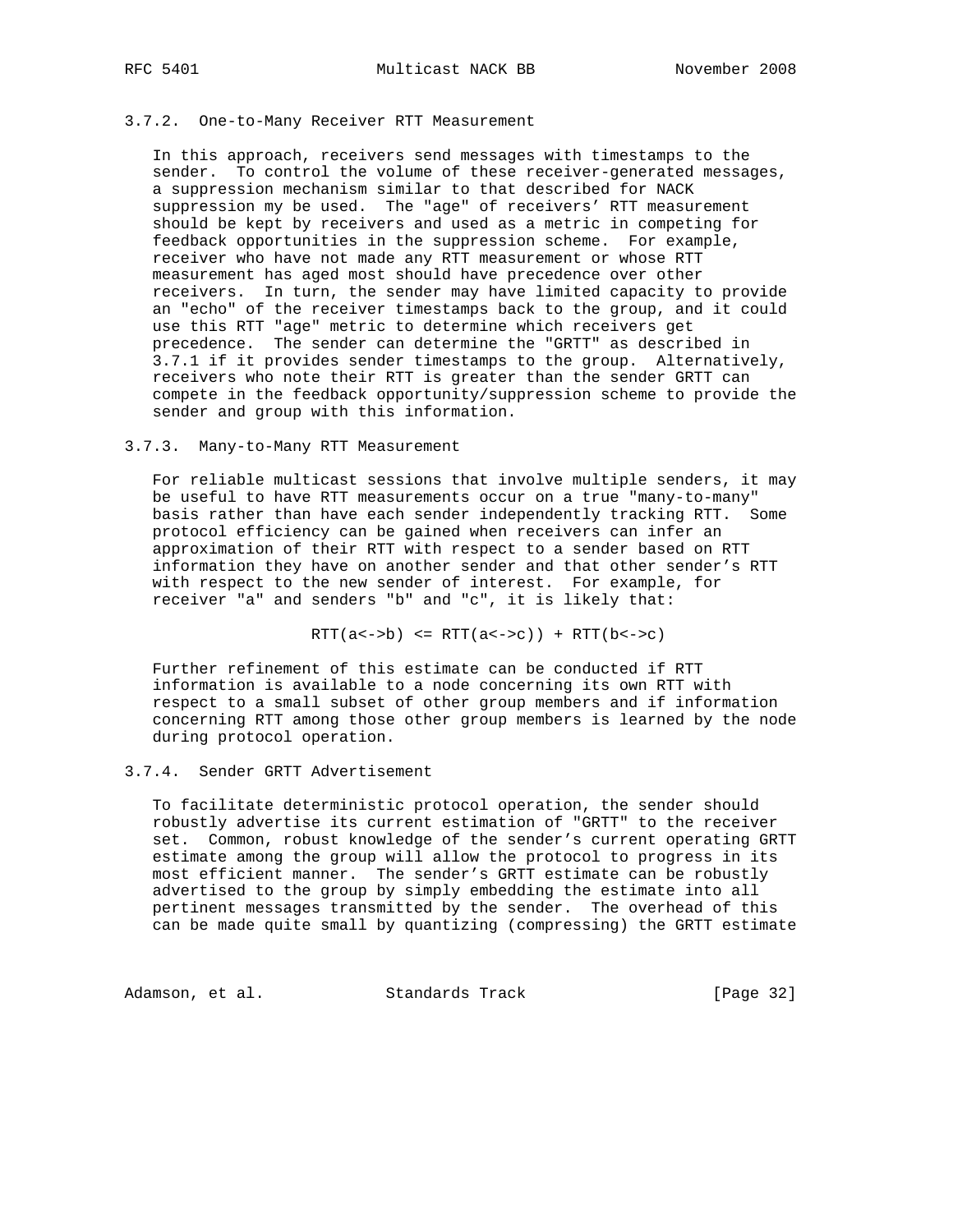#### 3.7.2. One-to-Many Receiver RTT Measurement

 In this approach, receivers send messages with timestamps to the sender. To control the volume of these receiver-generated messages, a suppression mechanism similar to that described for NACK suppression my be used. The "age" of receivers' RTT measurement should be kept by receivers and used as a metric in competing for feedback opportunities in the suppression scheme. For example, receiver who have not made any RTT measurement or whose RTT measurement has aged most should have precedence over other receivers. In turn, the sender may have limited capacity to provide an "echo" of the receiver timestamps back to the group, and it could use this RTT "age" metric to determine which receivers get precedence. The sender can determine the "GRTT" as described in 3.7.1 if it provides sender timestamps to the group. Alternatively, receivers who note their RTT is greater than the sender GRTT can compete in the feedback opportunity/suppression scheme to provide the sender and group with this information.

#### 3.7.3. Many-to-Many RTT Measurement

 For reliable multicast sessions that involve multiple senders, it may be useful to have RTT measurements occur on a true "many-to-many" basis rather than have each sender independently tracking RTT. Some protocol efficiency can be gained when receivers can infer an approximation of their RTT with respect to a sender based on RTT information they have on another sender and that other sender's RTT with respect to the new sender of interest. For example, for receiver "a" and senders "b" and "c", it is likely that:

 $RTT(a \leftarrow b) \leq RTT(a \leftarrow c) + RTT(b \leftarrow c)$ 

 Further refinement of this estimate can be conducted if RTT information is available to a node concerning its own RTT with respect to a small subset of other group members and if information concerning RTT among those other group members is learned by the node during protocol operation.

## 3.7.4. Sender GRTT Advertisement

 To facilitate deterministic protocol operation, the sender should robustly advertise its current estimation of "GRTT" to the receiver set. Common, robust knowledge of the sender's current operating GRTT estimate among the group will allow the protocol to progress in its most efficient manner. The sender's GRTT estimate can be robustly advertised to the group by simply embedding the estimate into all pertinent messages transmitted by the sender. The overhead of this can be made quite small by quantizing (compressing) the GRTT estimate

Adamson, et al. Standards Track [Page 32]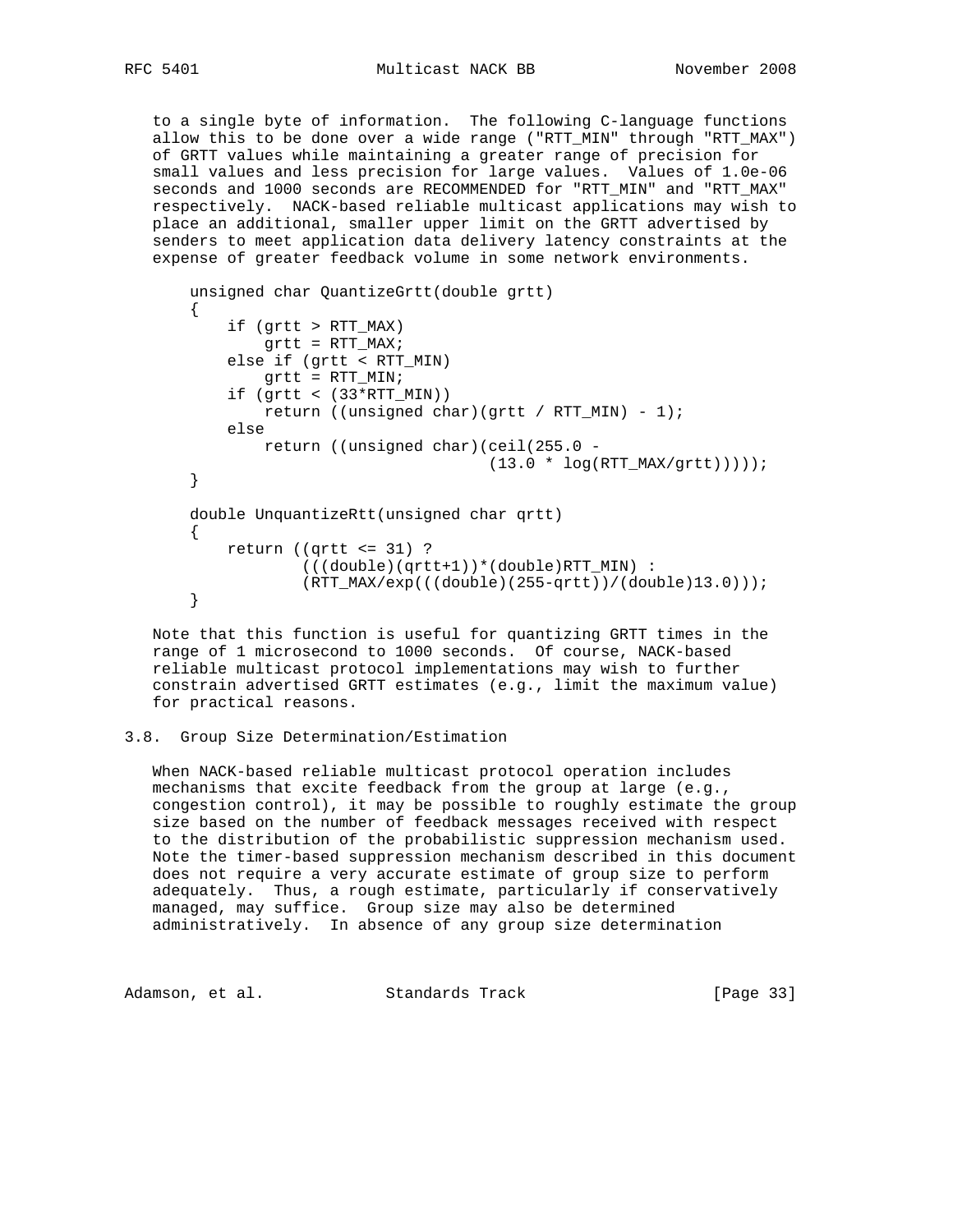to a single byte of information. The following C-language functions allow this to be done over a wide range ("RTT\_MIN" through "RTT\_MAX") of GRTT values while maintaining a greater range of precision for small values and less precision for large values. Values of 1.0e-06 seconds and 1000 seconds are RECOMMENDED for "RTT\_MIN" and "RTT\_MAX" respectively. NACK-based reliable multicast applications may wish to place an additional, smaller upper limit on the GRTT advertised by senders to meet application data delivery latency constraints at the expense of greater feedback volume in some network environments.

```
 unsigned char QuantizeGrtt(double grtt)
 {
     if (grtt > RTT_MAX)
        grtt = RTT_MAX;
     else if (grtt < RTT_MIN)
        grtt = RTT_MIN;
    if (grtt < (33*RTT_MIN))return ((unsigned char)(grtt / RTT_MIN) - 1);
     else
        return ((unsigned char)(ceil(255.0 -
                                 (13.0 * log(RTT_MAX/grtt)));
 }
 double UnquantizeRtt(unsigned char qrtt)
 {
    return ((qrtt \le 31) ?
             (((double)(qrtt+1))*(double)RTT_MIN) :
             (RTT_MAX/exp(((double)(255-qrtt))/(double)13.0)));
 }
```
 Note that this function is useful for quantizing GRTT times in the range of 1 microsecond to 1000 seconds. Of course, NACK-based reliable multicast protocol implementations may wish to further constrain advertised GRTT estimates (e.g., limit the maximum value) for practical reasons.

#### 3.8. Group Size Determination/Estimation

 When NACK-based reliable multicast protocol operation includes mechanisms that excite feedback from the group at large (e.g., congestion control), it may be possible to roughly estimate the group size based on the number of feedback messages received with respect to the distribution of the probabilistic suppression mechanism used. Note the timer-based suppression mechanism described in this document does not require a very accurate estimate of group size to perform adequately. Thus, a rough estimate, particularly if conservatively managed, may suffice. Group size may also be determined administratively. In absence of any group size determination

Adamson, et al. Standards Track [Page 33]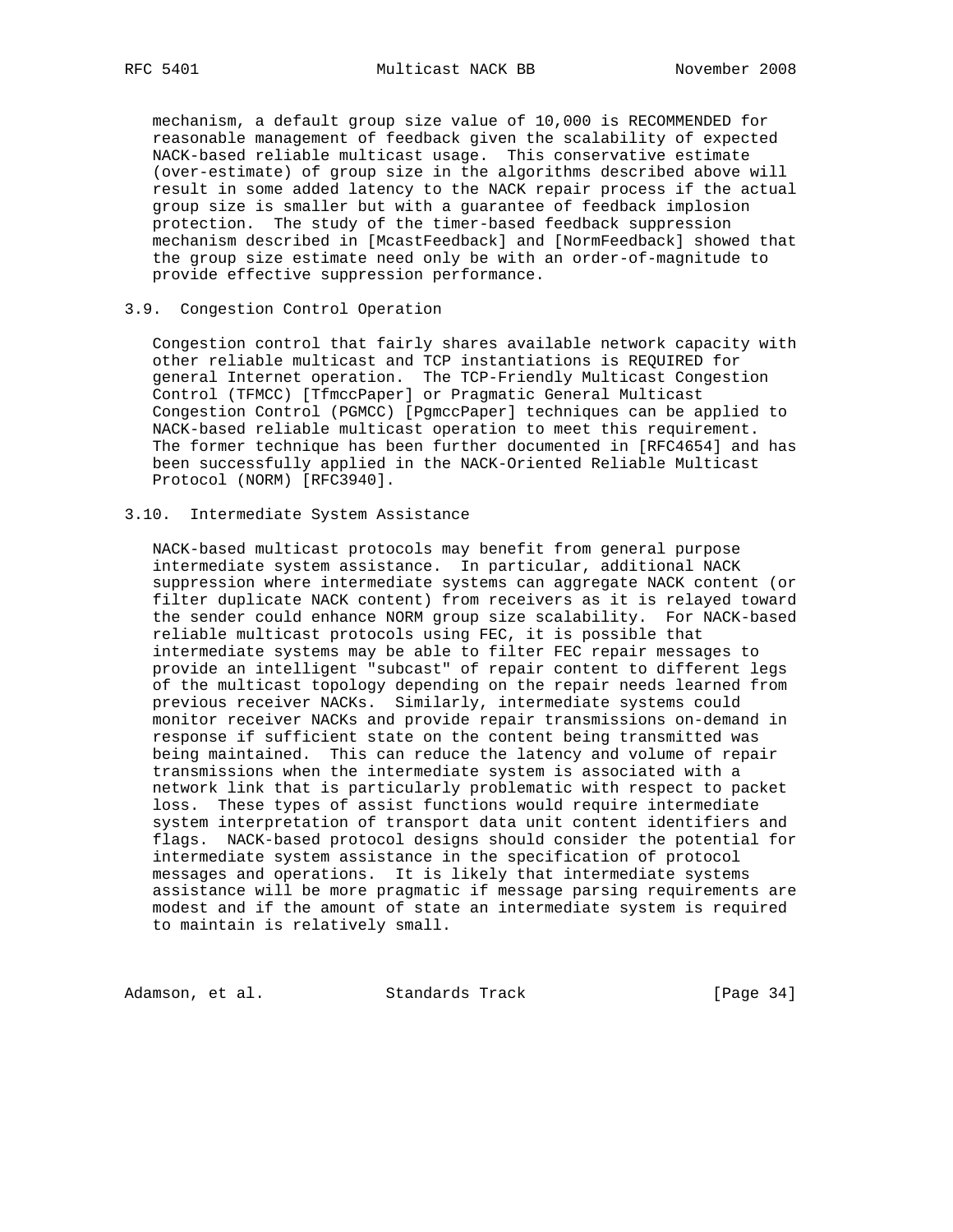mechanism, a default group size value of 10,000 is RECOMMENDED for reasonable management of feedback given the scalability of expected NACK-based reliable multicast usage. This conservative estimate (over-estimate) of group size in the algorithms described above will result in some added latency to the NACK repair process if the actual group size is smaller but with a guarantee of feedback implosion protection. The study of the timer-based feedback suppression mechanism described in [McastFeedback] and [NormFeedback] showed that the group size estimate need only be with an order-of-magnitude to provide effective suppression performance.

#### 3.9. Congestion Control Operation

 Congestion control that fairly shares available network capacity with other reliable multicast and TCP instantiations is REQUIRED for general Internet operation. The TCP-Friendly Multicast Congestion Control (TFMCC) [TfmccPaper] or Pragmatic General Multicast Congestion Control (PGMCC) [PgmccPaper] techniques can be applied to NACK-based reliable multicast operation to meet this requirement. The former technique has been further documented in [RFC4654] and has been successfully applied in the NACK-Oriented Reliable Multicast Protocol (NORM) [RFC3940].

### 3.10. Intermediate System Assistance

 NACK-based multicast protocols may benefit from general purpose intermediate system assistance. In particular, additional NACK suppression where intermediate systems can aggregate NACK content (or filter duplicate NACK content) from receivers as it is relayed toward the sender could enhance NORM group size scalability. For NACK-based reliable multicast protocols using FEC, it is possible that intermediate systems may be able to filter FEC repair messages to provide an intelligent "subcast" of repair content to different legs of the multicast topology depending on the repair needs learned from previous receiver NACKs. Similarly, intermediate systems could monitor receiver NACKs and provide repair transmissions on-demand in response if sufficient state on the content being transmitted was being maintained. This can reduce the latency and volume of repair transmissions when the intermediate system is associated with a network link that is particularly problematic with respect to packet loss. These types of assist functions would require intermediate system interpretation of transport data unit content identifiers and flags. NACK-based protocol designs should consider the potential for intermediate system assistance in the specification of protocol messages and operations. It is likely that intermediate systems assistance will be more pragmatic if message parsing requirements are modest and if the amount of state an intermediate system is required to maintain is relatively small.

Adamson, et al. Standards Track [Page 34]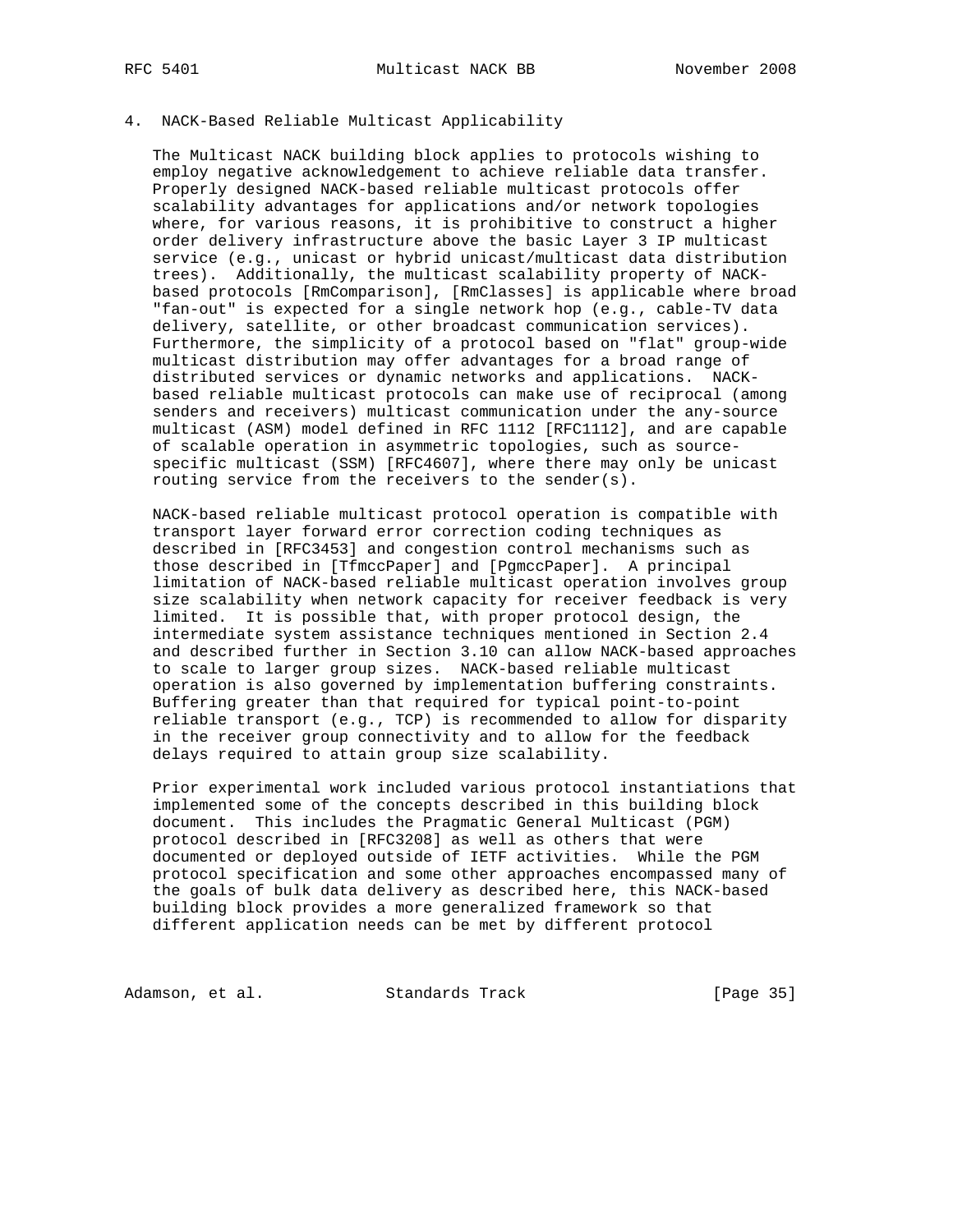## 4. NACK-Based Reliable Multicast Applicability

 The Multicast NACK building block applies to protocols wishing to employ negative acknowledgement to achieve reliable data transfer. Properly designed NACK-based reliable multicast protocols offer scalability advantages for applications and/or network topologies where, for various reasons, it is prohibitive to construct a higher order delivery infrastructure above the basic Layer 3 IP multicast service (e.g., unicast or hybrid unicast/multicast data distribution trees). Additionally, the multicast scalability property of NACK based protocols [RmComparison], [RmClasses] is applicable where broad "fan-out" is expected for a single network hop (e.g., cable-TV data delivery, satellite, or other broadcast communication services). Furthermore, the simplicity of a protocol based on "flat" group-wide multicast distribution may offer advantages for a broad range of distributed services or dynamic networks and applications. NACK based reliable multicast protocols can make use of reciprocal (among senders and receivers) multicast communication under the any-source multicast (ASM) model defined in RFC 1112 [RFC1112], and are capable of scalable operation in asymmetric topologies, such as source specific multicast (SSM) [RFC4607], where there may only be unicast routing service from the receivers to the sender(s).

 NACK-based reliable multicast protocol operation is compatible with transport layer forward error correction coding techniques as described in [RFC3453] and congestion control mechanisms such as those described in [TfmccPaper] and [PgmccPaper]. A principal limitation of NACK-based reliable multicast operation involves group size scalability when network capacity for receiver feedback is very limited. It is possible that, with proper protocol design, the intermediate system assistance techniques mentioned in Section 2.4 and described further in Section 3.10 can allow NACK-based approaches to scale to larger group sizes. NACK-based reliable multicast operation is also governed by implementation buffering constraints. Buffering greater than that required for typical point-to-point reliable transport (e.g., TCP) is recommended to allow for disparity in the receiver group connectivity and to allow for the feedback delays required to attain group size scalability.

 Prior experimental work included various protocol instantiations that implemented some of the concepts described in this building block document. This includes the Pragmatic General Multicast (PGM) protocol described in [RFC3208] as well as others that were documented or deployed outside of IETF activities. While the PGM protocol specification and some other approaches encompassed many of the goals of bulk data delivery as described here, this NACK-based building block provides a more generalized framework so that different application needs can be met by different protocol

Adamson, et al. Standards Track [Page 35]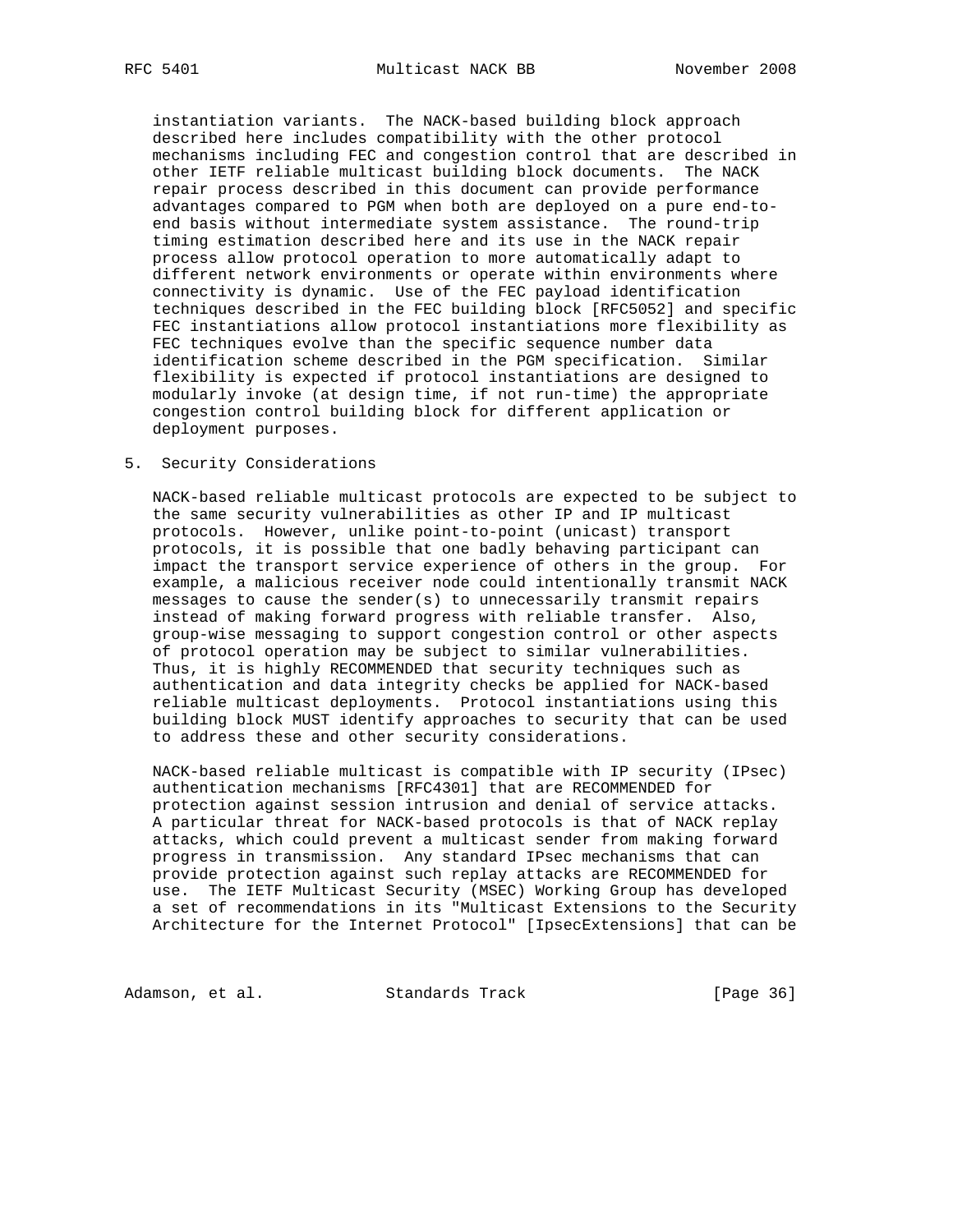instantiation variants. The NACK-based building block approach described here includes compatibility with the other protocol mechanisms including FEC and congestion control that are described in other IETF reliable multicast building block documents. The NACK repair process described in this document can provide performance advantages compared to PGM when both are deployed on a pure end-to end basis without intermediate system assistance. The round-trip timing estimation described here and its use in the NACK repair process allow protocol operation to more automatically adapt to different network environments or operate within environments where connectivity is dynamic. Use of the FEC payload identification techniques described in the FEC building block [RFC5052] and specific FEC instantiations allow protocol instantiations more flexibility as FEC techniques evolve than the specific sequence number data identification scheme described in the PGM specification. Similar flexibility is expected if protocol instantiations are designed to modularly invoke (at design time, if not run-time) the appropriate congestion control building block for different application or deployment purposes.

#### 5. Security Considerations

 NACK-based reliable multicast protocols are expected to be subject to the same security vulnerabilities as other IP and IP multicast protocols. However, unlike point-to-point (unicast) transport protocols, it is possible that one badly behaving participant can impact the transport service experience of others in the group. For example, a malicious receiver node could intentionally transmit NACK messages to cause the sender(s) to unnecessarily transmit repairs instead of making forward progress with reliable transfer. Also, group-wise messaging to support congestion control or other aspects of protocol operation may be subject to similar vulnerabilities. Thus, it is highly RECOMMENDED that security techniques such as authentication and data integrity checks be applied for NACK-based reliable multicast deployments. Protocol instantiations using this building block MUST identify approaches to security that can be used to address these and other security considerations.

 NACK-based reliable multicast is compatible with IP security (IPsec) authentication mechanisms [RFC4301] that are RECOMMENDED for protection against session intrusion and denial of service attacks. A particular threat for NACK-based protocols is that of NACK replay attacks, which could prevent a multicast sender from making forward progress in transmission. Any standard IPsec mechanisms that can provide protection against such replay attacks are RECOMMENDED for use. The IETF Multicast Security (MSEC) Working Group has developed a set of recommendations in its "Multicast Extensions to the Security Architecture for the Internet Protocol" [IpsecExtensions] that can be

Adamson, et al. Standards Track [Page 36]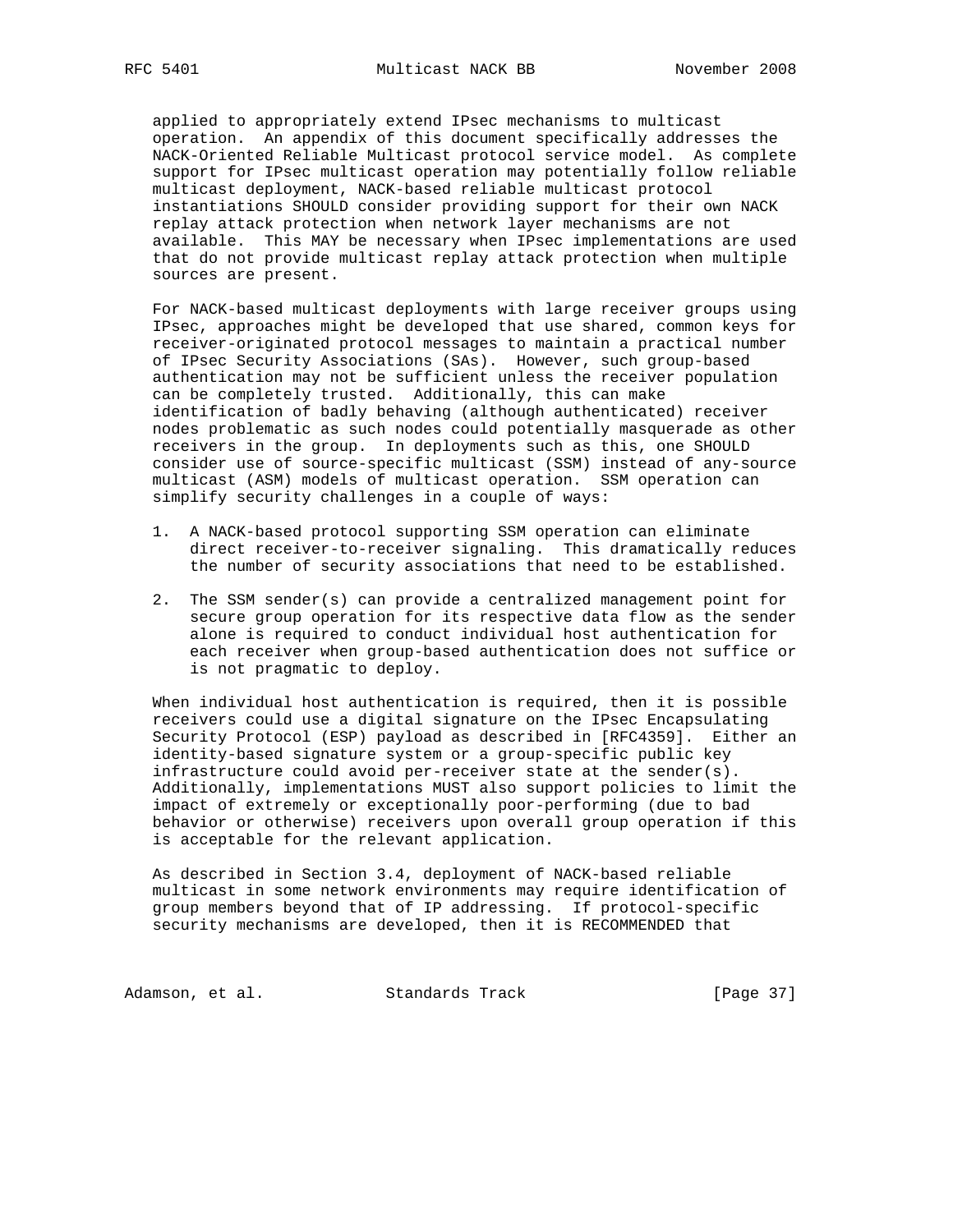applied to appropriately extend IPsec mechanisms to multicast operation. An appendix of this document specifically addresses the NACK-Oriented Reliable Multicast protocol service model. As complete support for IPsec multicast operation may potentially follow reliable multicast deployment, NACK-based reliable multicast protocol instantiations SHOULD consider providing support for their own NACK replay attack protection when network layer mechanisms are not available. This MAY be necessary when IPsec implementations are used that do not provide multicast replay attack protection when multiple sources are present.

 For NACK-based multicast deployments with large receiver groups using IPsec, approaches might be developed that use shared, common keys for receiver-originated protocol messages to maintain a practical number of IPsec Security Associations (SAs). However, such group-based authentication may not be sufficient unless the receiver population can be completely trusted. Additionally, this can make identification of badly behaving (although authenticated) receiver nodes problematic as such nodes could potentially masquerade as other receivers in the group. In deployments such as this, one SHOULD consider use of source-specific multicast (SSM) instead of any-source multicast (ASM) models of multicast operation. SSM operation can simplify security challenges in a couple of ways:

- 1. A NACK-based protocol supporting SSM operation can eliminate direct receiver-to-receiver signaling. This dramatically reduces the number of security associations that need to be established.
- 2. The SSM sender(s) can provide a centralized management point for secure group operation for its respective data flow as the sender alone is required to conduct individual host authentication for each receiver when group-based authentication does not suffice or is not pragmatic to deploy.

 When individual host authentication is required, then it is possible receivers could use a digital signature on the IPsec Encapsulating Security Protocol (ESP) payload as described in [RFC4359]. Either an identity-based signature system or a group-specific public key infrastructure could avoid per-receiver state at the sender(s). Additionally, implementations MUST also support policies to limit the impact of extremely or exceptionally poor-performing (due to bad behavior or otherwise) receivers upon overall group operation if this is acceptable for the relevant application.

 As described in Section 3.4, deployment of NACK-based reliable multicast in some network environments may require identification of group members beyond that of IP addressing. If protocol-specific security mechanisms are developed, then it is RECOMMENDED that

Adamson, et al. Standards Track [Page 37]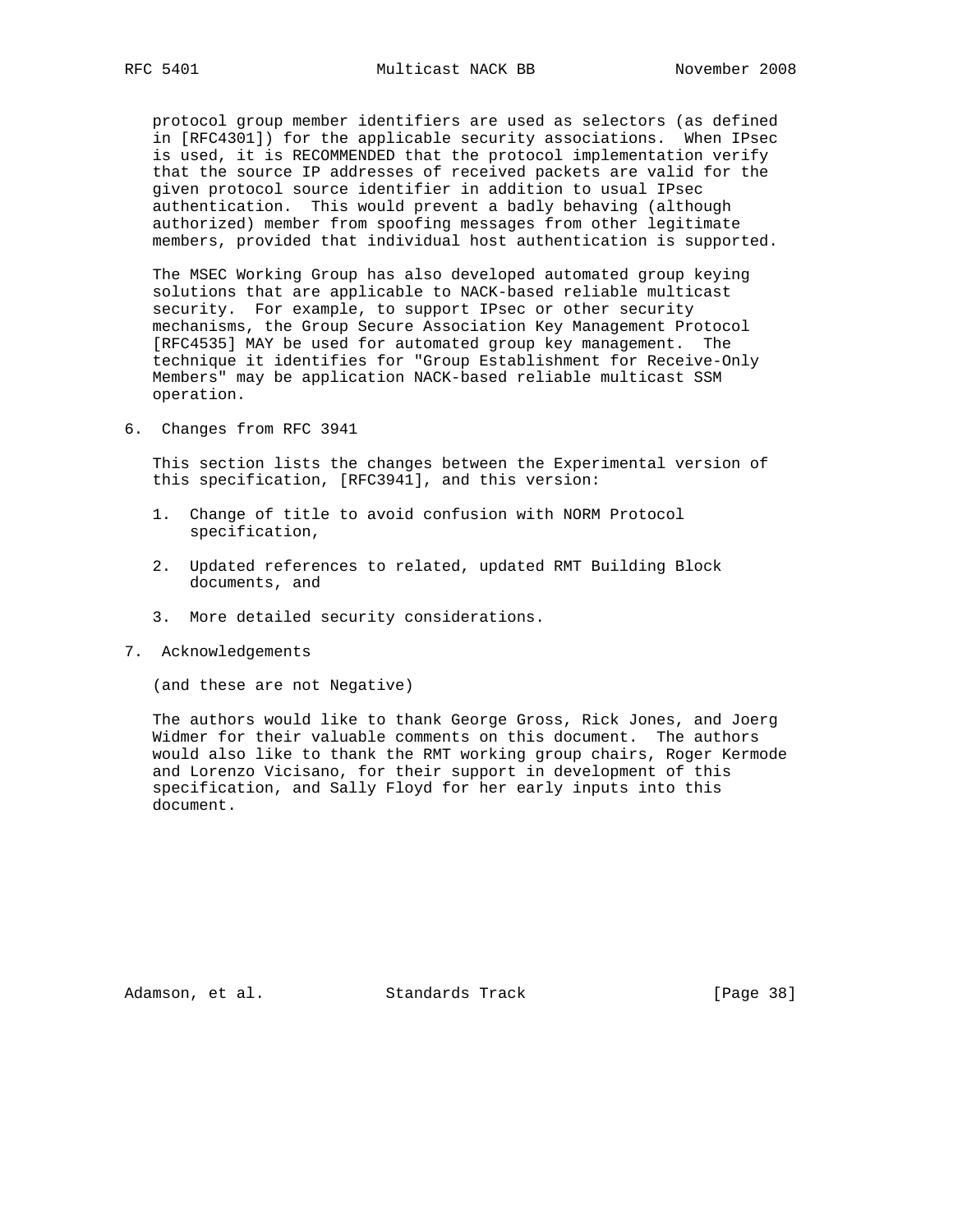protocol group member identifiers are used as selectors (as defined in [RFC4301]) for the applicable security associations. When IPsec is used, it is RECOMMENDED that the protocol implementation verify that the source IP addresses of received packets are valid for the given protocol source identifier in addition to usual IPsec authentication. This would prevent a badly behaving (although authorized) member from spoofing messages from other legitimate members, provided that individual host authentication is supported.

 The MSEC Working Group has also developed automated group keying solutions that are applicable to NACK-based reliable multicast security. For example, to support IPsec or other security mechanisms, the Group Secure Association Key Management Protocol [RFC4535] MAY be used for automated group key management. The technique it identifies for "Group Establishment for Receive-Only Members" may be application NACK-based reliable multicast SSM operation.

6. Changes from RFC 3941

 This section lists the changes between the Experimental version of this specification, [RFC3941], and this version:

- 1. Change of title to avoid confusion with NORM Protocol specification,
- 2. Updated references to related, updated RMT Building Block documents, and
- 3. More detailed security considerations.
- 7. Acknowledgements

(and these are not Negative)

 The authors would like to thank George Gross, Rick Jones, and Joerg Widmer for their valuable comments on this document. The authors would also like to thank the RMT working group chairs, Roger Kermode and Lorenzo Vicisano, for their support in development of this specification, and Sally Floyd for her early inputs into this document.

Adamson, et al. Standards Track [Page 38]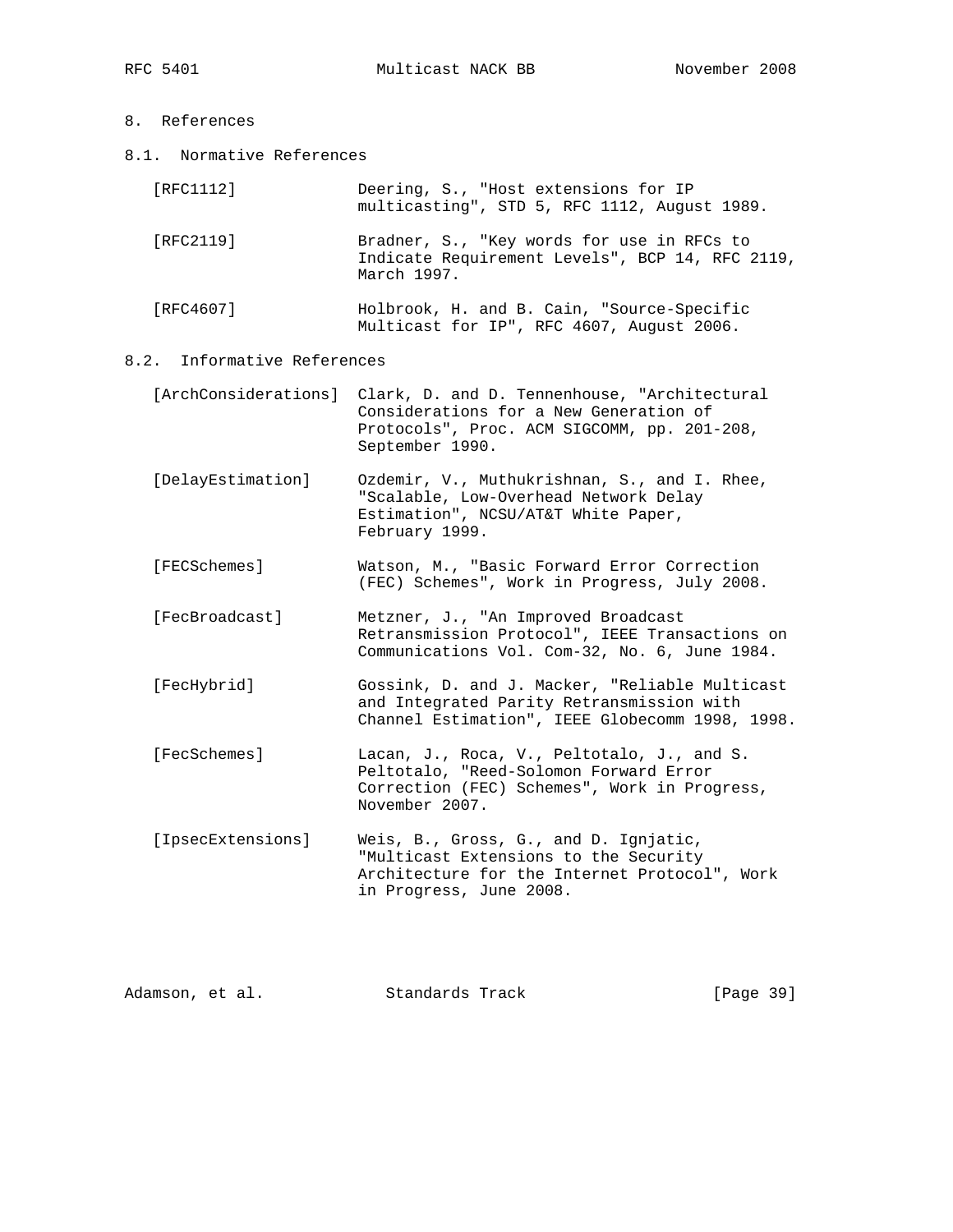8.1. Normative References

| [RFC1112] | Deering, S., "Host extensions for IP<br>multicasting", STD 5, RFC 1112, August 1989.                         |
|-----------|--------------------------------------------------------------------------------------------------------------|
| [RFC2119] | Bradner, S., "Key words for use in RFCs to<br>Indicate Requirement Levels", BCP 14, RFC 2119,<br>March 1997. |
| [RFC4607] | Holbrook, H. and B. Cain, "Source-Specific<br>Multicast for IP", RFC 4607, August 2006.                      |

8.2. Informative References

| [ArchConsiderations] Clark, D. and D. Tennenhouse, "Architectural |
|-------------------------------------------------------------------|
| Considerations for a New Generation of                            |
| Protocols", Proc. ACM SIGCOMM, pp. 201-208,                       |
| September 1990.                                                   |

- [DelayEstimation] Ozdemir, V., Muthukrishnan, S., and I. Rhee, "Scalable, Low-Overhead Network Delay Estimation", NCSU/AT&T White Paper, February 1999.
- [FECSchemes] Watson, M., "Basic Forward Error Correction (FEC) Schemes", Work in Progress, July 2008.
- [FecBroadcast] Metzner, J., "An Improved Broadcast Retransmission Protocol", IEEE Transactions on Communications Vol. Com-32, No. 6, June 1984.
- [FecHybrid] Gossink, D. and J. Macker, "Reliable Multicast and Integrated Parity Retransmission with Channel Estimation", IEEE Globecomm 1998, 1998.
- [FecSchemes] Lacan, J., Roca, V., Peltotalo, J., and S. Peltotalo, "Reed-Solomon Forward Error Correction (FEC) Schemes", Work in Progress, November 2007.
- [IpsecExtensions] Weis, B., Gross, G., and D. Ignjatic, "Multicast Extensions to the Security Architecture for the Internet Protocol", Work in Progress, June 2008.

| Adamson, et al.<br>Standards Track | [Page 39] |  |
|------------------------------------|-----------|--|
|------------------------------------|-----------|--|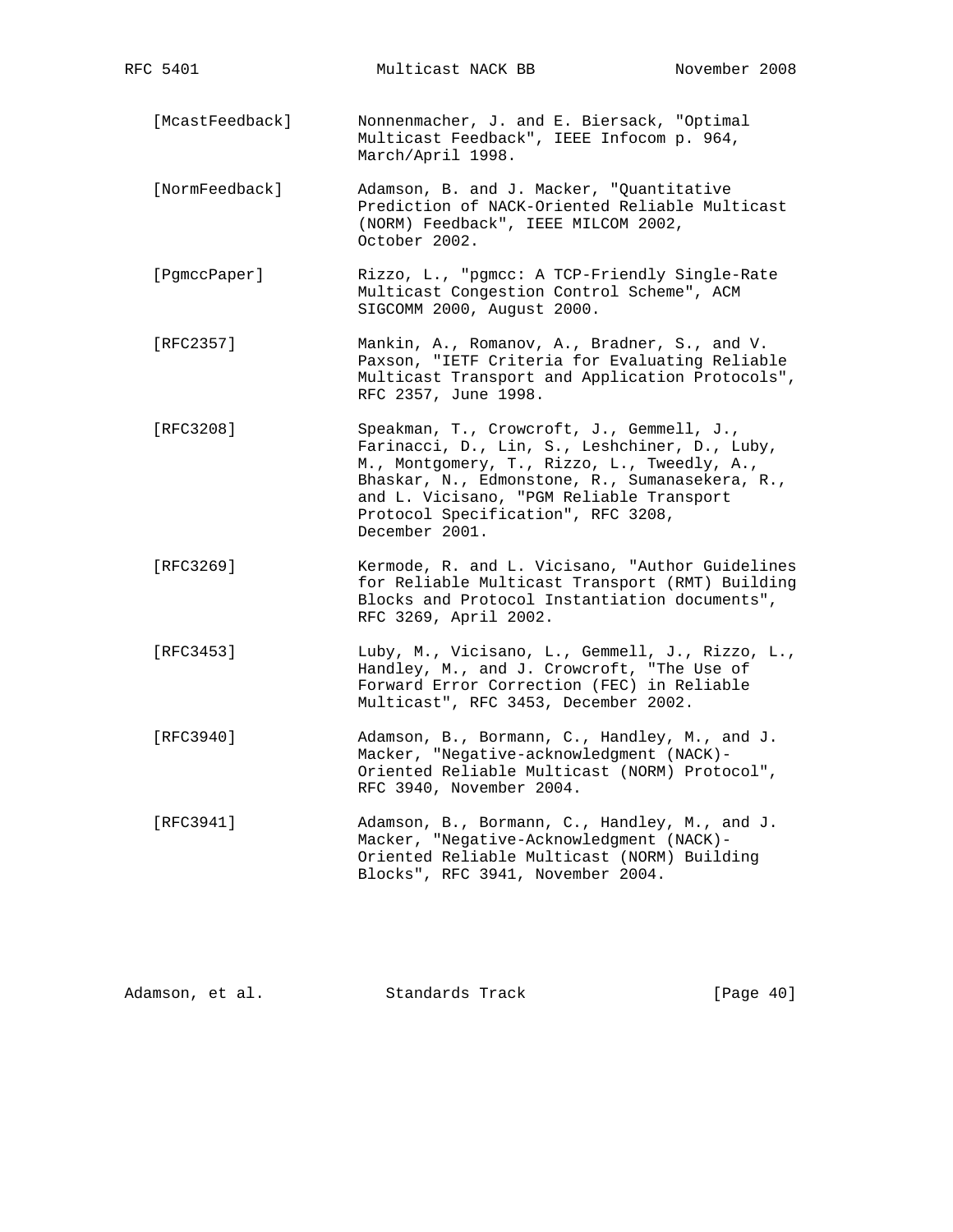[McastFeedback] Nonnenmacher, J. and E. Biersack, "Optimal Multicast Feedback", IEEE Infocom p. 964, March/April 1998.

- [NormFeedback] Adamson, B. and J. Macker, "Quantitative Prediction of NACK-Oriented Reliable Multicast (NORM) Feedback", IEEE MILCOM 2002, October 2002.
- [PgmccPaper] Rizzo, L., "pgmcc: A TCP-Friendly Single-Rate Multicast Congestion Control Scheme", ACM SIGCOMM 2000, August 2000.
- [RFC2357] Mankin, A., Romanov, A., Bradner, S., and V. Paxson, "IETF Criteria for Evaluating Reliable Multicast Transport and Application Protocols", RFC 2357, June 1998.
- [RFC3208] Speakman, T., Crowcroft, J., Gemmell, J., Farinacci, D., Lin, S., Leshchiner, D., Luby, M., Montgomery, T., Rizzo, L., Tweedly, A., Bhaskar, N., Edmonstone, R., Sumanasekera, R., and L. Vicisano, "PGM Reliable Transport Protocol Specification", RFC 3208, December 2001.
- [RFC3269] Kermode, R. and L. Vicisano, "Author Guidelines for Reliable Multicast Transport (RMT) Building Blocks and Protocol Instantiation documents", RFC 3269, April 2002.
- [RFC3453] Luby, M., Vicisano, L., Gemmell, J., Rizzo, L., Handley, M., and J. Crowcroft, "The Use of Forward Error Correction (FEC) in Reliable Multicast", RFC 3453, December 2002.
- [RFC3940] Adamson, B., Bormann, C., Handley, M., and J. Macker, "Negative-acknowledgment (NACK)- Oriented Reliable Multicast (NORM) Protocol", RFC 3940, November 2004.
- [RFC3941] Adamson, B., Bormann, C., Handley, M., and J. Macker, "Negative-Acknowledgment (NACK)- Oriented Reliable Multicast (NORM) Building Blocks", RFC 3941, November 2004.

Adamson, et al. Standards Track [Page 40]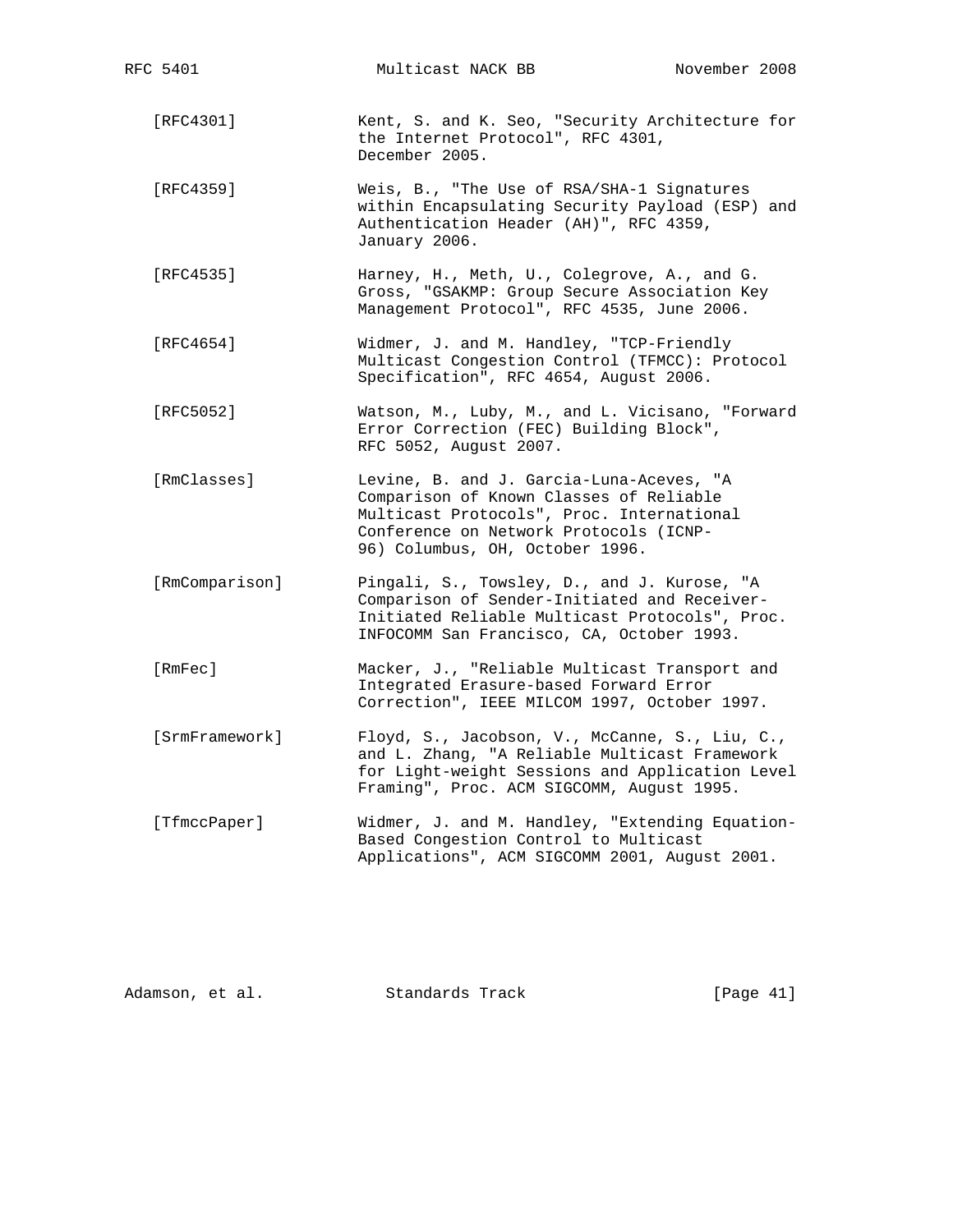| RFC 5401       | Multicast NACK BB                                                                                                                                                                                             | November 2008 |
|----------------|---------------------------------------------------------------------------------------------------------------------------------------------------------------------------------------------------------------|---------------|
| [RFC4301]      | Kent, S. and K. Seo, "Security Architecture for<br>the Internet Protocol", RFC 4301,<br>December 2005.                                                                                                        |               |
| [RFC4359]      | Weis, B., "The Use of RSA/SHA-1 Signatures<br>within Encapsulating Security Payload (ESP) and<br>Authentication Header (AH)", RFC 4359,<br>January 2006.                                                      |               |
| [RFC4535]      | Harney, H., Meth, U., Colegrove, A., and G.<br>Gross, "GSAKMP: Group Secure Association Key<br>Management Protocol", RFC 4535, June 2006.                                                                     |               |
| [RFC4654]      | Widmer, J. and M. Handley, "TCP-Friendly<br>Multicast Congestion Control (TFMCC): Protocol<br>Specification", RFC 4654, August 2006.                                                                          |               |
| [RFC5052]      | Watson, M., Luby, M., and L. Vicisano, "Forward<br>Error Correction (FEC) Building Block",<br>RFC 5052, August 2007.                                                                                          |               |
| [RmClasses]    | Levine, B. and J. Garcia-Luna-Aceves, "A<br>Comparison of Known Classes of Reliable<br>Multicast Protocols", Proc. International<br>Conference on Network Protocols (ICNP-<br>96) Columbus, OH, October 1996. |               |
| [RmComparison] | Pingali, S., Towsley, D., and J. Kurose, "A<br>Comparison of Sender-Initiated and Receiver-<br>Initiated Reliable Multicast Protocols", Proc.<br>INFOCOMM San Francisco, CA, October 1993.                    |               |
| [RmFec]        | Macker, J., "Reliable Multicast Transport and<br>Integrated Erasure-based Forward Error<br>Correction", IEEE MILCOM 1997, October 1997.                                                                       |               |
| [SrmFramework] | Floyd, S., Jacobson, V., McCanne, S., Liu, C.,<br>and L. Zhang, "A Reliable Multicast Framework<br>for Light-weight Sessions and Application Level<br>Framing", Proc. ACM SIGCOMM, August 1995.               |               |
| [TfmccPaper]   | Widmer, J. and M. Handley, "Extending Equation-<br>Based Congestion Control to Multicast<br>Applications", ACM SIGCOMM 2001, August 2001.                                                                     |               |

| [Page 41]<br>Standards Track<br>Adamson, et al. |  |  |  |
|-------------------------------------------------|--|--|--|
|-------------------------------------------------|--|--|--|